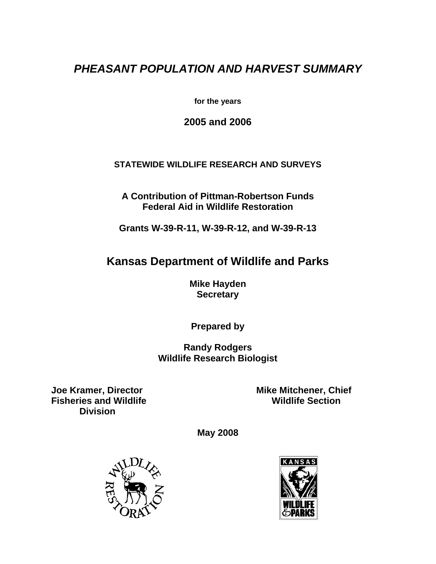# *PHEASANT POPULATION AND HARVEST SUMMARY*

**for the years** 

**2005 and 2006** 

### **STATEWIDE WILDLIFE RESEARCH AND SURVEYS**

**A Contribution of Pittman-Robertson Funds Federal Aid in Wildlife Restoration** 

**Grants W-39-R-11, W-39-R-12, and W-39-R-13** 

## **Kansas Department of Wildlife and Parks**

**Mike Hayden Secretary** 

**Prepared by** 

**Randy Rodgers Wildlife Research Biologist** 

**Fisheries and Wildlife Division** 

**Joe Kramer, Director Mike Mitchener, Chief Fisheries and Wildlife Mitchener Action** 

**May 2008** 



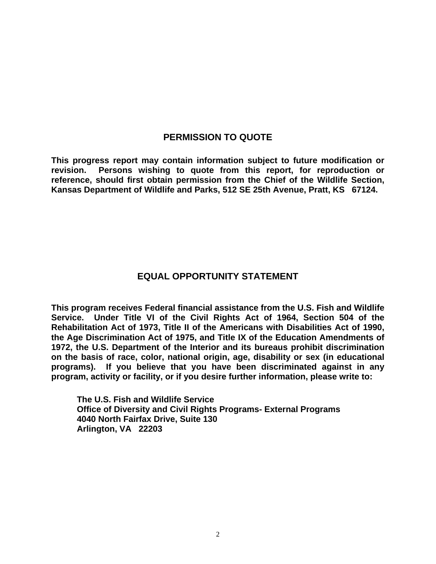### **PERMISSION TO QUOTE**

**This progress report may contain information subject to future modification or revision. Persons wishing to quote from this report, for reproduction or reference, should first obtain permission from the Chief of the Wildlife Section, Kansas Department of Wildlife and Parks, 512 SE 25th Avenue, Pratt, KS 67124.** 

### **EQUAL OPPORTUNITY STATEMENT**

**This program receives Federal financial assistance from the U.S. Fish and Wildlife Service. Under Title VI of the Civil Rights Act of 1964, Section 504 of the Rehabilitation Act of 1973, Title II of the Americans with Disabilities Act of 1990, the Age Discrimination Act of 1975, and Title IX of the Education Amendments of 1972, the U.S. Department of the Interior and its bureaus prohibit discrimination on the basis of race, color, national origin, age, disability or sex (in educational programs). If you believe that you have been discriminated against in any program, activity or facility, or if you desire further information, please write to:** 

**The U.S. Fish and Wildlife Service Office of Diversity and Civil Rights Programs- External Programs 4040 North Fairfax Drive, Suite 130 Arlington, VA 22203**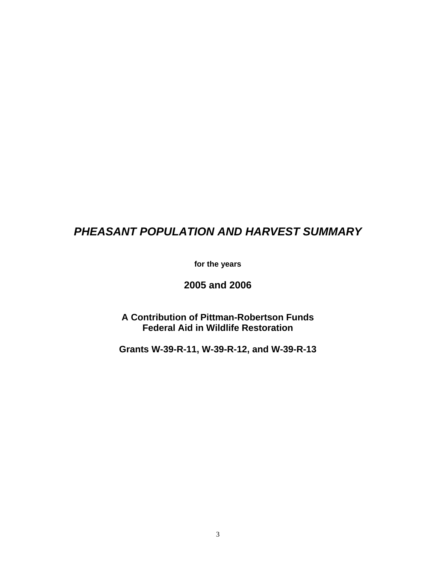# *PHEASANT POPULATION AND HARVEST SUMMARY*

**for the years** 

**2005 and 2006** 

**A Contribution of Pittman-Robertson Funds Federal Aid in Wildlife Restoration** 

**Grants W-39-R-11, W-39-R-12, and W-39-R-13**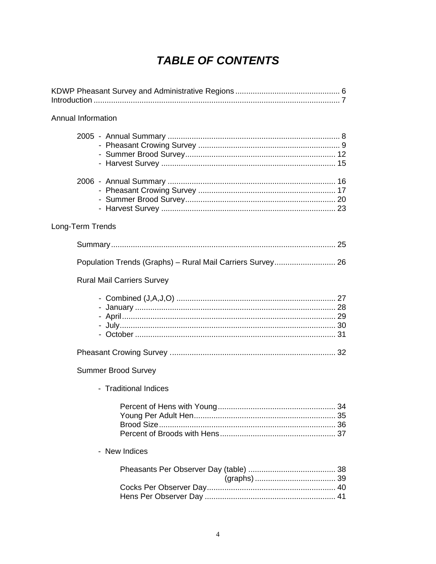# **TABLE OF CONTENTS**

| Annual Information                                         |  |
|------------------------------------------------------------|--|
|                                                            |  |
|                                                            |  |
| Long-Term Trends                                           |  |
|                                                            |  |
| Population Trends (Graphs) - Rural Mail Carriers Survey 26 |  |
| <b>Rural Mail Carriers Survey</b>                          |  |
|                                                            |  |
|                                                            |  |
| <b>Summer Brood Survey</b>                                 |  |
| - Traditional Indices                                      |  |
|                                                            |  |
| - New Indices                                              |  |
|                                                            |  |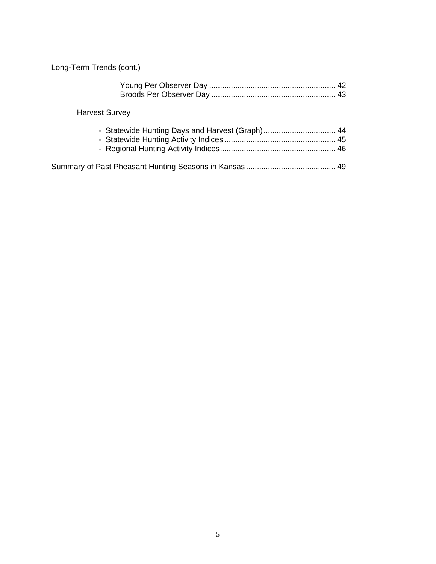Long-Term Trends (cont.)

| <b>Harvest Survey</b> |  |
|-----------------------|--|
|                       |  |
|                       |  |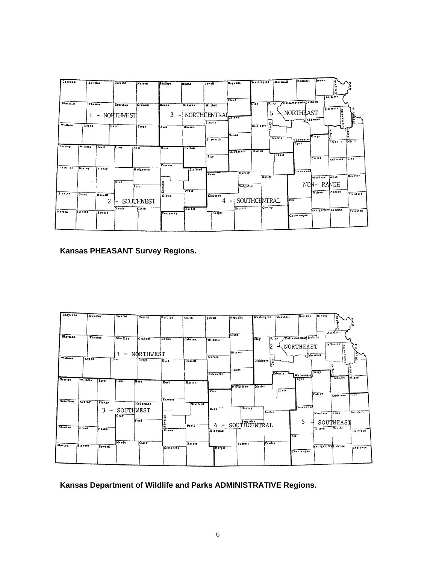| Cheyenne        |              | <b>Rawtina</b>                     | <b>Decatur</b>        | <b>Bertes</b>            | Phillips                               | هانعةآ         | <b>Jewell</b>                       | Republic  | Weshington       | Marshall     | Nemakt               | inrews                      | Dealer                  |                 |
|-----------------|--------------|------------------------------------|-----------------------|--------------------------|----------------------------------------|----------------|-------------------------------------|-----------|------------------|--------------|----------------------|-----------------------------|-------------------------|-----------------|
| Sherm.n         |              |                                    |                       |                          |                                        |                |                                     | Cloud     | प्रान्           |              | Pottswatemie Jackson |                             | Atchison                |                 |
|                 |              | Thomas<br>$\overline{\phantom{a}}$ | Sheridan<br>NORTHWEST | Graham                   | Rooks<br>3<br>$\overline{\phantom{a}}$ | <b>Quborns</b> | Mitchell<br>NORTHCENTRAI<br>Liscota |           | <b>CL-y</b><br>S |              | NORTHEAST            | <b>Shawnee</b>              | Jellerson<br>distants.  |                 |
| Wallace         | Logan        |                                    | <b>Gove</b>           | <b>Trege</b>             | Ellis.                                 | Russell        | Ellaworth                           | Saline    | ā<br>Dickinson   | Morris       | Wabaunser<br>Tyou    | 0.00                        | 큰<br>۰<br>۵<br>Franklin | leha19<br>Misml |
| <b>Creeky</b>   | Wichita      | Scott                              | i La ne               | IN eas                   | <b>Lusk</b><br>Pawnee                  | Barton         | Eice <sup></sup>                    | McPherson | Manon            | <b>C2114</b> |                      | Colley                      | Anderson                | itino           |
| <b>Hamilton</b> | Kearny       | Finney                             | $G \rightarrow Y$     | Hodgeman                 | į                                      | Stafford       | <b>Bene</b>                         | Harvey    | Butler           |              | Greenwood            | Woodson  Alles<br>NON-RANGE |                         | Boutban         |
| Stanton         | <b>Grant</b> | Haskell<br>2                       |                       | <b>Ford</b><br>SOUTHWEST | K.owa                                  | Pratt          | Kingman<br>4                        | Sedgwick  | SOUTHCHNTRAL     | ZIE.         |                      | Wilson                      | <b>Heoshe</b>           | Crawlord        |
| Morton          | Stevens      | Seward                             | Meade                 | <b>CLASE</b>             | Comanche                               | <b>Bather</b>  | Harper                              | Sumacr    | Cowley           |              | Chautaugua           | Healgemery Labour           |                         | Cherak CK       |

 **Kansas PHEASANT Survey Regions.** 



 **Kansas Department of Wildlife and Parks ADMINISTRATIVE Regions.**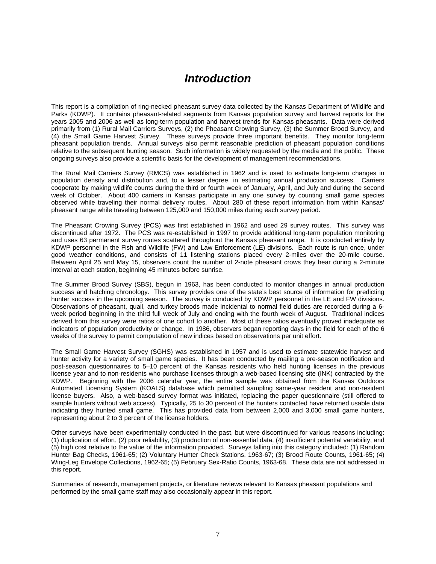## *Introduction*

This report is a compilation of ring-necked pheasant survey data collected by the Kansas Department of Wildlife and Parks (KDWP). It contains pheasant-related segments from Kansas population survey and harvest reports for the years 2005 and 2006 as well as long-term population and harvest trends for Kansas pheasants. Data were derived primarily from (1) Rural Mail Carriers Surveys, (2) the Pheasant Crowing Survey, (3) the Summer Brood Survey, and (4) the Small Game Harvest Survey. These surveys provide three important benefits. They monitor long-term pheasant population trends. Annual surveys also permit reasonable prediction of pheasant population conditions relative to the subsequent hunting season. Such information is widely requested by the media and the public. These ongoing surveys also provide a scientific basis for the development of management recommendations.

The Rural Mail Carriers Survey (RMCS) was established in 1962 and is used to estimate long-term changes in population density and distribution and, to a lesser degree, in estimating annual production success. Carriers cooperate by making wildlife counts during the third or fourth week of January, April, and July and during the second week of October. About 400 carriers in Kansas participate in any one survey by counting small game species observed while traveling their normal delivery routes. About 280 of these report information from within Kansas' pheasant range while traveling between 125,000 and 150,000 miles during each survey period.

The Pheasant Crowing Survey (PCS) was first established in 1962 and used 29 survey routes. This survey was discontinued after 1972. The PCS was re-established in 1997 to provide additional long-term population monitoring and uses 63 permanent survey routes scattered throughout the Kansas pheasant range. It is conducted entirely by KDWP personnel in the Fish and Wildlife (FW) and Law Enforcement (LE) divisions. Each route is run once, under good weather conditions, and consists of 11 listening stations placed every 2-miles over the 20-mile course. Between April 25 and May 15, observers count the number of 2-note pheasant crows they hear during a 2-minute interval at each station, beginning 45 minutes before sunrise.

The Summer Brood Survey (SBS), begun in 1963, has been conducted to monitor changes in annual production success and hatching chronology. This survey provides one of the state's best source of information for predicting hunter success in the upcoming season. The survey is conducted by KDWP personnel in the LE and FW divisions. Observations of pheasant, quail, and turkey broods made incidental to normal field duties are recorded during a 6 week period beginning in the third full week of July and ending with the fourth week of August. Traditional indices derived from this survey were ratios of one cohort to another. Most of these ratios eventually proved inadequate as indicators of population productivity or change. In 1986, observers began reporting days in the field for each of the 6 weeks of the survey to permit computation of new indices based on observations per unit effort.

The Small Game Harvest Survey (SGHS) was established in 1957 and is used to estimate statewide harvest and hunter activity for a variety of small game species. It has been conducted by mailing a pre-season notification and post-season questionnaires to 5–10 percent of the Kansas residents who held hunting licenses in the previous license year and to non-residents who purchase licenses through a web-based licensing site (INK) contracted by the KDWP. Beginning with the 2006 calendar year, the entire sample was obtained from the Kansas Outdoors Automated Licensing System (KOALS) database which permitted sampling same-year resident and non-resident license buyers. Also, a web-based survey format was initiated, replacing the paper questionnaire (still offered to sample hunters without web access). Typically, 25 to 30 percent of the hunters contacted have returned usable data indicating they hunted small game. This has provided data from between 2,000 and 3,000 small game hunters, representing about 2 to 3 percent of the license holders.

Other surveys have been experimentally conducted in the past, but were discontinued for various reasons including: (1) duplication of effort, (2) poor reliability, (3) production of non-essential data, (4) insufficient potential variability, and (5) high cost relative to the value of the information provided. Surveys falling into this category included: (1) Random Hunter Bag Checks, 1961-65; (2) Voluntary Hunter Check Stations, 1963-67; (3) Brood Route Counts, 1961-65; (4) Wing-Leg Envelope Collections, 1962-65; (5) February Sex-Ratio Counts, 1963-68. These data are not addressed in this report.

Summaries of research, management projects, or literature reviews relevant to Kansas pheasant populations and performed by the small game staff may also occasionally appear in this report.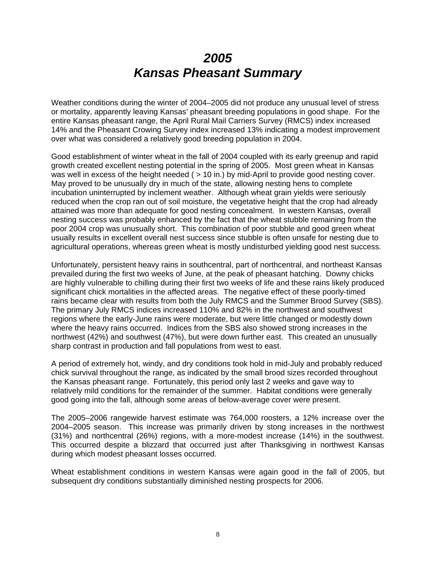# *2005 Kansas Pheasant Summary*

Weather conditions during the winter of 2004–2005 did not produce any unusual level of stress or mortality, apparently leaving Kansas' pheasant breeding populations in good shape. For the entire Kansas pheasant range, the April Rural Mail Carriers Survey (RMCS) index increased 14% and the Pheasant Crowing Survey index increased 13% indicating a modest improvement over what was considered a relatively good breeding population in 2004.

Good establishment of winter wheat in the fall of 2004 coupled with its early greenup and rapid growth created excellent nesting potential in the spring of 2005. Most green wheat in Kansas was well in excess of the height needed ( $>$  10 in.) by mid-April to provide good nesting cover. May proved to be unusually dry in much of the state, allowing nesting hens to complete incubation uninterrupted by inclement weather. Although wheat grain yields were seriously reduced when the crop ran out of soil moisture, the vegetative height that the crop had already attained was more than adequate for good nesting concealment. In western Kansas, overall nesting success was probably enhanced by the fact that the wheat stubble remaining from the poor 2004 crop was unusually short. This combination of poor stubble and good green wheat usually results in excellent overall nest success since stubble is often unsafe for nesting due to agricultural operations, whereas green wheat is mostly undisturbed yielding good nest success.

Unfortunately, persistent heavy rains in southcentral, part of northcentral, and northeast Kansas prevailed during the first two weeks of June, at the peak of pheasant hatching. Downy chicks are highly vulnerable to chilling during their first two weeks of life and these rains likely produced significant chick mortalities in the affected areas. The negative effect of these poorly-timed rains became clear with results from both the July RMCS and the Summer Brood Survey (SBS). The primary July RMCS indices increased 110% and 82% in the northwest and southwest regions where the early-June rains were moderate, but were little changed or modestly down where the heavy rains occurred. Indices from the SBS also showed strong increases in the northwest (42%) and southwest (47%), but were down further east. This created an unusually sharp contrast in production and fall populations from west to east.

A period of extremely hot, windy, and dry conditions took hold in mid-July and probably reduced chick survival throughout the range, as indicated by the small brood sizes recorded throughout the Kansas pheasant range. Fortunately, this period only last 2 weeks and gave way to relatively mild conditions for the remainder of the summer. Habitat conditions were generally good going into the fall, although some areas of below-average cover were present.

The 2005–2006 rangewide harvest estimate was 764,000 roosters, a 12% increase over the 2004–2005 season. This increase was primarily driven by stong increases in the northwest (31%) and northcentral (26%) regions, with a more-modest increase (14%) in the southwest. This occurred despite a blizzard that occurred just after Thanksgiving in northwest Kansas during which modest pheasant losses occurred.

Wheat establishment conditions in western Kansas were again good in the fall of 2005, but subsequent dry conditions substantially diminished nesting prospects for 2006.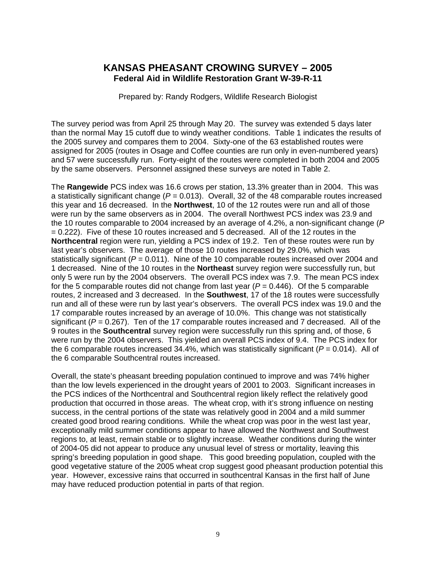### **KANSAS PHEASANT CROWING SURVEY – 2005 Federal Aid in Wildlife Restoration Grant W-39-R-11**

Prepared by: Randy Rodgers, Wildlife Research Biologist

The survey period was from April 25 through May 20. The survey was extended 5 days later than the normal May 15 cutoff due to windy weather conditions. Table 1 indicates the results of the 2005 survey and compares them to 2004. Sixty-one of the 63 established routes were assigned for 2005 (routes in Osage and Coffee counties are run only in even-numbered years) and 57 were successfully run. Forty-eight of the routes were completed in both 2004 and 2005 by the same observers. Personnel assigned these surveys are noted in Table 2.

The **Rangewide** PCS index was 16.6 crows per station, 13.3% greater than in 2004. This was a statistically significant change (*P* = 0.013). Overall, 32 of the 48 comparable routes increased this year and 16 decreased. In the **Northwest**, 10 of the 12 routes were run and all of those were run by the same observers as in 2004. The overall Northwest PCS index was 23.9 and the 10 routes comparable to 2004 increased by an average of 4.2%, a non-significant change (*P*  $= 0.222$ ). Five of these 10 routes increased and 5 decreased. All of the 12 routes in the **Northcentral** region were run, yielding a PCS index of 19.2. Ten of these routes were run by last year's observers. The average of those 10 routes increased by 29.0%, which was statistically significant ( $P = 0.011$ ). Nine of the 10 comparable routes increased over 2004 and 1 decreased. Nine of the 10 routes in the **Northeast** survey region were successfully run, but only 5 were run by the 2004 observers. The overall PCS index was 7.9. The mean PCS index for the 5 comparable routes did not change from last year  $(P = 0.446)$ . Of the 5 comparable routes, 2 increased and 3 decreased. In the **Southwest**, 17 of the 18 routes were successfully run and all of these were run by last year's observers. The overall PCS index was 19.0 and the 17 comparable routes increased by an average of 10.0%. This change was not statistically significant  $(P = 0.267)$ . Ten of the 17 comparable routes increased and 7 decreased. All of the 9 routes in the **Southcentral** survey region were successfully run this spring and, of those, 6 were run by the 2004 observers. This yielded an overall PCS index of 9.4. The PCS index for the 6 comparable routes increased 34.4%, which was statistically significant ( $P = 0.014$ ). All of the 6 comparable Southcentral routes increased.

Overall, the state's pheasant breeding population continued to improve and was 74% higher than the low levels experienced in the drought years of 2001 to 2003. Significant increases in the PCS indices of the Northcentral and Southcentral region likely reflect the relatively good production that occurred in those areas. The wheat crop, with it's strong influence on nesting success, in the central portions of the state was relatively good in 2004 and a mild summer created good brood rearing conditions. While the wheat crop was poor in the west last year, exceptionally mild summer conditions appear to have allowed the Northwest and Southwest regions to, at least, remain stable or to slightly increase. Weather conditions during the winter of 2004-05 did not appear to produce any unusual level of stress or mortality, leaving this spring's breeding population in good shape. This good breeding population, coupled with the good vegetative stature of the 2005 wheat crop suggest good pheasant production potential this year. However, excessive rains that occurred in southcentral Kansas in the first half of June may have reduced production potential in parts of that region.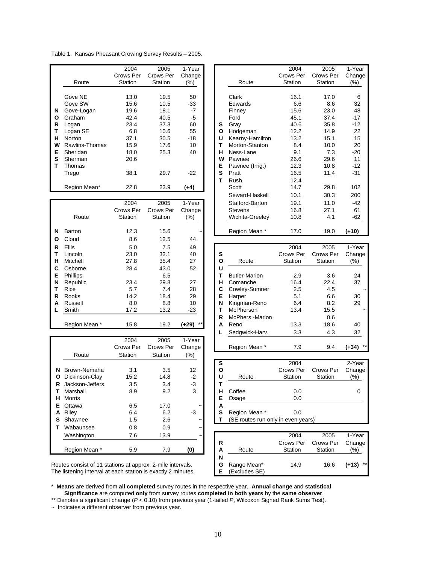Table 1. Kansas Pheasant Crowing Survey Results – 2005.

|   |                | 2004      | 2005      | 1-Year |   |                 | 2004      | 2005          | 1-Yea         |
|---|----------------|-----------|-----------|--------|---|-----------------|-----------|---------------|---------------|
|   |                | Crows Per | Crows Per | Change |   |                 | Crows Per | Crows Per     | Chand         |
|   | Route          | Station   | Station   | (%)    |   | Route           | Station   | Station       | (%)           |
|   |                |           |           |        |   |                 |           |               |               |
|   | Gove NE        | 13.0      | 19.5      | 50     |   | Clark           | 16.1      | 17.0          | 6             |
|   | Gove SW        | 15.6      | 10.5      | -33    |   | Edwards         | 6.6       | 8.6           | 32            |
| N | Gove-Logan     | 19.6      | 18.1      | $-7$   |   | Finney          | 15.6      | 23.0          | 48            |
| O | Graham         | 42.4      | 40.5      | -5     |   | Ford            | 45.1      | 37.4          | $-17$         |
| R | Logan          | 23.4      | 37.3      | 60     | s | Gray            | 40.6      | 35.8          | -12           |
|   | Logan SE       | 6.8       | 10.6      | 55     | Ο | Hodgeman        | 12.2      | 14.9          | 22            |
| н | Norton         | 37.1      | 30.5      | -18    | U | Kearny-Hamilton | 13.2      | 15.1          | 15            |
| w | Rawlins-Thomas | 15.9      | 17.6      | 10     |   | Morton-Stanton  | 8.4       | 10.0          | 20            |
| Е | Sheridan       | 18.0      | 25.3      | 40     | н | Ness-Lane       | 9.1       | 7.3           | $-20$         |
| s | Sherman        | 20.6      |           |        | W | Pawnee          | 26.6      | 29.6          | 11            |
|   | Thomas         |           |           |        | Е | Pawnee (Irrig.) | 12.3      | 10.8          | -12           |
|   | Trego          | 38.1      | 29.7      | -22    | S | Pratt           | 16.5      | 11.4          | $-31$         |
|   |                |           |           |        |   | Rush            | 12.4      |               |               |
|   | Region Mean*   | 22.8      | 23.9      | $(+4)$ |   | Scott           | 14.7      | 29.8          | 102           |
|   |                |           |           |        |   | .  .            | $\sim$    | $\sim$ $\sim$ | $\sim$ $\sim$ |

|   |                 | 2004      | 2005      | 1-Year                |   | Stafford-Barton      | 19.1      | 11.0      | $-42$   |
|---|-----------------|-----------|-----------|-----------------------|---|----------------------|-----------|-----------|---------|
|   |                 | Crows Per | Crows Per | Change                |   | <b>Stevens</b>       | 16.8      | 27.1      | 61      |
|   | Route           | Station   | Station   | (%)                   |   | Wichita-Greeley      | 10.8      | 4.1       | $-62$   |
|   |                 |           |           |                       |   |                      |           |           |         |
| N | Barton          | 12.3      | 15.6      | $\tilde{\phantom{a}}$ |   | Region Mean *        | 17.0      | 19.0      | $(+10)$ |
| O | Cloud           | 8.6       | 12.5      | 44                    |   |                      |           |           |         |
| R | <b>Ellis</b>    | 5.0       | 7.5       | 49                    |   |                      | 2004      | 2005      | 1-Year  |
|   | Lincoln         | 23.0      | 32.1      | 40                    | s |                      | Crows Per | Crows Per | Change  |
| н | Mitchell        | 27.8      | 35.4      | 27                    | O | Route                | Station   | Station   | $(\%)$  |
| C | Osborne         | 28.4      | 43.0      | 52                    | U |                      |           |           |         |
| Е | <b>Phillips</b> |           | 6.5       |                       | т | <b>Butler-Marion</b> | 2.9       | 3.6       | 24      |
| N | Republic        | 23.4      | 29.8      | 27                    | н | Comanche             | 16.4      | 22.4      | 37      |
| т | Rice            | 5.7       | 7.4       | 28                    | С | Cowley-Sumner        | 2.5       | 4.5       |         |
| R | Rooks           | 14.2      | 18.4      | 29                    | Е | Harper               | 5.1       | 6.6       | 30      |
| A | Russell         | 8.0       | 8.8       | 10                    | N | Kingman-Reno         | 6.4       | 8.2       | 29      |
|   | Smith           | 17.2      | 13.2      | $-23$                 | т | McPherson            | 13.4      | 15.5      |         |
|   |                 |           |           |                       | R | McPhers.-Marion      |           | 0.6       |         |
|   | Region Mean *   | 15.8      | 19.2      | $***$<br>$(+29)$      | A | Reno                 | 13.3      | 18.6      | 40      |

|    |                  |                   |                   |                       |   | ໍ່ບ                                |           |           |                  |
|----|------------------|-------------------|-------------------|-----------------------|---|------------------------------------|-----------|-----------|------------------|
|    |                  | 2004<br>Crows Per | 2005<br>Crows Per | 1-Year<br>Change      |   | Region Mean *                      | 7.9       | 9.4       | $***$<br>$(+34)$ |
|    | Route            | Station           | Station           | (%)                   |   |                                    |           |           |                  |
|    |                  |                   |                   |                       | s |                                    | 2004      |           | 2-Year           |
| N  | Brown-Nemaha     | 3.1               | 3.5               | 12                    | O |                                    | Crows Per | Crows Per | Change           |
| O  | Dickinson-Clay   | 15.2              | 14.8              | $-2$                  | U | Route                              | Station   | Station   | $(\%)$           |
| R  | Jackson-Jeffers. | 3.5               | 3.4               | $-3$                  | т |                                    |           |           |                  |
|    | Marshall         | 8.9               | 9.2               | 3                     | н | Coffee                             | 0.0       |           | 0                |
| н  | Morris           |                   |                   |                       | E | Osage                              | 0.0       |           |                  |
| Е. | Ottawa           | 6.5               | 17.0              | $\tilde{\phantom{a}}$ | А |                                    |           |           |                  |
| A  | Riley            | 6.4               | 6.2               | $-3$                  | S | Region Mean *                      | 0.0       |           |                  |
| s  | Shawnee          | 1.5               | 2.6               | $\tilde{\phantom{a}}$ |   | (SE routes run only in even years) |           |           |                  |
|    | Wabaunsee        | 0.8               | 0.9               | $\tilde{\phantom{a}}$ |   |                                    |           |           |                  |
|    | Washington       | 7.6               | 13.9              | $\tilde{\phantom{a}}$ |   |                                    | 2004      | 2005      | 1-Year           |
|    |                  |                   |                   |                       | R |                                    | Crows Per | Crows Per | Change           |
|    | Region Mean *    | 5.9               | 7.9               | (0)                   | A | Route                              | Station   | Station   | (%)              |

|                | 2004      | 2005      | 1-Year                |                      | 2004      | 2005      | 1-Year |
|----------------|-----------|-----------|-----------------------|----------------------|-----------|-----------|--------|
|                | Crows Per | Crows Per | Change                |                      | Crows Per | Crows Per | Change |
| Route          | Station   | Station   | (%)                   | Route                | Station   | Station   | (%)    |
|                |           |           |                       |                      |           |           |        |
| Gove NE        | 13.0      | 19.5      | 50                    | Clark                | 16.1      | 17.0      | 6      |
| Gove SW        | 15.6      | 10.5      | -33                   | Edwards              | 6.6       | 8.6       | 32     |
| Gove-Logan     | 19.6      | 18.1      | $-7$                  | Finney               | 15.6      | 23.0      | 48     |
| Graham         | 42.4      | 40.5      | $-5$                  | Ford                 | 45.1      | 37.4      | $-17$  |
| Logan          | 23.4      | 37.3      | 60                    | s<br>Gray            | 40.6      | 35.8      | $-12$  |
| Logan SE       | 6.8       | 10.6      | 55                    | Hodgeman<br>O        | 12.2      | 14.9      | 22     |
| Norton         | 37.1      | 30.5      | $-18$                 | Kearny-Hamilton<br>U | 13.2      | 15.1      | 15     |
| Rawlins-Thomas | 15.9      | 17.6      | 10                    | Morton-Stanton<br>т  | 8.4       | 10.0      | 20     |
| Sheridan       | 18.0      | 25.3      | 40                    | Ness-Lane<br>н       | 9.1       | 7.3       | $-20$  |
| Sherman        | 20.6      |           |                       | W<br>Pawnee          | 26.6      | 29.6      | 11     |
| Thomas         |           |           |                       | Е<br>Pawnee (Irrig.) | 12.3      | 10.8      | $-12$  |
| Trego          | 38.1      | 29.7      | -22                   | S<br>Pratt           | 16.5      | 11.4      | $-31$  |
|                |           |           |                       | т<br>Rush            | 12.4      |           |        |
| Region Mean*   | 22.8      | 23.9      | $(+4)$                | Scott                | 14.7      | 29.8      | 102    |
|                |           |           |                       | Seward-Haskell       | 10.1      | 30.3      | 200    |
|                | 2004      | 2005      | 1-Year                | Stafford-Barton      | 19.1      | 11.0      | -42    |
|                | Crows Per | Crows Per | Change                | <b>Stevens</b>       | 16.8      | 27.1      | 61     |
| Route          | Station   | Station   | (%)                   | Wichita-Greeley      | 10.8      | 4.1       | -62    |
|                |           |           |                       |                      |           |           |        |
| Barton         | 12.3      | 15.6      | $\tilde{\phantom{a}}$ | Region Mean *        | 17.0      | 19.0      | (+10)  |

| <b>Ellis</b>    | 5.0       | 7.5       | 49             |   |                      | 2004      | 2005        | 1-Year     |
|-----------------|-----------|-----------|----------------|---|----------------------|-----------|-------------|------------|
| Lincoln         | 23.0      | 32.1      | 40             | s |                      | Crows Per | Crows Per   | Change     |
| Mitchell        | 27.8      | 35.4      | 27             | O | Route                | Station   | Station     | (%)        |
| Osborne         | 28.4      | 43.0      | 52             | U |                      |           |             |            |
| <b>Phillips</b> |           | 6.5       |                |   | <b>Butler-Marion</b> | 2.9       | 3.6         | 24         |
| Republic        | 23.4      | 29.8      | 27             | н | Comanche             | 16.4      | 22.4        | 37         |
| Rice            | 5.7       | 7.4       | 28             | С | Cowley-Sumner        | 2.5       | 4.5         |            |
| Rooks           | 14.2      | 18.4      | 29             | Е | Harper               | 5.1       | 6.6         | 30         |
| Russell         | 8.0       | 8.8       | 10             | N | Kingman-Reno         | 6.4       | 8.2         | 29         |
| Smith           | 17.2      | 13.2      | $-23$          |   | McPherson            | 13.4      | 15.5        |            |
|                 |           |           |                | R | McPhers.-Marion      |           | 0.6         |            |
| Region Mean *   | 15.8      | 19.2      | $***$<br>(+29) | A | Reno                 | 13.3      | 18.6        | 40         |
|                 |           |           |                |   | Sedgwick-Harv.       | 3.3       | 4.3         | 32         |
|                 | 2004      | 2005      | 1-Year         |   |                      |           |             |            |
|                 | Crowe Par | Crows Par | Change         |   | Region Mean *        | 7 ۵       | $Q \Lambda$ | $(134)$ ** |

|      |      | $\sim$                |   |                                    |           |           |         |
|------|------|-----------------------|---|------------------------------------|-----------|-----------|---------|
|      |      |                       | s |                                    | 2004      |           | 2-Year  |
| 3.1  | 3.5  | 12                    | О |                                    | Crows Per | Crows Per | Change  |
| 15.2 | 14.8 | $-2$                  | U | Route                              | Station   | Station   | $(\% )$ |
| 3.5  | 3.4  | -3                    |   |                                    |           |           |         |
| 8.9  | 9.2  | 3                     | н | Coffee                             | 0.0       |           |         |
|      |      |                       | Е | Osage                              | 0.0       |           |         |
| 6.5  | 17.0 | $\tilde{}$            | А |                                    |           |           |         |
| 6.4  | 6.2  | -3                    | s | Region Mean *                      | 0.0       |           |         |
| 1.5  | 2.6  | $\tilde{\phantom{a}}$ |   | (SE routes run only in even years) |           |           |         |
|      |      |                       |   |                                    |           |           |         |

| Washington                                                                                                          |     | 13.9 | $\tilde{}$ |                                   | 2004                 | 2005                 | 1-Year        |
|---------------------------------------------------------------------------------------------------------------------|-----|------|------------|-----------------------------------|----------------------|----------------------|---------------|
| Region Mean *                                                                                                       | 5.9 |      | (0)        | R<br>Route<br>А                   | Crows Per<br>Station | Crows Per<br>Station | Change<br>(%) |
|                                                                                                                     |     |      |            | N                                 |                      |                      |               |
| tes consist of 11 stations at approx. 2-mile intervals.<br>listening interval at each station is exactly 2 minutes. |     |      |            | Range Mean*<br>G<br>(Excludes SE) | 14.9                 | 16.6                 | $(+13)$ **    |

Routes consist of 11 stations at approx. 2-mile intervals. The listening interval at each station is exactly 2 minutes.

\* **Means** are derived from **all completed** survey routes in the respective year. **Annual change** and **statistical Significance** are computed **only** from survey routes **completed in both years** by the **same observer**.

\*\* Denotes a significant change (*P* < 0.10) from previous year (1-tailed *P*, Wilcoxon Signed Rank Sums Test).

~ Indicates a different observer from previous year.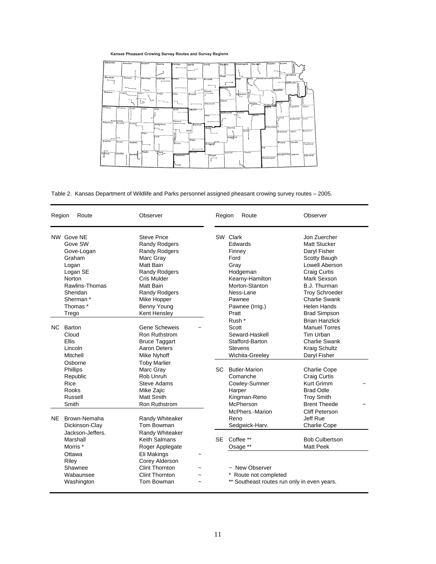### Kansas Pheasant Crowing Survey Routes and Survey Regions



Table 2. Kansas Department of Wildlife and Parks personnel assigned pheasant crowing survey routes – 2005.

| Region | Route                                                                                                                                                   | Observer                                                                                                                                                                                                        |                       | Region | Route                                                                                                                                             | Observer                                                                                                                                                                                                                                  |
|--------|---------------------------------------------------------------------------------------------------------------------------------------------------------|-----------------------------------------------------------------------------------------------------------------------------------------------------------------------------------------------------------------|-----------------------|--------|---------------------------------------------------------------------------------------------------------------------------------------------------|-------------------------------------------------------------------------------------------------------------------------------------------------------------------------------------------------------------------------------------------|
|        | NW Gove NE<br>Gove SW<br>Gove-Logan<br>Graham<br>Logan<br>Logan SE<br>Norton<br>Rawlins-Thomas<br>Sheridan<br>Sherman <sup>*</sup><br>Thomas *<br>Trego | <b>Steve Price</b><br><b>Randy Rodgers</b><br><b>Randy Rodgers</b><br>Marc Gray<br>Matt Bain<br><b>Randy Rodgers</b><br>Cris Mulder<br>Matt Bain<br>Randy Rodgers<br>Mike Hopper<br>Benny Young<br>Kent Hensley |                       |        | SW Clark<br>Edwards<br>Finney<br>Ford<br>Gray<br>Hodgeman<br>Kearny-Hamilton<br>Morton-Stanton<br>Ness-Lane<br>Pawnee<br>Pawnee (Irrig.)<br>Pratt | Jon Zuercher<br><b>Matt Stucker</b><br>Daryl Fisher<br>Scotty Baugh<br>Lowell Aberson<br><b>Craig Curtis</b><br>Mark Sexson<br>B.J. Thurman<br><b>Troy Schroeder</b><br><b>Charlie Swank</b><br><b>Helen Hands</b><br><b>Brad Simpson</b> |
|        | NC Barton<br>Cloud<br>Ellis<br>Lincoln<br>Mitchell                                                                                                      | Gene Scheweis<br>Ron Ruthstrom<br><b>Bruce Taggart</b><br><b>Aaron Deters</b><br>Mike Nyhoff                                                                                                                    |                       |        | Rush *<br>Scott<br>Seward-Haskell<br>Stafford-Barton<br><b>Stevens</b><br>Wichita-Greeley                                                         | <b>Brian Hanzlick</b><br><b>Manuel Torres</b><br>Tim Urban<br><b>Charlie Swank</b><br><b>Kraig Schultz</b><br>Daryl Fisher                                                                                                                |
|        | Osborne<br>Phillips<br>Republic<br>Rice<br>Rooks<br>Russell<br>Smith                                                                                    | <b>Toby Marlier</b><br>Marc Gray<br>Rob Unruh<br><b>Steve Adams</b><br>Mike Zajic<br>Matt Smith<br>Ron Ruthstrom                                                                                                |                       | SC     | <b>Butler-Marion</b><br>Comanche<br>Cowley-Sumner<br>Harper<br>Kingman-Reno<br>McPherson<br>McPhers.-Marion                                       | <b>Charlie Cope</b><br><b>Craig Curtis</b><br>Kurt Grimm<br><b>Brad Odle</b><br><b>Troy Smith</b><br><b>Brent Theede</b><br>Cliff Peterson                                                                                                |
|        | NE Brown-Nemaha<br>Dickinson-Clay<br>Jackson-Jeffers.<br>Marshall<br>Morris <sup>*</sup>                                                                | Randy Whiteaker<br>Tom Bowman<br>Randy Whiteaker<br>Keith Salmans<br>Roger Applegate                                                                                                                            |                       | SE     | Reno<br>Sedgwick-Harv.<br>Coffee **<br>Osage **                                                                                                   | Jeff Rue<br><b>Charlie Cope</b><br><b>Bob Culbertson</b><br>Matt Peek                                                                                                                                                                     |
|        | Ottawa<br>Riley<br>Shawnee<br>Wabaunsee<br>Washington                                                                                                   | Eli Makings<br>Corey Alderson<br><b>Clint Thornton</b><br><b>Clint Thornton</b><br>Tom Bowman                                                                                                                   | $\tilde{\phantom{a}}$ |        | ~ New Observer<br>* Route not completed<br>** Southeast routes run only in even years.                                                            |                                                                                                                                                                                                                                           |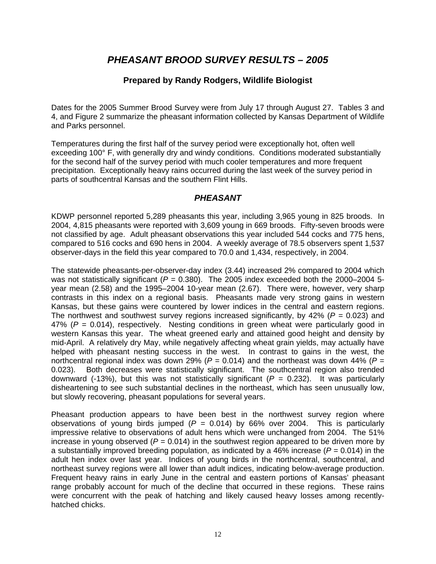## *PHEASANT BROOD SURVEY RESULTS – 2005*

### **Prepared by Randy Rodgers, Wildlife Biologist**

Dates for the 2005 Summer Brood Survey were from July 17 through August 27. Tables 3 and 4, and Figure 2 summarize the pheasant information collected by Kansas Department of Wildlife and Parks personnel.

Temperatures during the first half of the survey period were exceptionally hot, often well exceeding 100° F, with generally dry and windy conditions. Conditions moderated substantially for the second half of the survey period with much cooler temperatures and more frequent precipitation. Exceptionally heavy rains occurred during the last week of the survey period in parts of southcentral Kansas and the southern Flint Hills.

### *PHEASANT*

KDWP personnel reported 5,289 pheasants this year, including 3,965 young in 825 broods. In 2004, 4,815 pheasants were reported with 3,609 young in 669 broods. Fifty-seven broods were not classified by age. Adult pheasant observations this year included 544 cocks and 775 hens, compared to 516 cocks and 690 hens in 2004. A weekly average of 78.5 observers spent 1,537 observer-days in the field this year compared to 70.0 and 1,434, respectively, in 2004.

The statewide pheasants-per-observer-day index (3.44) increased 2% compared to 2004 which was not statistically significant  $(P = 0.380)$ . The 2005 index exceeded both the 2000–2004 5year mean (2.58) and the 1995–2004 10-year mean (2.67). There were, however, very sharp contrasts in this index on a regional basis. Pheasants made very strong gains in western Kansas, but these gains were countered by lower indices in the central and eastern regions. The northwest and southwest survey regions increased significantly, by 42% (*P =* 0.023) and 47% (*P* = 0.014), respectively. Nesting conditions in green wheat were particularly good in western Kansas this year. The wheat greened early and attained good height and density by mid-April. A relatively dry May, while negatively affecting wheat grain yields, may actually have helped with pheasant nesting success in the west. In contrast to gains in the west, the northcentral regional index was down 29% ( $P = 0.014$ ) and the northeast was down 44% ( $P =$ 0.023). Both decreases were statistically significant. The southcentral region also trended downward (-13%), but this was not statistically significant ( $P = 0.232$ ). It was particularly disheartening to see such substantial declines in the northeast, which has seen unusually low, but slowly recovering, pheasant populations for several years.

Pheasant production appears to have been best in the northwest survey region where observations of young birds jumped  $(P = 0.014)$  by 66% over 2004. This is particularly impressive relative to observations of adult hens which were unchanged from 2004. The 51% increase in young observed  $(P = 0.014)$  in the southwest region appeared to be driven more by a substantially improved breeding population, as indicated by a 46% increase ( $P = 0.014$ ) in the adult hen index over last year. Indices of young birds in the northcentral, southcentral, and northeast survey regions were all lower than adult indices, indicating below-average production. Frequent heavy rains in early June in the central and eastern portions of Kansas' pheasant range probably account for much of the decline that occurred in these regions. These rains were concurrent with the peak of hatching and likely caused heavy losses among recentlyhatched chicks.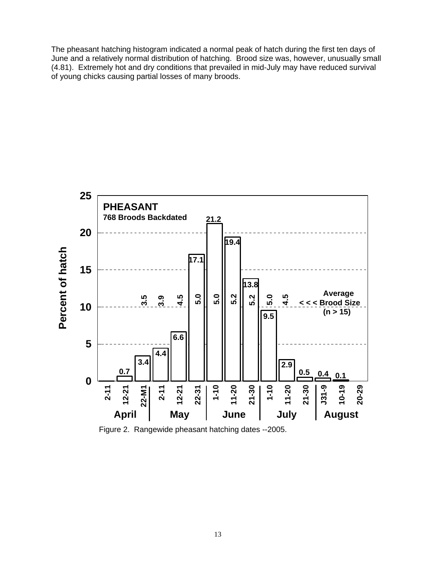The pheasant hatching histogram indicated a normal peak of hatch during the first ten days of June and a relatively normal distribution of hatching. Brood size was, however, unusually small (4.81). Extremely hot and dry conditions that prevailed in mid-July may have reduced survival of young chicks causing partial losses of many broods.



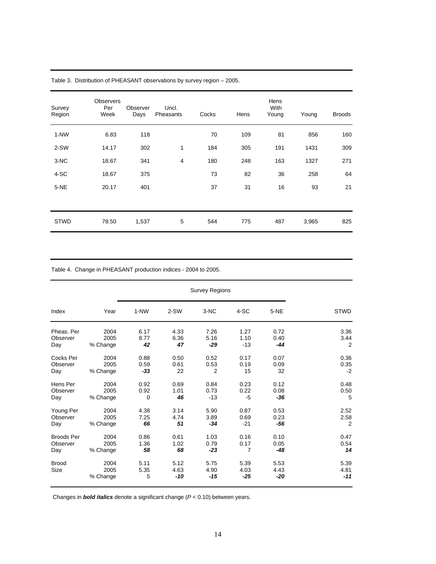| Survey<br>Region | <b>Observers</b><br>Per<br>Week | Observer<br>Days | Uncl.<br>Pheasants | Cocks | Hens | Hens<br>With<br>Young | Young | <b>Broods</b> |
|------------------|---------------------------------|------------------|--------------------|-------|------|-----------------------|-------|---------------|
| $1-NW$           | 6.83                            | 118              |                    | 70    | 109  | 81                    | 856   | 160           |
| 2-SW             | 14.17                           | 302              | 1                  | 184   | 305  | 191                   | 1431  | 309           |
| $3-NC$           | 18.67                           | 341              | $\overline{4}$     | 180   | 248  | 163                   | 1327  | 271           |
| 4-SC             | 18.67                           | 375              |                    | 73    | 82   | 36                    | 258   | 64            |
| $5-NE$           | 20.17                           | 401              |                    | 37    | 31   | 16                    | 93    | 21            |
|                  |                                 |                  |                    |       |      |                       |       |               |
| <b>STWD</b>      | 78.50                           | 1,537            | 5                  | 544   | 775  | 487                   | 3,965 | 825           |

Table 3. Distribution of PHEASANT observations by survey region – 2005.

Table 4. Change in PHEASANT production indices - 2004 to 2005.

| Index                | Year                     | 1-NW              | 2-SW                  | 3-NC                | 4-SC                  | 5-NE                | <b>STWD</b>           |
|----------------------|--------------------------|-------------------|-----------------------|---------------------|-----------------------|---------------------|-----------------------|
| Pheas, Per           | 2004                     | 6.17              | 4.33                  | 7.26                | 1.27                  | 0.72                | 3.36                  |
| Observer             | 2005                     | 8.77              | 6.36                  | 5.16                | 1.10                  | 0.40                | 3.44                  |
| Day                  | % Change                 | 42                | 47                    | $-29$               | $-13$                 | $-44$               | 2                     |
| Cocks Per            | 2004                     | 0.88              | 0.50                  | 0.52                | 0.17                  | 0.07                | 0.36                  |
| Observer             | 2005                     | 0.59              | 0.61                  | 0.53                | 0.19                  | 0.09                | 0.35                  |
| Day                  | % Change                 | $-33$             | 22                    | 2                   | 15                    | 32                  | $-2$                  |
| Hens Per             | 2004                     | 0.92              | 0.69                  | 0.84                | 0.23                  | 0.12                | 0.48                  |
| Observer             | 2005                     | 0.92              | 1.01                  | 0.73                | 0.22                  | 0.08                | 0.50                  |
| Day                  | % Change                 | $\mathbf 0$       | 46                    | $-13$               | $-5$                  | -36                 | 5                     |
| Young Per            | 2004                     | 4.38              | 3.14                  | 5.90                | 0.87                  | 0.53                | 2.52                  |
| Observer             | 2005                     | 7.25              | 4.74                  | 3.89                | 0.69                  | 0.23                | 2.58                  |
| Day                  | % Change                 | 66                | 51                    | $-34$               | $-21$                 | -56                 | 2                     |
| <b>Broods Per</b>    | 2004                     | 0.86              | 0.61                  | 1.03                | 0.16                  | 0.10                | 0.47                  |
| Observer             | 2005                     | 1.36              | 1.02                  | 0.79                | 0.17                  | 0.05                | 0.54                  |
| Day                  | % Change                 | 58                | 68                    | $-23$               | 7                     | -48                 | 14                    |
| <b>Brood</b><br>Size | 2004<br>2005<br>% Change | 5.11<br>5.35<br>5 | 5.12<br>4.63<br>$-10$ | 5.75<br>4.90<br>-15 | 5.39<br>4.03<br>$-25$ | 5.53<br>4.43<br>-20 | 5.39<br>4.81<br>$-11$ |

Changes in *bold italics* denote a significant change (*P* < 0.10) between years.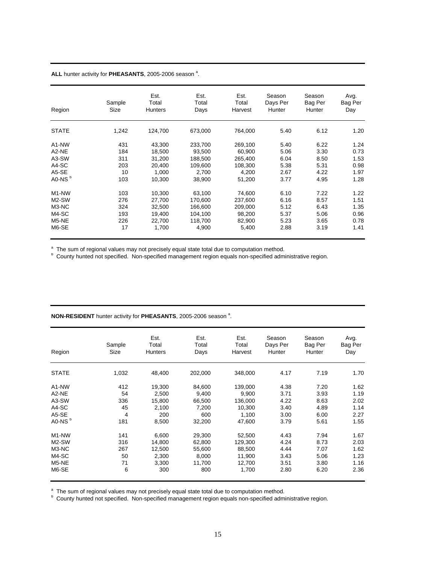#### ALL hunter activity for PHEASANTS, 2005-2006 season<sup>a</sup>.

| Region                         | Sample<br>Size | Est.<br>Total<br><b>Hunters</b> | Est.<br>Total<br>Days | Est.<br>Total<br>Harvest | Season<br>Days Per<br>Hunter | Season<br>Bag Per<br>Hunter | Avg.<br>Bag Per<br>Day |
|--------------------------------|----------------|---------------------------------|-----------------------|--------------------------|------------------------------|-----------------------------|------------------------|
| <b>STATE</b>                   | 1,242          | 124,700                         | 673,000               | 764,000                  | 5.40                         | 6.12                        | 1.20                   |
| A <sub>1</sub> -N <sub>W</sub> | 431            | 43,300                          | 233,700               | 269,100                  | 5.40                         | 6.22                        | 1.24                   |
| A2-NE                          | 184            | 18,500                          | 93,500                | 60,900                   | 5.06                         | 3.30                        | 0.73                   |
| A3-SW                          | 311            | 31,200                          | 188,500               | 265,400                  | 6.04                         | 8.50                        | 1.53                   |
| A4-SC                          | 203            | 20.400                          | 109,600               | 108,300                  | 5.38                         | 5.31                        | 0.98                   |
| A5-SE                          | 10             | 1,000                           | 2,700                 | 4,200                    | 2.67                         | 4.22                        | 1.97                   |
| A0-NS <sup>b</sup>             | 103            | 10,300                          | 38,900                | 51,200                   | 3.77                         | 4.95                        | 1.28                   |
| M <sub>1</sub> -N <sub>W</sub> | 103            | 10,300                          | 63,100                | 74,600                   | 6.10                         | 7.22                        | 1.22                   |
| M2-SW                          | 276            | 27,700                          | 170,600               | 237,600                  | 6.16                         | 8.57                        | 1.51                   |
| M3-NC                          | 324            | 32.500                          | 166.600               | 209.000                  | 5.12                         | 6.43                        | 1.35                   |
| M4-SC                          | 193            | 19,400                          | 104,100               | 98,200                   | 5.37                         | 5.06                        | 0.96                   |
| M5-NE                          | 226            | 22,700                          | 118,700               | 82,900                   | 5.23                         | 3.65                        | 0.78                   |
| M6-SE                          | 17             | 1,700                           | 4,900                 | 5,400                    | 2.88                         | 3.19                        | 1.41                   |

<sup>a</sup> The sum of regional values may not precisely equal state total due to computation method.<br><sup>b</sup> County hunted not specified. Non-specified management region equals non-specified administrative region.

#### **NON-RESIDENT** hunter activity for PHEASANTS, 2005-2006 season<sup>a</sup>.

| Region                         | Sample<br>Size | Est.<br>Total<br><b>Hunters</b> | Est.<br>Total<br>Days | Est.<br>Total<br>Harvest | Season<br>Days Per<br>Hunter | Season<br>Bag Per<br>Hunter | Avg.<br>Bag Per<br>Day |
|--------------------------------|----------------|---------------------------------|-----------------------|--------------------------|------------------------------|-----------------------------|------------------------|
| <b>STATE</b>                   | 1,032          | 48,400                          | 202,000               | 348,000                  | 4.17                         | 7.19                        | 1.70                   |
| A <sub>1</sub> -N <sub>W</sub> | 412            | 19,300                          | 84,600                | 139,000                  | 4.38                         | 7.20                        | 1.62                   |
| A <sub>2</sub> -NE             | 54             | 2,500                           | 9,400                 | 9.900                    | 3.71                         | 3.93                        | 1.19                   |
| A3-SW                          | 336            | 15.800                          | 66.500                | 136,000                  | 4.22                         | 8.63                        | 2.02                   |
| A4-SC                          | 45             | 2,100                           | 7,200                 | 10,300                   | 3.40                         | 4.89                        | 1.14                   |
| A5-SE                          | 4              | 200                             | 600                   | 1,100                    | 3.00                         | 6.00                        | 2.27                   |
| A0-NS <sup>b</sup>             | 181            | 8,500                           | 32,200                | 47,600                   | 3.79                         | 5.61                        | 1.55                   |
| M <sub>1</sub> -N <sub>W</sub> | 141            | 6,600                           | 29,300                | 52,500                   | 4.43                         | 7.94                        | 1.67                   |
| M2-SW                          | 316            | 14,800                          | 62,800                | 129,300                  | 4.24                         | 8.73                        | 2.03                   |
| M3-NC                          | 267            | 12,500                          | 55,600                | 88,500                   | 4.44                         | 7.07                        | 1.62                   |
| M4-SC                          | 50             | 2,300                           | 8,000                 | 11,900                   | 3.43                         | 5.06                        | 1.23                   |
| M5-NE                          | 71             | 3,300                           | 11,700                | 12,700                   | 3.51                         | 3.80                        | 1.16                   |
| M6-SE                          | 6              | 300                             | 800                   | 1,700                    | 2.80                         | 6.20                        | 2.36                   |

<sup>a</sup> The sum of regional values may not precisely equal state total due to computation method.<br><sup>b</sup> County hunted not specified. Non-specified management region equals non-specified administrative region.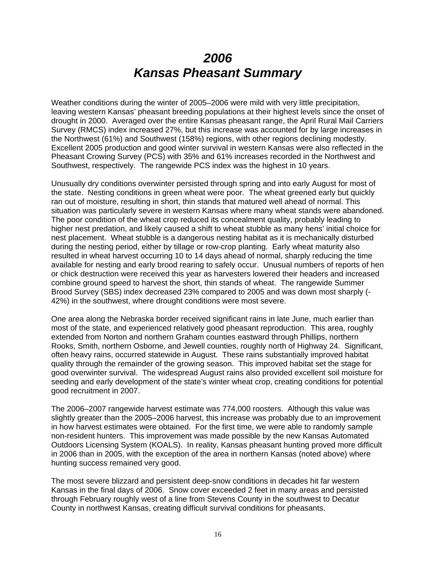# *2006 Kansas Pheasant Summary*

Weather conditions during the winter of 2005–2006 were mild with very little precipitation, leaving western Kansas' pheasant breeding populations at their highest levels since the onset of drought in 2000. Averaged over the entire Kansas pheasant range, the April Rural Mail Carriers Survey (RMCS) index increased 27%, but this increase was accounted for by large increases in the Northwest (61%) and Southwest (158%) regions, with other regions declining modestly. Excellent 2005 production and good winter survival in western Kansas were also reflected in the Pheasant Crowing Survey (PCS) with 35% and 61% increases recorded in the Northwest and Southwest, respectively. The rangewide PCS index was the highest in 10 years.

Unusually dry conditions overwinter persisted through spring and into early August for most of the state. Nesting conditions in green wheat were poor. The wheat greened early but quickly ran out of moisture, resulting in short, thin stands that matured well ahead of normal. This situation was particularly severe in western Kansas where many wheat stands were abandoned. The poor condition of the wheat crop reduced its concealment quality, probably leading to higher nest predation, and likely caused a shift to wheat stubble as many hens' initial choice for nest placement. Wheat stubble is a dangerous nesting habitat as it is mechanically disturbed during the nesting period, either by tillage or row-crop planting. Early wheat maturity also resulted in wheat harvest occurring 10 to 14 days ahead of normal, sharply reducing the time available for nesting and early brood rearing to safely occur. Unusual numbers of reports of hen or chick destruction were received this year as harvesters lowered their headers and increased combine ground speed to harvest the short, thin stands of wheat. The rangewide Summer Brood Survey (SBS) index decreased 23% compared to 2005 and was down most sharply (- 42%) in the southwest, where drought conditions were most severe.

One area along the Nebraska border received significant rains in late June, much earlier than most of the state, and experienced relatively good pheasant reproduction. This area, roughly extended from Norton and northern Graham counties eastward through Phillips, northern Rooks, Smith, northern Osborne, and Jewell counties, roughly north of Highway 24. Significant, often heavy rains, occurred statewide in August. These rains substantially improved habitat quality through the remainder of the growing season. This improved habitat set the stage for good overwinter survival. The widespread August rains also provided excellent soil moisture for seeding and early development of the state's winter wheat crop, creating conditions for potential good recruitment in 2007.

The 2006–2007 rangewide harvest estimate was 774,000 roosters. Although this value was slightly greater than the 2005–2006 harvest, this increase was probably due to an improvement in how harvest estimates were obtained. For the first time, we were able to randomly sample non-resident hunters. This improvement was made possible by the new Kansas Automated Outdoors Licensing System (KOALS). In reality, Kansas pheasant hunting proved more difficult in 2006 than in 2005, with the exception of the area in northern Kansas (noted above) where hunting success remained very good.

The most severe blizzard and persistent deep-snow conditions in decades hit far western Kansas in the final days of 2006. Snow cover exceeded 2 feet in many areas and persisted through February roughly west of a line from Stevens County in the southwest to Decatur County in northwest Kansas, creating difficult survival conditions for pheasants.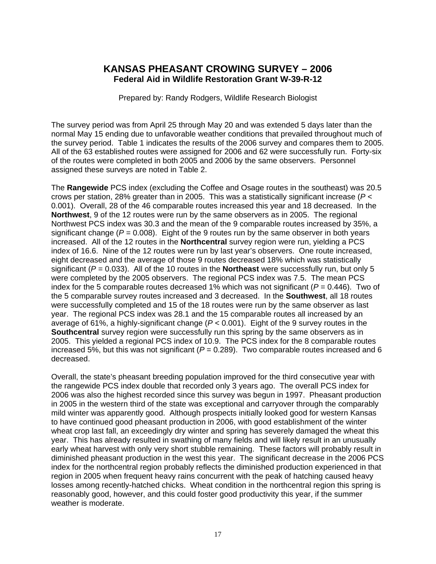### **KANSAS PHEASANT CROWING SURVEY – 2006 Federal Aid in Wildlife Restoration Grant W-39-R-12**

Prepared by: Randy Rodgers, Wildlife Research Biologist

The survey period was from April 25 through May 20 and was extended 5 days later than the normal May 15 ending due to unfavorable weather conditions that prevailed throughout much of the survey period. Table 1 indicates the results of the 2006 survey and compares them to 2005. All of the 63 established routes were assigned for 2006 and 62 were successfully run. Forty-six of the routes were completed in both 2005 and 2006 by the same observers. Personnel assigned these surveys are noted in Table 2.

The **Rangewide** PCS index (excluding the Coffee and Osage routes in the southeast) was 20.5 crows per station, 28% greater than in 2005. This was a statistically significant increase (*P* < 0.001). Overall, 28 of the 46 comparable routes increased this year and 18 decreased. In the **Northwest**, 9 of the 12 routes were run by the same observers as in 2005. The regional Northwest PCS index was 30.3 and the mean of the 9 comparable routes increased by 35%, a significant change ( $P = 0.008$ ). Eight of the 9 routes run by the same observer in both years increased. All of the 12 routes in the **Northcentral** survey region were run, yielding a PCS index of 16.6. Nine of the 12 routes were run by last year's observers. One route increased, eight decreased and the average of those 9 routes decreased 18% which was statistically significant ( $P = 0.033$ ). All of the 10 routes in the **Northeast** were successfully run, but only 5 were completed by the 2005 observers. The regional PCS index was 7.5. The mean PCS index for the 5 comparable routes decreased 1% which was not significant ( $P = 0.446$ ). Two of the 5 comparable survey routes increased and 3 decreased. In the **Southwest**, all 18 routes were successfully completed and 15 of the 18 routes were run by the same observer as last year. The regional PCS index was 28.1 and the 15 comparable routes all increased by an average of 61%, a highly-significant change (*P* < 0.001). Eight of the 9 survey routes in the **Southcentral** survey region were successfully run this spring by the same observers as in 2005. This yielded a regional PCS index of 10.9. The PCS index for the 8 comparable routes increased 5%, but this was not significant ( $P = 0.289$ ). Two comparable routes increased and 6 decreased.

Overall, the state's pheasant breeding population improved for the third consecutive year with the rangewide PCS index double that recorded only 3 years ago. The overall PCS index for 2006 was also the highest recorded since this survey was begun in 1997. Pheasant production in 2005 in the western third of the state was exceptional and carryover through the comparably mild winter was apparently good. Although prospects initially looked good for western Kansas to have continued good pheasant production in 2006, with good establishment of the winter wheat crop last fall, an exceedingly dry winter and spring has severely damaged the wheat this year. This has already resulted in swathing of many fields and will likely result in an unusually early wheat harvest with only very short stubble remaining. These factors will probably result in diminished pheasant production in the west this year. The significant decrease in the 2006 PCS index for the northcentral region probably reflects the diminished production experienced in that region in 2005 when frequent heavy rains concurrent with the peak of hatching caused heavy losses among recently-hatched chicks. Wheat condition in the northcentral region this spring is reasonably good, however, and this could foster good productivity this year, if the summer weather is moderate.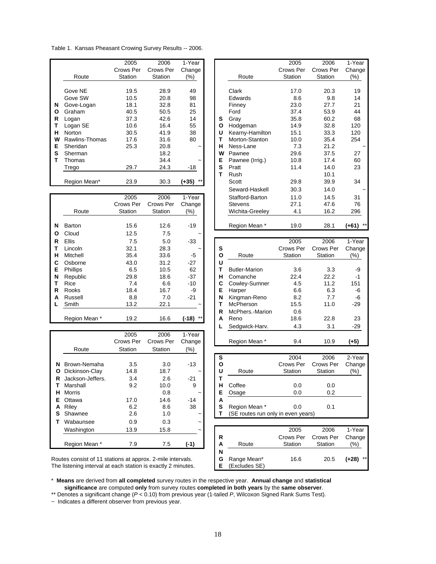Table 1. Kansas Pheasant Crowing Survey Results -- 2006.

|   |                | 2005      | 2006      | 1-Year                |   |                 | 2005          | 2006            | 1-Year |
|---|----------------|-----------|-----------|-----------------------|---|-----------------|---------------|-----------------|--------|
|   |                | Crows Per | Crows Per | Change                |   |                 | Crows Per     | Crows Per       | Change |
|   | Route          | Station   | Station   | (%)                   |   | Route           | Station       | Station         | (%)    |
|   |                |           |           |                       |   |                 |               |                 |        |
|   | Gove NE        | 19.5      | 28.9      | 49                    |   | Clark           | 17.0          | 20.3            | 19     |
|   | Gove SW        | 10.5      | 20.8      | 98                    |   | Edwards         | 8.6           | 9.8             | 14     |
| N | Gove-Logan     | 18.1      | 32.8      | 81                    |   | Finney          | 23.0          | 27.7            | 21     |
| O | Graham         | 40.5      | 50.5      | 25                    |   | Ford            | 37.4          | 53.9            | 44     |
| R | Logan          | 37.3      | 42.6      | 14                    | s | Gray            | 35.8          | 60.2            | 68     |
|   | Logan SE       | 10.6      | 16.4      | 55                    | Ο | Hodgeman        | 14.9          | 32.8            | 120    |
| н | <b>Norton</b>  | 30.5      | 41.9      | 38                    | U | Kearny-Hamilton | 15.1          | 33.3            | 120    |
| W | Rawlins-Thomas | 17.6      | 31.6      | 80                    | т | Morton-Stanton  | 10.0          | 35.4            | 254    |
| Е | Sheridan       | 25.3      | 20.8      | $\tilde{\phantom{a}}$ | н | Ness-Lane       | 7.3           | 21.2            |        |
| s | Sherman        |           | 18.2      |                       | W | Pawnee          | 29.6          | 37.5            | 27     |
|   | Thomas         |           | 34.4      |                       | Е | Pawnee (Irrig.) | 10.8          | 17.4            | 60     |
|   | Trego          | 29.7      | 24.3      | $-18$                 | S | Pratt           | 11.4          | 14.0            | 23     |
|   |                |           |           |                       |   | Rush            |               | 10.1            |        |
|   | Region Mean*   | 23.9      | 30.3      | $***$<br>$(+35)$      |   | Scott           | 29.8          | 39.9            | 34     |
|   |                |           |           |                       |   | .               | $\sim$ $\sim$ | $\cdot$ $\cdot$ |        |

|   |                 | 2005      | 2006      | 1-Year                |              | Stafford-Barton      | 11.0      | 14.5      | 31               |
|---|-----------------|-----------|-----------|-----------------------|--------------|----------------------|-----------|-----------|------------------|
|   |                 | Crows Per | Crows Per | Change                |              | <b>Stevens</b>       | 27.1      | 47.6      | 76               |
|   | Route           | Station   | Station   | (%)                   |              | Wichita-Greeley      | 4.1       | 16.2      | 296              |
| N | Barton          | 15.6      | 12.6      | $-19$                 |              | Region Mean *        | 19.0      | 28.1      | $***$<br>$(+61)$ |
| O | Cloud           | 12.5      | 7.5       | $\tilde{}$            |              |                      |           |           |                  |
| R | <b>Ellis</b>    | 7.5       | 5.0       | $-33$                 |              |                      | 2005      | 2006      | 1-Year           |
|   | Lincoln         | 32.1      | 28.3      | $\tilde{}$            | s            |                      | Crows Per | Crows Per | Change           |
| н | Mitchell        | 35.4      | 33.6      | -5                    | $\mathbf{o}$ | Route                | Station   | Station   | $(\%)$           |
| C | Osborne         | 43.0      | 31.2      | $-27$                 | U            |                      |           |           |                  |
| Е | <b>Phillips</b> | 6.5       | 10.5      | 62                    | т            | <b>Butler-Marion</b> | 3.6       | 3.3       | -9               |
| N | Republic        | 29.8      | 18.6      | $-37$                 | н            | Comanche             | 22.4      | 22.2      | $-1$             |
|   | Rice            | 7.4       | 6.6       | $-10$                 | С            | Cowley-Sumner        | 4.5       | 11.2      | 151              |
| R | Rooks           | 18.4      | 16.7      | -9                    | E            | Harper               | 6.6       | 6.3       | -6               |
| A | Russell         | 8.8       | 7.0       | $-21$                 | N            | Kingman-Reno         | 8.2       | 7.7       | -6               |
|   | Smith           | 13.2      | 22.1      | $\tilde{\phantom{a}}$ |              | McPherson            | 15.5      | 11.0      | $-29$            |
|   |                 |           |           |                       | R            | McPhers.-Marion      | 0.6       |           |                  |
|   | Region Mean *   | 19.2      | 16.6      | $***$<br>(-18)        | A            | Reno                 | 18.6      | 22.8      | 23               |

|    |                  | 2005      | 2006      | 1-Year                |   |                                    |           |           |        |
|----|------------------|-----------|-----------|-----------------------|---|------------------------------------|-----------|-----------|--------|
|    |                  | Crows Per | Crows Per | Change                |   | Region Mean *                      | 9.4       | 10.9      | $(+5)$ |
|    | Route            | Station   | Station   | $(\%)$                |   |                                    |           |           |        |
|    |                  |           |           |                       | S |                                    | 2004      | 2006      | 2-Year |
| N  | Brown-Nemaha     | 3.5       | 3.0       | $-13$                 | О |                                    | Crows Per | Crows Per | Change |
| O  | Dickinson-Clay   | 14.8      | 18.7      | $\tilde{}$            | U | Route                              | Station   | Station   | $(\%)$ |
| R  | Jackson-Jeffers. | 3.4       | 2.6       | $-21$                 | т |                                    |           |           |        |
|    | Marshall         | 9.2       | 10.0      | 9                     | н | Coffee                             | 0.0       | 0.0       |        |
| н  | Morris           |           | 0.8       | $\tilde{\phantom{a}}$ | Е | Osage                              | 0.0       | 0.2       |        |
| E. | Ottawa           | 17.0      | 14.6      | $-14$                 | А |                                    |           |           |        |
| A  | Riley            | 6.2       | 8.6       | 38                    | S | Region Mean *                      | 0.0       | 0.1       |        |
| s  | Shawnee          | 2.6       | 1.0       | $\tilde{}$            |   | (SE routes run only in even years) |           |           |        |
|    | Wabaunsee        | 0.9       | 0.3       | $\tilde{\phantom{a}}$ |   |                                    |           |           |        |
|    | Washington       | 13.9      | 15.8      | $\tilde{}$            |   |                                    | 2005      | 2006      | 1-Year |
|    |                  |           |           |                       | R |                                    | Crows Per | Crows Per | Change |
|    | Region Mean *    | 7.9       | 7.5       | (-1)                  | Α | Route                              | Station   | Station   | (%)    |

|                | 2005      | 2006      | 1-Year     |   |                 | 2005      | 2006      | 1-Year           |
|----------------|-----------|-----------|------------|---|-----------------|-----------|-----------|------------------|
|                | Crows Per | Crows Per | Change     |   |                 | Crows Per | Crows Per | Change           |
| Route          | Station   | Station   | (%)        |   | Route           | Station   | Station   | (%)              |
|                |           |           |            |   |                 |           |           |                  |
| Gove NE        | 19.5      | 28.9      | 49         |   | Clark           | 17.0      | 20.3      | 19               |
| Gove SW        | 10.5      | 20.8      | 98         |   | Edwards         | 8.6       | 9.8       | 14               |
| Gove-Logan     | 18.1      | 32.8      | 81         |   | Finney          | 23.0      | 27.7      | 21               |
| Graham         | 40.5      | 50.5      | 25         |   | Ford            | 37.4      | 53.9      | 44               |
| Logan          | 37.3      | 42.6      | 14         | S | Gray            | 35.8      | 60.2      | 68               |
| Logan SE       | 10.6      | 16.4      | 55         | O | Hodgeman        | 14.9      | 32.8      | 120              |
| Norton         | 30.5      | 41.9      | 38         | U | Kearny-Hamilton | 15.1      | 33.3      | 120              |
| Rawlins-Thomas | 17.6      | 31.6      | 80         | т | Morton-Stanton  | 10.0      | 35.4      | 254              |
| Sheridan       | 25.3      | 20.8      |            | н | Ness-Lane       | 7.3       | 21.2      |                  |
| Sherman        |           | 18.2      |            | W | Pawnee          | 29.6      | 37.5      | 27               |
| Thomas         |           | 34.4      |            | Е | Pawnee (Irrig.) | 10.8      | 17.4      | 60               |
| Trego          | 29.7      | 24.3      | -18        | S | Pratt           | 11.4      | 14.0      | 23               |
|                |           |           |            | т | Rush            |           | 10.1      |                  |
| Region Mean*   | 23.9      | 30.3      | $(+35)$ ** |   | Scott           | 29.8      | 39.9      | 34               |
|                |           |           |            |   | Seward-Haskell  | 30.3      | 14.0      |                  |
|                | 2005      | 2006      | 1-Year     |   | Stafford-Barton | 11.0      | 14.5      | 31               |
|                | Crows Per | Crows Per | Change     |   | <b>Stevens</b>  | 27.1      | 47.6      | 76               |
| Route          | Station   | Station   | (%)        |   | Wichita-Greeley | 4.1       | 16.2      | 296              |
| Barton         | 15.6      | 12.6      | $-19$      |   | Region Mean *   | 19.0      | 28.1      | $***$<br>$(+61)$ |
| Cloud          | 12.5      | 75        | $\tilde{}$ |   |                 |           |           |                  |

| Ellis         | 7.5       | 5.0       | $-33$                 |   |                      | 2005      | 2006      | 1-Year |
|---------------|-----------|-----------|-----------------------|---|----------------------|-----------|-----------|--------|
| Lincoln       | 32.1      | 28.3      | $\tilde{\phantom{a}}$ | s |                      | Crows Per | Crows Per | Change |
| Mitchell      | 35.4      | 33.6      | $-5$                  | O | Route                | Station   | Station   | (%)    |
| Osborne       | 43.0      | 31.2      | $-27$                 | U |                      |           |           |        |
| Phillips      | 6.5       | 10.5      | 62                    |   | <b>Butler-Marion</b> | 3.6       | 3.3       | -9     |
| Republic      | 29.8      | 18.6      | $-37$                 | н | Comanche             | 22.4      | 22.2      | $-1$   |
| Rice          | 7.4       | 6.6       | $-10$                 | С | Cowley-Sumner        | 4.5       | 11.2      | 151    |
| Rooks         | 18.4      | 16.7      | -9                    | Е | Harper               | 6.6       | 6.3       | -6     |
| Russell       | 8.8       | 7.0       | $-21$                 | N | Kingman-Reno         | 8.2       | 7.7       | -6     |
| Smith         | 13.2      | 22.1      | $\tilde{}$            |   | McPherson            | 15.5      | 11.0      | $-29$  |
|               |           |           |                       | R | McPhers.-Marion      | 0.6       |           |        |
| Region Mean * | 19.2      | 16.6      | $***$<br>(-18)        | A | Reno                 | 18.6      | 22.8      | 23     |
|               |           |           |                       |   | Sedgwick-Harv.       | 4.3       | 3.1       | -29    |
|               | 2005      | 2006      | 1-Year                |   |                      |           |           |        |
|               | Crows Per | Crows Per | Change                |   | Region Mean *        | 9.4       | 10.9      | (+5)   |

| ------- |      | ------ | $\cdot$               |                    |                                    |           |        |
|---------|------|--------|-----------------------|--------------------|------------------------------------|-----------|--------|
|         |      |        |                       | s                  | 2004                               | 2006      | 2-Year |
|         | 3.5  | 3.0    | $-13$                 | Ο                  | Crows Per                          | Crows Per | Change |
|         | 14.8 | 18.7   | $\tilde{\phantom{a}}$ | U<br>Route         | Station                            | Station   | $(\%)$ |
|         | 3.4  | 2.6    | $-21$                 |                    |                                    |           |        |
|         | 9.2  | 10.0   | 9                     | Coffee<br>н        | 0.0                                | 0.0       |        |
|         |      | 0.8    | $\tilde{}$            | Е<br>Osage         | 0.0                                | 0.2       |        |
|         | 17.0 | 14.6   | -14                   | А                  |                                    |           |        |
|         | 6.2  | 8.6    | 38                    | s<br>Region Mean * | 0.0                                | 0.1       |        |
|         | 2.6  | 1.0    | $\tilde{\phantom{a}}$ |                    | (SE routes run only in even years) |           |        |
|         |      |        |                       |                    |                                    |           |        |

| Washington                                               | 13.9 | 15.8 | $\tilde{\phantom{a}}$ |   |               | 2005      | 2006      | 1-Year           |
|----------------------------------------------------------|------|------|-----------------------|---|---------------|-----------|-----------|------------------|
|                                                          |      |      |                       | R |               | Crows Per | Crows Per | Change           |
| Region Mean *                                            |      |      |                       | А | Route         | Station   | Station   | (%)              |
|                                                          |      |      |                       | N |               |           |           |                  |
| tes consist of 11 stations at approx. 2-mile intervals.  |      |      |                       | G | Range Mean*   | 16.6      | 20.5      | $***$<br>$(+28)$ |
| listening interval at each station is exactly 2 minutes. |      |      |                       |   | (Excludes SE) |           |           |                  |

Routes consist of 11 stations at approx. 2-mile intervals. The listening interval at each station is exactly 2 minutes.

\* **Means** are derived from **all completed** survey routes in the respective year. **Annual change** and **statistical significance** are computed **only** from survey routes **completed in both years** by the **same observer**.

\*\* Denotes a significant change (*P* < 0.10) from previous year (1-tailed *P*, Wilcoxon Signed Rank Sums Test).

~ Indicates a different observer from previous year.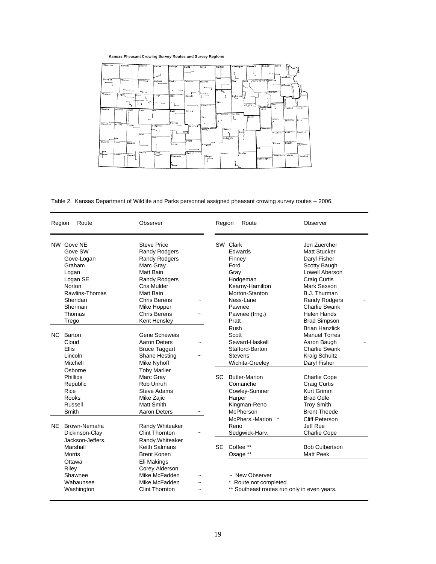#### Kansas Pheasant Crowing Survey Routes and Survey Regions



Table 2. Kansas Department of Wildlife and Parks personnel assigned pheasant crowing survey routes -- 2006.

| Region | Route                                                                                                                                           | Observer                                                                                                                                                                                                        |            | Region    | Route                                                                                                                                                              | Observer                                                                                                                                                                                                                                 |  |
|--------|-------------------------------------------------------------------------------------------------------------------------------------------------|-----------------------------------------------------------------------------------------------------------------------------------------------------------------------------------------------------------------|------------|-----------|--------------------------------------------------------------------------------------------------------------------------------------------------------------------|------------------------------------------------------------------------------------------------------------------------------------------------------------------------------------------------------------------------------------------|--|
|        | NW Gove NE<br>Gove SW<br>Gove-Logan<br>Graham<br>Logan<br>Logan SE<br><b>Norton</b><br>Rawlins-Thomas<br>Sheridan<br>Sherman<br>Thomas<br>Trego | <b>Steve Price</b><br><b>Randy Rodgers</b><br><b>Randy Rodgers</b><br>Marc Gray<br>Matt Bain<br><b>Randy Rodgers</b><br>Cris Mulder<br>Matt Bain<br>Chris Berens<br>Mike Hopper<br>Chris Berens<br>Kent Hensley | $\tilde{}$ |           | SW Clark<br>Edwards<br>Finney<br>Ford<br>Gray<br>Hodgeman<br>Kearny-Hamilton<br>Morton-Stanton<br>Ness-Lane<br>Pawnee<br>Pawnee (Irrig.)<br>Pratt                  | Jon Zuercher<br><b>Matt Stucker</b><br>Daryl Fisher<br>Scotty Baugh<br>Lowell Aberson<br><b>Craig Curtis</b><br>Mark Sexson<br>B.J. Thurman<br><b>Randy Rodgers</b><br><b>Charlie Swank</b><br><b>Helen Hands</b><br><b>Brad Simpson</b> |  |
|        | NC Barton<br>Cloud<br><b>Ellis</b><br>Lincoln<br>Mitchell<br>Osborne<br>Phillips<br>Republic<br>Rice<br><b>Rooks</b><br>Russell                 | Gene Scheweis<br>Aaron Deters<br><b>Bruce Taggart</b><br>Shane Hesting<br>Mike Nyhoff<br><b>Toby Marlier</b><br>Marc Gray<br>Rob Unruh<br>Steve Adams<br>Mike Zajic<br>Matt Smith                               |            |           | Rush<br>Scott<br>Seward-Haskell<br>Stafford-Barton<br><b>Stevens</b><br>Wichita-Greeley<br>SC Butler-Marion<br>Comanche<br>Cowley-Sumner<br>Harper<br>Kingman-Reno | <b>Brian Hanzlick</b><br><b>Manuel Torres</b><br>Aaron Baugh<br><b>Charlie Swank</b><br><b>Kraig Schultz</b><br>Daryl Fisher<br><b>Charlie Cope</b><br><b>Craig Curtis</b><br>Kurt Grimm<br><b>Brad Odle</b><br><b>Troy Smith</b>        |  |
|        | Smith<br>NE Brown-Nemaha<br>Dickinson-Clay                                                                                                      | <b>Aaron Deters</b><br>Randy Whiteaker<br><b>Clint Thornton</b>                                                                                                                                                 |            |           | McPherson<br>McPhers.-Marion *<br>Reno<br>Sedgwick-Harv.                                                                                                           | <b>Brent Theede</b><br>Cliff Peterson<br>Jeff Rue<br><b>Charlie Cope</b>                                                                                                                                                                 |  |
|        | Jackson-Jeffers.<br>Marshall<br>Morris<br>Ottawa<br>Riley<br>Shawnee<br>Wabaunsee<br>Washington                                                 | Randy Whiteaker<br>Keith Salmans<br><b>Brent Konen</b><br>Eli Makings<br>Corey Alderson<br>Mike McFadden<br>Mike McFadden<br>Clint Thornton                                                                     | $\sim$     | <b>SE</b> | Coffee **<br>Osage **<br>~ New Observer<br>Route not completed<br>** Southeast routes run only in even years.                                                      | <b>Bob Culbertson</b><br><b>Matt Peek</b>                                                                                                                                                                                                |  |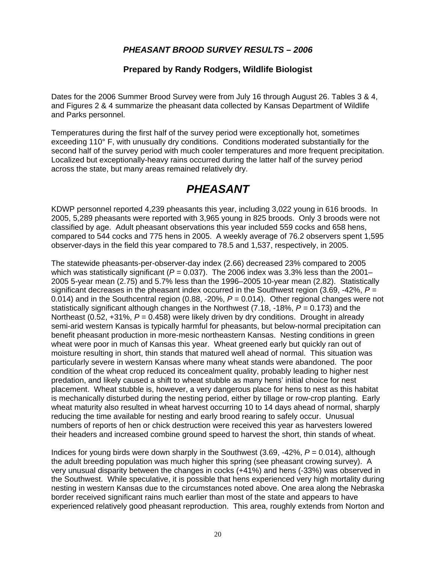### *PHEASANT BROOD SURVEY RESULTS – 2006*

### **Prepared by Randy Rodgers, Wildlife Biologist**

Dates for the 2006 Summer Brood Survey were from July 16 through August 26. Tables 3 & 4, and Figures 2 & 4 summarize the pheasant data collected by Kansas Department of Wildlife and Parks personnel.

Temperatures during the first half of the survey period were exceptionally hot, sometimes exceeding 110° F, with unusually dry conditions. Conditions moderated substantially for the second half of the survey period with much cooler temperatures and more frequent precipitation. Localized but exceptionally-heavy rains occurred during the latter half of the survey period across the state, but many areas remained relatively dry.

## *PHEASANT*

KDWP personnel reported 4,239 pheasants this year, including 3,022 young in 616 broods. In 2005, 5,289 pheasants were reported with 3,965 young in 825 broods. Only 3 broods were not classified by age. Adult pheasant observations this year included 559 cocks and 658 hens, compared to 544 cocks and 775 hens in 2005. A weekly average of 76.2 observers spent 1,595 observer-days in the field this year compared to 78.5 and 1,537, respectively, in 2005.

The statewide pheasants-per-observer-day index (2.66) decreased 23% compared to 2005 which was statistically significant ( $P = 0.037$ ). The 2006 index was 3.3% less than the 2001– 2005 5-year mean (2.75) and 5.7% less than the 1996–2005 10-year mean (2.82). Statistically significant decreases in the pheasant index occurred in the Southwest region (3.69, -42%, *P* = 0.014) and in the Southcentral region (0.88, -20%, *P* = 0.014). Other regional changes were not statistically significant although changes in the Northwest (7.18, -18%, *P* = 0.173) and the Northeast (0.52, +31%,  $P = 0.458$ ) were likely driven by dry conditions. Drought in already semi-arid western Kansas is typically harmful for pheasants, but below-normal precipitation can benefit pheasant production in more-mesic northeastern Kansas. Nesting conditions in green wheat were poor in much of Kansas this year. Wheat greened early but quickly ran out of moisture resulting in short, thin stands that matured well ahead of normal. This situation was particularly severe in western Kansas where many wheat stands were abandoned. The poor condition of the wheat crop reduced its concealment quality, probably leading to higher nest predation, and likely caused a shift to wheat stubble as many hens' initial choice for nest placement. Wheat stubble is, however, a very dangerous place for hens to nest as this habitat is mechanically disturbed during the nesting period, either by tillage or row-crop planting. Early wheat maturity also resulted in wheat harvest occurring 10 to 14 days ahead of normal, sharply reducing the time available for nesting and early brood rearing to safely occur. Unusual numbers of reports of hen or chick destruction were received this year as harvesters lowered their headers and increased combine ground speed to harvest the short, thin stands of wheat.

Indices for young birds were down sharply in the Southwest (3.69, -42%, *P* = 0.014), although the adult breeding population was much higher this spring (see pheasant crowing survey). A very unusual disparity between the changes in cocks (+41%) and hens (-33%) was observed in the Southwest. While speculative, it is possible that hens experienced very high mortality during nesting in western Kansas due to the circumstances noted above. One area along the Nebraska border received significant rains much earlier than most of the state and appears to have experienced relatively good pheasant reproduction. This area, roughly extends from Norton and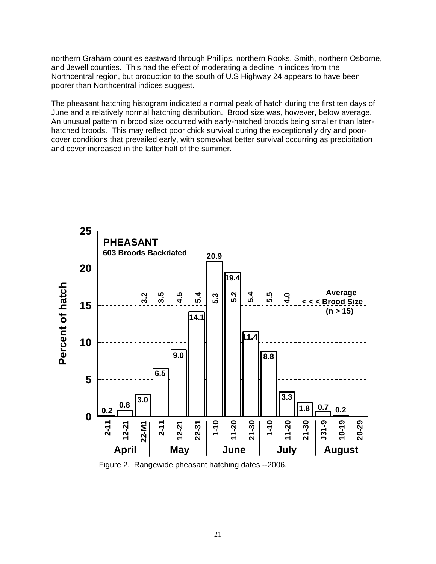northern Graham counties eastward through Phillips, northern Rooks, Smith, northern Osborne, and Jewell counties. This had the effect of moderating a decline in indices from the Northcentral region, but production to the south of U.S Highway 24 appears to have been poorer than Northcentral indices suggest.

The pheasant hatching histogram indicated a normal peak of hatch during the first ten days of June and a relatively normal hatching distribution. Brood size was, however, below average. An unusual pattern in brood size occurred with early-hatched broods being smaller than laterhatched broods. This may reflect poor chick survival during the exceptionally dry and poorcover conditions that prevailed early, with somewhat better survival occurring as precipitation and cover increased in the latter half of the summer.



Figure 2. Rangewide pheasant hatching dates --2006.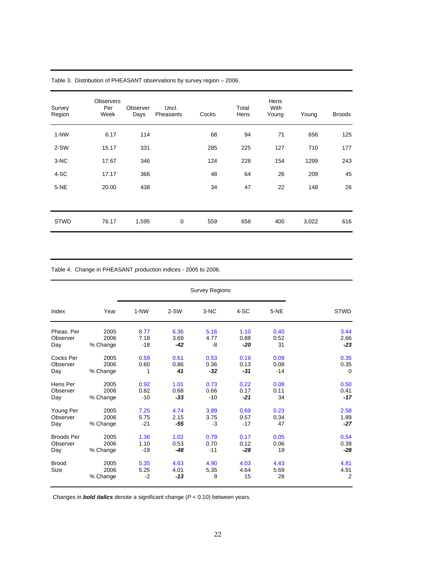| Survey<br>Region | <b>Observers</b><br>Per<br>Week | Observer<br>Days | Uncl.<br>Pheasants | Cocks | Total<br>Hens | Hens<br>With<br>Young | Young | <b>Broods</b> |
|------------------|---------------------------------|------------------|--------------------|-------|---------------|-----------------------|-------|---------------|
| $1-NW$           | 6.17                            | 114              |                    | 68    | 94            | 71                    | 656   | 125           |
| 2-SW             | 15.17                           | 331              |                    | 285   | 225           | 127                   | 710   | 177           |
| 3-NC             | 17.67                           | 346              |                    | 124   | 228           | 154                   | 1299  | 243           |
| 4-SC             | 17.17                           | 366              |                    | 48    | 64            | 26                    | 209   | 45            |
| $5-NE$           | 20.00                           | 438              |                    | 34    | 47            | 22                    | 148   | 26            |
|                  |                                 |                  |                    |       |               |                       |       |               |
| <b>STWD</b>      | 76.17                           | 1,595            | 0                  | 559   | 658           | 400                   | 3,022 | 616           |

Table 3. Distribution of PHEASANT observations by survey region – 2006.

Table 4. Change in PHEASANT production indices - 2005 to 2006.

|                      |                          | <b>Survey Regions</b> |                       |                   |                    |                    |                                |  |
|----------------------|--------------------------|-----------------------|-----------------------|-------------------|--------------------|--------------------|--------------------------------|--|
| Index                | Year                     | 1-NW                  | $2-SW$                | 3-NC              | 4-SC               | 5-NE               | <b>STWD</b>                    |  |
| Pheas, Per           | 2005                     | 8.77                  | 6.36                  | 5.16              | 1.10               | 0.40               | 3.44                           |  |
| Observer             | 2006                     | 7.18                  | 3.69                  | 4.77              | 0.88               | 0.52               | 2.66                           |  |
| Day                  | % Change                 | $-18$                 | -42                   | -8                | $-20$              | 31                 | $-23$                          |  |
| Cocks Per            | 2005                     | 0.59                  | 0.61                  | 0.53              | 0.19               | 0.09               | 0.35                           |  |
| Observer             | 2006                     | 0.60                  | 0.86                  | 0.36              | 0.13               | 0.08               | 0.35                           |  |
| Day                  | % Change                 | 1                     | 41                    | $-32$             | $-31$              | $-14$              | $\Omega$                       |  |
| Hens Per             | 2005                     | 0.92                  | 1.01                  | 0.73              | 0.22               | 0.08               | 0.50                           |  |
| Observer             | 2006                     | 0.82                  | 0.68                  | 0.66              | 0.17               | 0.11               | 0.41                           |  |
| Day                  | % Change                 | $-10$                 | $-33$                 | $-10$             | $-21$              | 34                 | $-17$                          |  |
| Young Per            | 2005                     | 7.25                  | 4.74                  | 3.89              | 0.69               | 0.23               | 2.58                           |  |
| Observer             | 2006                     | 5.75                  | 2.15                  | 3.75              | 0.57               | 0.34               | 1.89                           |  |
| Day                  | % Change                 | $-21$                 | -55                   | -3                | $-17$              | 47                 | -27                            |  |
| <b>Broods Per</b>    | 2005                     | 1.36                  | 1.02                  | 0.79              | 0.17               | 0.05               | 0.54                           |  |
| Observer             | 2006                     | 1.10                  | 0.53                  | 0.70              | 0.12               | 0.06               | 0.39                           |  |
| Day                  | % Change                 | $-19$                 | -48                   | $-11$             | $-28$              | 19                 | -28                            |  |
| <b>Brood</b><br>Size | 2005<br>2006<br>% Change | 5.35<br>5.25<br>$-2$  | 4.63<br>4.01<br>$-13$ | 4.90<br>5.35<br>9 | 4.03<br>4.64<br>15 | 4.43<br>5.69<br>28 | 4.81<br>4.91<br>$\overline{2}$ |  |

Changes in *bold italics* denote a significant change (*P* < 0.10) between years.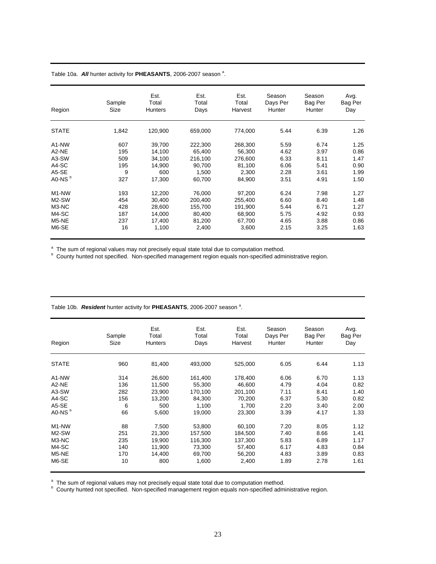#### Table 10a. All hunter activity for PHEASANTS, 2006-2007 season<sup>a</sup>.

| Region                         | Sample<br>Size | Est.<br>Total<br><b>Hunters</b> | Est.<br>Total<br>Days | Est.<br>Total<br>Harvest | Season<br>Days Per<br>Hunter | Season<br>Bag Per<br>Hunter | Avg.<br>Bag Per<br>Day |
|--------------------------------|----------------|---------------------------------|-----------------------|--------------------------|------------------------------|-----------------------------|------------------------|
| <b>STATE</b>                   | 1,842          | 120,900                         | 659,000               | 774,000                  | 5.44                         | 6.39                        | 1.26                   |
| A <sub>1</sub> -N <sub>W</sub> | 607            | 39,700                          | 222,300               | 268,300                  | 5.59                         | 6.74                        | 1.25                   |
| A2-NE                          | 195            | 14,100                          | 65.400                | 56,300                   | 4.62                         | 3.97                        | 0.86                   |
| A3-SW                          | 509            | 34,100                          | 216,100               | 276.600                  | 6.33                         | 8.11                        | 1.47                   |
| A4-SC                          | 195            | 14,900                          | 90,700                | 81,100                   | 6.06                         | 5.41                        | 0.90                   |
| A5-SE                          | 9              | 600                             | 1,500                 | 2,300                    | 2.28                         | 3.61                        | 1.99                   |
| A0-NS <sup>b</sup>             | 327            | 17,300                          | 60,700                | 84,900                   | 3.51                         | 4.91                        | 1.50                   |
| M <sub>1</sub> -N <sub>W</sub> | 193            | 12,200                          | 76,000                | 97,200                   | 6.24                         | 7.98                        | 1.27                   |
| M2-SW                          | 454            | 30,400                          | 200,400               | 255,400                  | 6.60                         | 8.40                        | 1.48                   |
| M3-NC                          | 428            | 28.600                          | 155.700               | 191.900                  | 5.44                         | 6.71                        | 1.27                   |
| M4-SC                          | 187            | 14,000                          | 80,400                | 68,900                   | 5.75                         | 4.92                        | 0.93                   |
| M5-NE                          | 237            | 17,400                          | 81,200                | 67,700                   | 4.65                         | 3.88                        | 0.86                   |
| M6-SE                          | 16             | 1,100                           | 2,400                 | 3,600                    | 2.15                         | 3.25                        | 1.63                   |

<sup>a</sup> The sum of regional values may not precisely equal state total due to computation method.<br><sup>b</sup> County hunted not specified. Non-specified management region equals non-specified administrative region.

| Region                         | Sample<br>Size | Est.<br>Total<br><b>Hunters</b> | Est.<br>Total<br>Days | Est.<br>Total<br>Harvest | Season<br>Days Per<br>Hunter | Season<br>Bag Per<br>Hunter | Avg.<br>Bag Per<br>Day |
|--------------------------------|----------------|---------------------------------|-----------------------|--------------------------|------------------------------|-----------------------------|------------------------|
| <b>STATE</b>                   | 960            | 81,400                          | 493,000               | 525,000                  | 6.05                         | 6.44                        | 1.13                   |
| A1-NW                          | 314            | 26,600                          | 161,400               | 178,400                  | 6.06                         | 6.70                        | 1.13                   |
| A <sub>2</sub> -N <sub>E</sub> | 136            | 11,500                          | 55,300                | 46.600                   | 4.79                         | 4.04                        | 0.82                   |
| A3-SW                          | 282            | 23,900                          | 170,100               | 201,100                  | 7.11                         | 8.41                        | 1.40                   |
| A4-SC                          | 156            | 13,200                          | 84,300                | 70,200                   | 6.37                         | 5.30                        | 0.82                   |
| A5-SE                          | 6              | 500                             | 1,100                 | 1,700                    | 2.20                         | 3.40                        | 2.00                   |
| A0-NS <sup>b</sup>             | 66             | 5,600                           | 19,000                | 23,300                   | 3.39                         | 4.17                        | 1.33                   |
| M <sub>1</sub> -N <sub>W</sub> | 88             | 7,500                           | 53,800                | 60,100                   | 7.20                         | 8.05                        | 1.12                   |
| M2-SW                          | 251            | 21,300                          | 157,500               | 184,500                  | 7.40                         | 8.66                        | 1.41                   |
| M3-NC                          | 235            | 19,900                          | 116,300               | 137,300                  | 5.83                         | 6.89                        | 1.17                   |
| M4-SC                          | 140            | 11.900                          | 73.300                | 57,400                   | 6.17                         | 4.83                        | 0.84                   |
| M5-NE                          | 170            | 14,400                          | 69,700                | 56,200                   | 4.83                         | 3.89                        | 0.83                   |
| M6-SE                          | 10             | 800                             | 1,600                 | 2,400                    | 1.89                         | 2.78                        | 1.61                   |

Table 10b. Resident hunter activity for PHEASANTS, 2006-2007 season<sup>a</sup>.

<sup>a</sup> The sum of regional values may not precisely equal state total due to computation method.<br><sup>b</sup> County hunted not specified. Non-specified management region equals non-specified administrative region.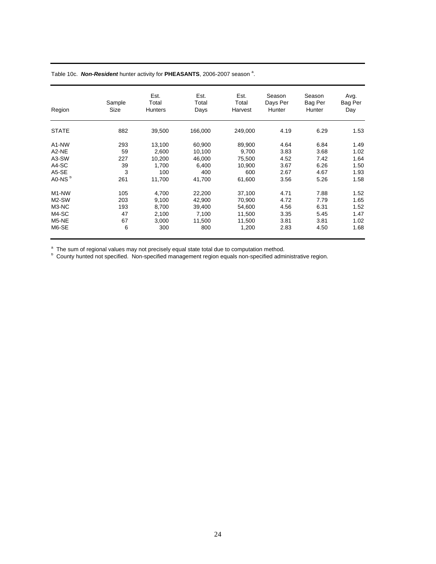#### Table 10c. Non-Resident hunter activity for PHEASANTS, 2006-2007 season<sup>a</sup>.

|                                | Sample | Est.<br>Total  | Est.<br>Total | Est.<br>Total | Season<br>Days Per | Season<br>Bag Per | Avg.<br>Bag Per |
|--------------------------------|--------|----------------|---------------|---------------|--------------------|-------------------|-----------------|
| Region                         | Size   | <b>Hunters</b> | Days          | Harvest       | Hunter             | Hunter            | Day             |
| <b>STATE</b>                   | 882    | 39,500         | 166,000       | 249,000       | 4.19               | 6.29              | 1.53            |
| A <sub>1</sub> -N <sub>W</sub> | 293    | 13,100         | 60,900        | 89,900        | 4.64               | 6.84              | 1.49            |
| A <sub>2</sub> -NE             | 59     | 2,600          | 10,100        | 9,700         | 3.83               | 3.68              | 1.02            |
| A3-SW                          | 227    | 10,200         | 46,000        | 75,500        | 4.52               | 7.42              | 1.64            |
| A4-SC                          | 39     | 1.700          | 6,400         | 10,900        | 3.67               | 6.26              | 1.50            |
| A5-SE                          | 3      | 100            | 400           | 600           | 2.67               | 4.67              | 1.93            |
| A0-NS <sup>b</sup>             | 261    | 11,700         | 41,700        | 61,600        | 3.56               | 5.26              | 1.58            |
| M <sub>1</sub> -N <sub>W</sub> | 105    | 4,700          | 22,200        | 37,100        | 4.71               | 7.88              | 1.52            |
| M2-SW                          | 203    | 9,100          | 42,900        | 70.900        | 4.72               | 7.79              | 1.65            |
| M3-NC                          | 193    | 8.700          | 39.400        | 54.600        | 4.56               | 6.31              | 1.52            |
| M4-SC                          | 47     | 2,100          | 7,100         | 11,500        | 3.35               | 5.45              | 1.47            |
| M5-NE                          | 67     | 3,000          | 11,500        | 11,500        | 3.81               | 3.81              | 1.02            |
| M6-SE                          | 6      | 300            | 800           | 1,200         | 2.83               | 4.50              | 1.68            |

<sup>a</sup> The sum of regional values may not precisely equal state total due to computation method.<br><sup>b</sup> County hunted not specified. Non-specified management region equals non-specified administrative region.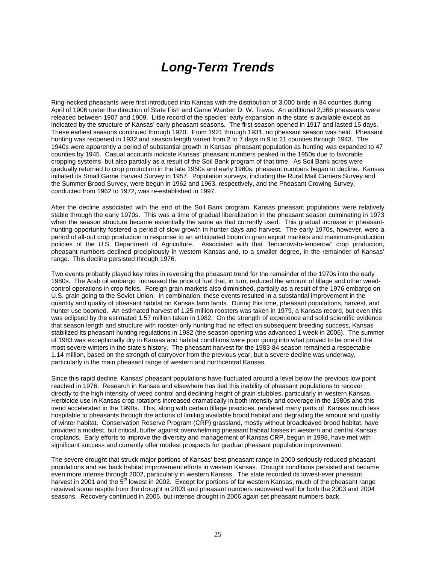# *Long-Term Trends*

Ring-necked pheasants were first introduced into Kansas with the distribution of 3,000 birds in 84 counties during April of 1906 under the direction of State Fish and Game Warden D. W. Travis. An additional 2,366 pheasants were released between 1907 and 1909. Little record of the species' early expansion in the state is available except as indicated by the structure of Kansas' early pheasant seasons. The first season opened in 1917 and lasted 15 days. These earliest seasons continued through 1920. From 1921 through 1931, no pheasant season was held. Pheasant hunting was reopened in 1932 and season length varied from 2 to 7 days in 9 to 21 counties through 1943. The 1940s were apparently a period of substantial growth in Kansas' pheasant population as hunting was expanded to 47 counties by 1945. Casual accounts indicate Kansas' pheasant numbers peaked in the 1950s due to favorable cropping systems, but also partially as a result of the Soil Bank program of that time. As Soil Bank acres were gradually returned to crop production in the late 1950s and early 1960s, pheasant numbers began to decline. Kansas initiated its Small Game Harvest Survey in 1957. Population surveys, including the Rural Mail Carriers Survey and the Summer Brood Survey, were begun in 1962 and 1963, respectively, and the Pheasant Crowing Survey, conducted from 1962 to 1972, was re-established in 1997.

After the decline associated with the end of the Soil Bank program, Kansas pheasant populations were relatively stable through the early 1970s. This was a time of gradual liberalization in the pheasant season culminating in 1973 when the season structure became essentially the same as that currently used. This gradual increase in pheasanthunting opportunity fostered a period of slow growth in hunter days and harvest. The early 1970s, however, were a period of all-out crop production in response to an anticipated boom in grain export markets and maximum-production policies of the U.S. Department of Agriculture. Associated with that "fencerow-to-fencerow" crop production, pheasant numbers declined precipitously in western Kansas and, to a smaller degree, in the remainder of Kansas' range. This decline persisted through 1976.

Two events probably played key roles in reversing the pheasant trend for the remainder of the 1970s into the early 1980s. The Arab oil embargo increased the price of fuel that, in turn, reduced the amount of tillage and other weedcontrol operations in crop fields. Foreign grain markets also diminished, partially as a result of the 1976 embargo on U.S. grain going to the Soviet Union. In combination, these events resulted in a substantial improvement in the quantity and quality of pheasant habitat on Kansas farm lands. During this time, pheasant populations, harvest, and hunter use boomed. An estimated harvest of 1.25 million roosters was taken in 1979, a Kansas record, but even this was eclipsed by the estimated 1.57 million taken in 1982. On the strength of experience and solid scientific evidence that season length and structure with rooster-only hunting had no effect on subsequent breeding success, Kansas stabilized its pheasant-hunting regulations in 1982 (the season opening was advanced 1 week in 2006). The summer of 1983 was exceptionally dry in Kansas and habitat conditions were poor going into what proved to be one of the most severe winters in the state's history. The pheasant harvest for the 1983-84 season remained a respectable 1.14 million, based on the strength of carryover from the previous year, but a severe decline was underway, particularly in the main pheasant range of western and northcentral Kansas.

Since this rapid decline, Kansas' pheasant populations have fluctuated around a level below the previous low point reached in 1976. Research in Kansas and elsewhere has tied this inability of pheasant populations to recover directly to the high intensity of weed control and declining height of grain stubbles, particularly in western Kansas. Herbicide use in Kansas crop rotations increased dramatically in both intensity and coverage in the 1980s and this trend accelerated in the 1990s. This, along with certain tillage practices, rendered many parts of Kansas much less hospitable to pheasants through the actions of limiting available brood habitat and degrading the amount and quality of winter habitat. Conservation Reserve Program (CRP) grassland, mostly without broadleaved brood habitat, have provided a modest, but critical, buffer against overwhelming pheasant habitat losses in western and central Kansas croplands. Early efforts to improve the diversity and management of Kansas CRP, begun in 1998, have met with significant success and currently offer modest prospects for gradual pheasant population improvement.

The severe drought that struck major portions of Kansas' best pheasant range in 2000 seriously reduced pheasant populations and set back habitat improvement efforts in western Kansas. Drought conditions persisted and became even more intense through 2002, particularly in western Kansas. The state recorded its lowest-ever pheasant harvest in 2001 and the 5<sup>th</sup> lowest in 2002. Except for portions of far western Kansas, much of the pheasant range received some respite from the drought in 2003 and pheasant numbers recovered well for both the 2003 and 2004 seasons. Recovery continued in 2005, but intense drought in 2006 again set pheasant numbers back.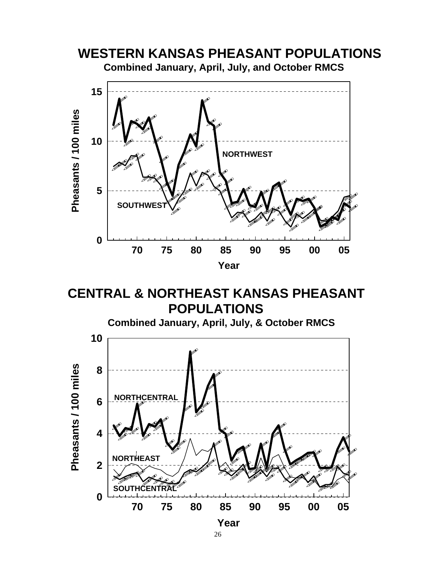

**CENTRAL & NORTHEAST KANSAS PHEASANT POPULATIONS**

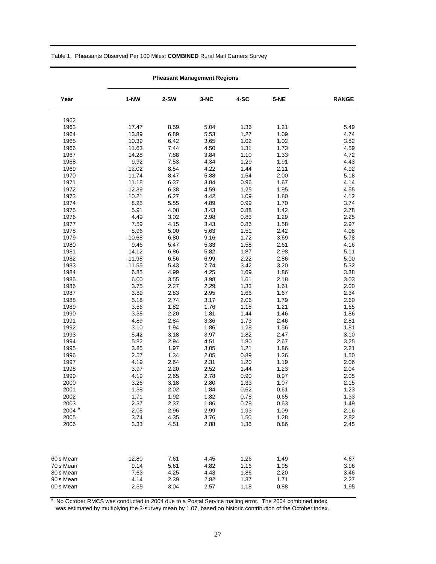#### Table 1. Pheasants Observed Per 100 Miles: **COMBINED** Rural Mail Carriers Survey

| Year                | $1-NW$ | $2-SW$ | $3-NC$ | 4-SC | $5-NE$ | <b>RANGE</b> |
|---------------------|--------|--------|--------|------|--------|--------------|
| 1962                |        |        |        |      |        |              |
| 1963                | 17.47  | 8.59   | 5.04   | 1.36 | 1.21   | 5.49         |
| 1964                | 13.89  | 6.89   | 5.53   | 1.27 | 1.09   | 4.74         |
| 1965                | 10.39  | 6.42   | 3.65   | 1.02 | 1.02   | 3.82         |
| 1966                | 11.63  | 7.44   | 4.50   | 1.31 | 1.73   | 4.59         |
| 1967                | 14.28  | 7.88   | 3.84   | 1.10 | 1.33   | 4.72         |
| 1968                | 9.92   | 7.53   | 4.34   | 1.29 | 1.91   | 4.43         |
| 1969                | 12.02  | 8.54   | 4.22   | 1.44 | 2.11   | 4.92         |
| 1970                | 11.74  | 8.47   | 5.88   | 1.54 | 2.00   | 5.18         |
| 1971                | 11.18  | 6.37   | 3.84   | 0.96 | 1.67   | 4.14         |
| 1972                | 12.39  | 6.38   | 4.59   | 1.25 | 1.95   | 4.55         |
| 1973                | 10.21  | 6.27   | 4.42   | 1.09 | 1.80   | 4.12         |
| 1974                | 8.25   | 5.55   | 4.89   | 0.99 | 1.70   | 3.74         |
| 1975                | 5.91   | 4.08   | 3.43   | 0.88 | 1.42   | 2.78         |
| 1976                | 4.49   | 3.02   | 2.98   | 0.83 | 1.29   | 2.25         |
| 1977                | 7.59   | 4.15   | 3.43   | 0.86 | 1.58   | 2.97         |
| 1978                | 8.96   | 5.00   | 5.63   | 1.51 | 2.42   | 4.08         |
| 1979                | 10.68  | 6.80   | 9.16   | 1.72 | 3.69   | 5.78         |
| 1980                | 9.46   | 5.47   | 5.33   | 1.58 | 2.61   | 4.16         |
| 1981                | 14.12  | 6.86   | 5.82   | 1.87 | 2.98   | 5.11         |
| 1982                | 11.98  | 6.56   | 6.99   | 2.22 | 2.86   | 5.00         |
| 1983                | 11.55  | 5.43   | 7.74   | 3.42 | 3.20   | 5.32         |
| 1984                | 6.85   | 4.99   | 4.25   | 1.69 | 1.86   | 3.38         |
| 1985                | 6.00   | 3.55   | 3.98   | 1.61 | 2.18   | 3.03         |
| 1986                | 3.75   | 2.27   | 2.29   | 1.33 | 1.61   | 2.00         |
| 1987                | 3.89   | 2.83   | 2.95   | 1.66 | 1.67   | 2.34         |
| 1988                | 5.18   | 2.74   | 3.17   | 2.06 | 1.79   | 2.60         |
| 1989                | 3.56   | 1.82   | 1.76   | 1.18 | 1.21   | 1.65         |
| 1990                | 3.35   | 2.20   | 1.81   | 1.44 | 1.46   | 1.86         |
| 1991                | 4.89   | 2.84   | 3.36   | 1.73 | 2.46   | 2.81         |
| 1992                | 3.10   | 1.94   | 1.86   | 1.28 | 1.56   | 1.81         |
| 1993                | 5.42   | 3.18   | 3.97   | 1.82 | 2.47   | 3.10         |
| 1994                | 5.82   | 2.94   | 4.51   | 1.80 | 2.67   | 3.25         |
| 1995                | 3.85   | 1.97   | 3.05   | 1.21 | 1.86   | 2.21         |
| 1996                | 2.57   | 1.34   | 2.05   | 0.89 | 1.26   | 1.50         |
| 1997                | 4.19   | 2.64   | 2.31   | 1.20 | 1.19   | 2.06         |
| 1998                | 3.97   | 2.20   | 2.52   | 1.44 | 1.23   | 2.04         |
| 1999                | 4.19   | 2.65   | 2.78   | 0.90 | 0.97   | 2.05         |
| 2000                | 3.26   | 3.18   | 2.80   | 1.33 | 1.07   | 2.15         |
| 2001                | 1.38   | 2.02   | 1.84   | 0.62 | 0.61   | 1.23         |
| 2002                | 1.71   | 1.92   | 1.82   | 0.78 | 0.65   | 1.33         |
| 2003                | 2.37   | 2.37   | 1.86   | 0.78 | 0.63   | 1.49         |
| $2004$ <sup>a</sup> | 2.05   | 2.96   | 2.99   | 1.93 | 1.09   | 2.16         |
| 2005                | 3.74   | 4.35   | 3.76   | 1.50 | 1.28   | 2.82         |
| 2006                | 3.33   | 4.51   | 2.88   | 1.36 | 0.86   | 2.45         |
|                     |        |        |        |      |        |              |
| 60's Mean           | 12.80  | 7.61   | 4.45   | 1.26 | 1.49   | 4.67         |
| 70's Mean           | 9.14   | 5.61   | 4.82   | 1.16 | 1.95   | 3.96         |
| 80's Mean           | 7.63   | 4.25   | 4.43   | 1.86 | 2.20   | 3.46         |
| 90's Mean           | 4.14   | 2.39   | 2.82   | 1.37 | 1.71   | 2.27         |
| 00's Mean           | 2.55   | 3.04   | 2.57   | 1.18 | 0.88   | 1.95         |

#### **Pheasant Management Regions**

<sup>a</sup> No October RMCS was conducted in 2004 due to a Postal Service mailing error. The 2004 combined index was estimated by multiplying the 3-survey mean by 1.07, based on historic contribution of the October index.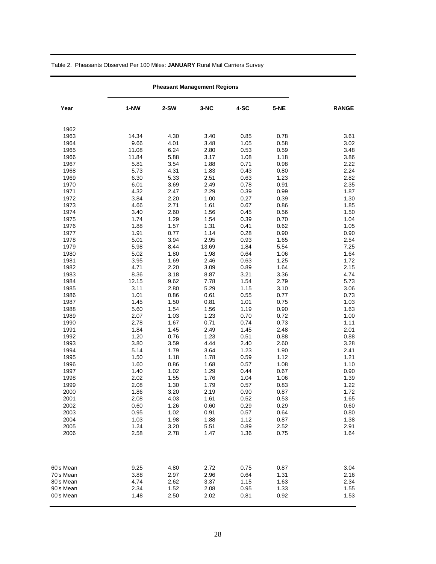| Year                   | $1-NW$       | 2-SW | 3-NC         | 4-SC | $5-NE$       | <b>RANGE</b> |
|------------------------|--------------|------|--------------|------|--------------|--------------|
| 1962                   |              |      |              |      |              |              |
| 1963                   | 14.34        | 4.30 | 3.40         | 0.85 | 0.78         | 3.61         |
| 1964                   | 9.66         | 4.01 | 3.48         | 1.05 | 0.58         | 3.02         |
| 1965                   | 11.08        | 6.24 | 2.80         | 0.53 | 0.59         | 3.48         |
| 1966                   | 11.84        | 5.88 | 3.17         | 1.08 | 1.18         | 3.86         |
| 1967                   | 5.81         | 3.54 | 1.88         | 0.71 | 0.98         | 2.22         |
| 1968                   | 5.73         | 4.31 | 1.83         | 0.43 | 0.80         | 2.24         |
| 1969                   | 6.30         | 5.33 | 2.51         | 0.63 | 1.23         | 2.82         |
| 1970                   | 6.01         | 3.69 | 2.49         | 0.78 | 0.91         | 2.35         |
| 1971                   | 4.32         | 2.47 | 2.29         | 0.39 | 0.99         | 1.87         |
| 1972                   | 3.84         | 2.20 | 1.00         | 0.27 | 0.39         | 1.30         |
| 1973                   | 4.66         | 2.71 | 1.61         | 0.67 | 0.86         | 1.85         |
| 1974                   | 3.40         | 2.60 | 1.56         | 0.45 | 0.56         | 1.50         |
| 1975                   | 1.74         | 1.29 | 1.54         | 0.39 | 0.70         | 1.04         |
| 1976                   | 1.88         | 1.57 | 1.31         | 0.41 | 0.62         | 1.05         |
| 1977                   | 1.91         | 0.77 | 1.14         | 0.28 | 0.90         | 0.90         |
| 1978                   | 5.01         | 3.94 | 2.95         | 0.93 | 1.65         | 2.54         |
| 1979                   | 5.98         | 8.44 | 13.69        | 1.84 | 5.54         | 7.25         |
| 1980                   | 5.02         | 1.80 | 1.98         | 0.64 | 1.06         | 1.64         |
| 1981                   | 3.95         | 1.69 | 2.46         | 0.63 | 1.25         | 1.72         |
| 1982                   | 4.71         | 2.20 | 3.09         | 0.89 | 1.64         | 2.15         |
| 1983                   | 8.36         | 3.18 | 8.87         | 3.21 | 3.36         | 4.74         |
| 1984                   | 12.15        | 9.62 | 7.78         | 1.54 | 2.79         | 5.73         |
| 1985                   | 3.11         | 2.80 | 5.29         | 1.15 | 3.10         | 3.06         |
| 1986                   | 1.01         | 0.86 | 0.61         | 0.55 | 0.77         | 0.73         |
| 1987                   | 1.45         | 1.50 | 0.81         | 1.01 | 0.75         | 1.03         |
| 1988                   | 5.60         | 1.54 | 1.56         | 1.19 | 0.90         | 1.63         |
| 1989                   | 2.07         | 1.03 | 1.23         | 0.70 | 0.72         | 1.00         |
| 1990                   | 2.78         | 1.67 | 0.71         | 0.74 | 0.73         | 1.11         |
| 1991                   | 1.84         | 1.45 | 2.49         | 1.45 | 2.48         | 2.01         |
| 1992                   | 1.20         | 0.76 | 1.23         | 0.51 | 0.88         | 0.88         |
| 1993                   | 3.80         | 3.59 | 4.44         | 2.40 | 2.60         | 3.28         |
| 1994                   | 5.14         | 1.79 | 3.64         | 1.23 | 1.90         | 2.41         |
| 1995                   | 1.50         | 1.18 | 1.78         | 0.59 | 1.12         | 1.21         |
| 1996                   | 1.60         | 0.86 | 1.68         | 0.57 | 1.08         | 1.10         |
| 1997                   | 1.40         | 1.02 | 1.29         | 0.44 | 0.67         | 0.90         |
| 1998                   | 2.02         | 1.55 | 1.76         | 1.04 | 1.06         | 1.39         |
| 1999                   | 2.08         | 1.30 | 1.79         | 0.57 | 0.83         | 1.22         |
| 2000                   | 1.86         | 3.20 | 2.19         | 0.90 | 0.87         | 1.72         |
| 2001                   | 2.08         | 4.03 | 1.61         | 0.52 | 0.53         | 1.65         |
| 2002                   | 0.60         | 1.26 | 0.60         | 0.29 | 0.29         | 0.60         |
| 2003                   | 0.95         | 1.02 | 0.91         | 0.57 | 0.64         | 0.80         |
| 2004                   | 1.03         | 1.98 | 1.88         | 1.12 | 0.87         | 1.38         |
| 2005                   | 1.24         | 3.20 | 5.51         | 0.89 | 2.52         | 2.91         |
| 2006                   | 2.58         | 2.78 | 1.47         | 1.36 | 0.75         | 1.64         |
|                        |              |      |              |      |              |              |
| 60's Mean              | 9.25         | 4.80 | 2.72         | 0.75 | 0.87         | 3.04         |
| 70's Mean              | 3.88         | 2.97 | 2.96         | 0.64 | 1.31         | 2.16         |
| 80's Mean              | 4.74         | 2.62 | 3.37         | 1.15 | 1.63         | 2.34         |
| 90's Mean<br>00's Mean | 2.34<br>1.48 | 1.52 | 2.08<br>2.02 | 0.95 | 1.33<br>0.92 | 1.55<br>1.53 |
|                        |              | 2.50 |              | 0.81 |              |              |

Table 2. Pheasants Observed Per 100 Miles: **JANUARY** Rural Mail Carriers Survey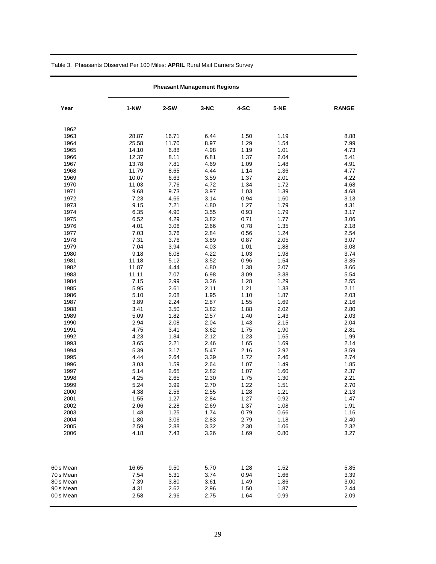| Year      | $1-NW$ | $2-SW$ | $3-NC$ | 4-SC | $5-NE$ | <b>RANGE</b> |
|-----------|--------|--------|--------|------|--------|--------------|
| 1962      |        |        |        |      |        |              |
| 1963      | 28.87  | 16.71  | 6.44   | 1.50 | 1.19   | 8.88         |
| 1964      | 25.58  | 11.70  | 8.97   | 1.29 | 1.54   | 7.99         |
| 1965      | 14.10  | 6.88   | 4.98   | 1.19 | 1.01   | 4.73         |
| 1966      | 12.37  | 8.11   | 6.81   | 1.37 | 2.04   | 5.41         |
| 1967      | 13.78  | 7.81   | 4.69   | 1.09 | 1.48   | 4.91         |
| 1968      | 11.79  | 8.65   | 4.44   | 1.14 | 1.36   | 4.77         |
| 1969      | 10.07  | 6.63   | 3.59   | 1.37 | 2.01   | 4.22         |
| 1970      | 11.03  | 7.76   | 4.72   | 1.34 | 1.72   | 4.68         |
| 1971      | 9.68   | 9.73   | 3.97   | 1.03 | 1.39   | 4.68         |
| 1972      | 7.23   | 4.66   | 3.14   | 0.94 | 1.60   | 3.13         |
| 1973      | 9.15   | 7.21   | 4.80   | 1.27 | 1.79   | 4.31         |
| 1974      | 6.35   | 4.90   | 3.55   | 0.93 | 1.79   | 3.17         |
| 1975      | 6.52   | 4.29   | 3.82   | 0.71 | 1.77   | 3.06         |
| 1976      | 4.01   | 3.06   | 2.66   | 0.78 | 1.35   | 2.18         |
| 1977      | 7.03   | 3.76   | 2.84   | 0.56 | 1.24   | 2.54         |
| 1978      | 7.31   | 3.76   | 3.89   | 0.87 | 2.05   | 3.07         |
| 1979      | 7.04   | 3.94   | 4.03   | 1.01 | 1.88   | 3.08         |
| 1980      | 9.18   | 6.08   | 4.22   | 1.03 | 1.98   | 3.74         |
| 1981      | 11.18  | 5.12   | 3.52   | 0.96 | 1.54   | 3.35         |
| 1982      | 11.87  | 4.44   | 4.80   | 1.38 | 2.07   | 3.66         |
| 1983      | 11.11  | 7.07   | 6.98   | 3.09 | 3.38   | 5.54         |
| 1984      | 7.15   | 2.99   | 3.26   | 1.28 | 1.29   | 2.55         |
| 1985      | 5.95   | 2.61   | 2.11   | 1.21 | 1.33   | 2.11         |
| 1986      | 5.10   | 2.08   | 1.95   | 1.10 | 1.87   | 2.03         |
| 1987      | 3.89   | 2.24   | 2.87   | 1.55 | 1.69   | 2.16         |
| 1988      | 3.41   | 3.50   | 3.82   | 1.88 | 2.02   | 2.80         |
| 1989      | 5.09   | 1.82   | 2.57   | 1.40 | 1.43   | 2.03         |
| 1990      | 2.94   | 2.08   | 2.04   | 1.43 | 2.15   | 2.04         |
| 1991      | 4.75   | 3.41   | 3.62   | 1.75 | 1.90   | 2.81         |
| 1992      | 4.23   | 1.84   | 2.12   | 1.23 | 1.65   | 1.99         |
| 1993      | 3.65   | 2.21   | 2.46   | 1.65 | 1.69   | 2.14         |
| 1994      | 5.39   | 3.17   | 5.47   | 2.16 | 2.92   | 3.59         |
| 1995      | 4.44   | 2.64   | 3.39   | 1.72 | 2.46   | 2.74         |
| 1996      | 3.03   | 1.59   | 2.64   | 1.07 | 1.49   | 1.85         |
| 1997      | 5.14   | 2.65   | 2.82   | 1.07 | 1.60   | 2.37         |
| 1998      | 4.25   | 2.65   | 2.30   | 1.75 | 1.30   | 2.21         |
| 1999      | 5.24   | 3.99   | 2.70   | 1.22 | 1.51   | 2.70         |
| 2000      | 4.38   | 2.56   | 2.55   | 1.28 | 1.21   | 2.13         |
| 2001      | 1.55   | 1.27   | 2.84   | 1.27 | 0.92   | 1.47         |
| 2002      | 2.06   | 2.28   | 2.69   | 1.37 | 1.08   | 1.91         |
| 2003      | 1.48   | 1.25   | 1.74   | 0.79 | 0.66   | 1.16         |
| 2004      | 1.80   | 3.06   | 2.83   | 2.79 | 1.18   | 2.40         |
| 2005      | 2.59   | 2.88   | 3.32   | 2.30 | 1.06   | 2.32         |
| 2006      | 4.18   | 7.43   | 3.26   | 1.69 | 0.80   | 3.27         |
| 60's Mean | 16.65  | 9.50   | 5.70   | 1.28 | 1.52   | 5.85         |
| 70's Mean | 7.54   | 5.31   | 3.74   | 0.94 | 1.66   | 3.39         |
| 80's Mean | 7.39   | 3.80   | 3.61   | 1.49 | 1.86   | 3.00         |
| 90's Mean | 4.31   | 2.62   | 2.96   | 1.50 | 1.87   | 2.44         |
| 00's Mean | 2.58   | 2.96   | 2.75   | 1.64 | 0.99   | 2.09         |

Table 3. Pheasants Observed Per 100 Miles: **APRIL** Rural Mail Carriers Survey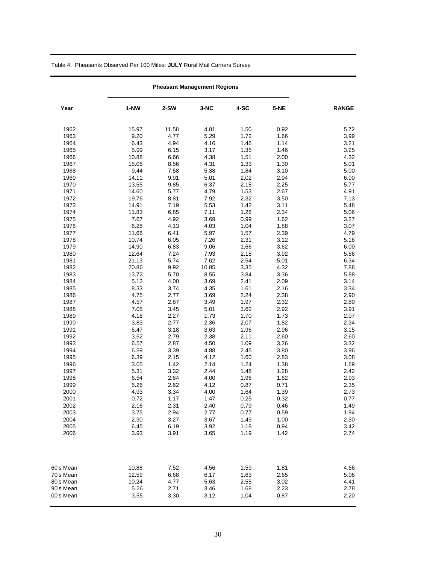| Year      | $1-NW$       | 2-SW         | $3-NC$       | 4-SC         | 5-NE         | <b>RANGE</b> |
|-----------|--------------|--------------|--------------|--------------|--------------|--------------|
| 1962      | 15.97        | 11.58        | 4.81         | 1.50         | 0.92         | 5.72         |
| 1963      | 9.20         | 4.77         | 5.29         | 1.72         | 1.66         | 3.99         |
| 1964      | 6.43         | 4.94         | 4.16         | 1.46         | 1.14         | 3.21         |
| 1965      | 5.99         | 6.15         | 3.17         | 1.35         | 1.46         | 3.25         |
| 1966      | 10.88        | 6.66         | 4.38         | 1.51         | 2.00         | 4.32         |
| 1967      | 15.06        | 8.56         | 4.31         | 1.33         | 1.30         | 5.01         |
| 1968      | 9.44         | 7.58         | 5.38         | 1.84         | 3.10         | 5.00         |
| 1969      | 14.11        | 9.91         | 5.01         | 2.02         | 2.94         | 6.00         |
| 1970      | 13.55        | 9.85         | 6.37         | 2.18         | 2.25         | 5.77         |
| 1971      | 14.60        | 5.77         | 4.79         | 1.53         | 2.67         | 4.91         |
| 1972      | 19.76        | 8.81         | 7.92         | 2.32         | 3.50         | 7.13         |
| 1973      | 14.91        | 7.19         | 5.53         | 1.42         | 3.11         | 5.48         |
| 1974      | 11.83        | 6.85         | 7.11         | 1.26         | 2.34         | 5.06         |
| 1975      | 7.67         | 4.92         | 3.69         | 0.99         | 1.62         | 3.27         |
| 1976      | 6.28         | 4.13         | 4.03         | 1.04         | 1.88         | 3.07         |
| 1977      | 11.66        | 6.41         | 5.97         | 1.57         | 2.39         | 4.79         |
| 1978      | 10.74        | 6.05         | 7.26         | 2.31         | 3.12         | 5.16         |
| 1979      | 14.90        | 6.83         | 9.06         | 1.66         | 3.62         | 6.00         |
| 1980      | 12.64        | 7.24         | 7.93         | 2.18         | 3.92         | 5.86         |
| 1981      | 21.13        | 5.74         | 7.02         | 2.54         | 5.01         | 6.34         |
| 1982      | 20.86        | 9.92         | 10.85        | 3.35         | 4.32         | 7.88         |
| 1983      | 13.72        | 5.70         | 8.55         | 3.84         | 3.36         | 5.88         |
| 1984      | 5.12         | 4.00         | 3.69         | 2.41         | 2.09         | 3.14         |
| 1985      | 8.33         | 3.74         | 4.35         | 1.61         | 2.16         | 3.34         |
| 1986      | 4.75         | 2.77         | 3.69         | 2.24         | 2.38         | 2.90         |
| 1987      | 4.57         | 2.87         | 3.49         | 1.97         | 2.32         | 2.80         |
| 1988      | 7.05         | 3.45         | 5.01         | 3.62         | 2.92         | 3.91         |
| 1989      | 4.18         | 2.27         | 1.73         | 1.70         | 1.73         | 2.07         |
| 1990      | 3.83         | 2.77         | 2.36         | 2.07         | 1.82         | 2.34         |
| 1991      | 5.47         | 3.18         | 3.63         | 1.96         | 2.96         | 3.15         |
| 1992      | 3.62         | 2.79         | 2.38         | 2.11         | 2.60         | 2.60         |
| 1993      | 6.57         | 2.87         | 4.50         | 1.09         | 3.26         | 3.32         |
| 1994      | 6.59         | 3.39         | 4.88         | 2.45         | 3.80         | 3.96         |
| 1995      | 6.39         | 2.15         | 4.12         | 1.60         | 2.83         | 3.08         |
| 1996      | 3.05         | 1.42         | 2.14         | 1.24         | 1.38         | 1.69         |
| 1997      | 5.31         | 3.32         | 2.44         | 1.48         | 1.28         | 2.42         |
| 1998      | 6.54         | 2.64         | 4.00         | 1.96         | 1.62         | 2.93         |
| 1999      | 5.26         | 2.62         | 4.12         | 0.87         | 0.71         | 2.35         |
| 2000      | 4.93         | 3.34         | 4.00         | 1.64         | 1.39         | 2.73         |
| 2001      | 0.72         | 1.17         | 1.47         | 0.25         | 0.32         | 0.77         |
| 2002      | 2.16         | 2.31         | 2.40         | 0.79         | 0.46         | 1.49         |
| 2003      | 3.75         | 2.94         | 2.77         | 0.77         | 0.59         | 1.94         |
| 2004      | 2.90         | 3.27         | 3.67         | 1.49         | 1.00         | 2.30         |
| 2005      | 6.45<br>3.93 | 6.19<br>3.91 | 3.92<br>3.65 | 1.18<br>1.19 | 0.94<br>1.42 | 3.42<br>2.74 |
| 2006      |              |              |              |              |              |              |
| 60's Mean | 10.88        | 7.52         | 4.56         | 1.59         | 1.81         | 4.56         |
| 70's Mean | 12.59        | 6.68         | 6.17         | 1.63         | 2.65         | 5.06         |
| 80's Mean | 10.24        | 4.77         | 5.63         | 2.55         | 3.02         | 4.41         |
| 90's Mean | 5.26         | 2.71         | 3.46         | 1.68         | 2.23         | 2.78         |
| 00's Mean | 3.55         | 3.30         | 3.12         | 1.04         | 0.87         | 2.20         |
|           |              |              |              |              |              |              |

Table 4. Pheasants Observed Per 100 Miles: **JULY** Rural Mail Carriers Survey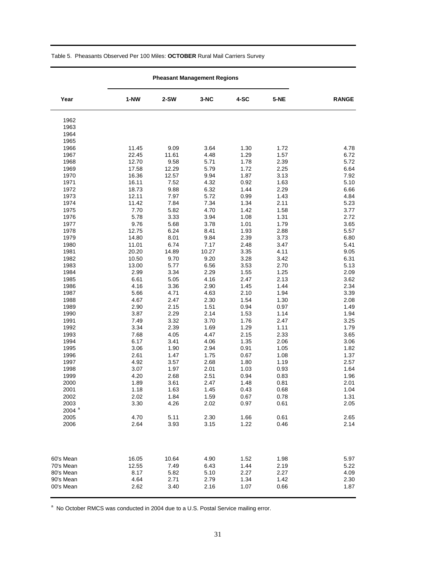| Year                | $1-NW$        | 2-SW         | 3-NC         | 4-SC         | 5-NE         | <b>RANGE</b> |
|---------------------|---------------|--------------|--------------|--------------|--------------|--------------|
| 1962                |               |              |              |              |              |              |
| 1963                |               |              |              |              |              |              |
| 1964                |               |              |              |              |              |              |
| 1965                |               |              |              |              |              |              |
| 1966                | 11.45         | 9.09         | 3.64         | 1.30         | 1.72         | 4.78         |
| 1967                | 22.45         | 11.61        | 4.48         | 1.29         | 1.57         | 6.72         |
| 1968                | 12.70         | 9.58         | 5.71         | 1.78         | 2.39         | 5.72         |
| 1969                | 17.58         | 12.29        | 5.79         | 1.72         | 2.25         | 6.64         |
| 1970                | 16.36         | 12.57        | 9.94         | 1.87         | 3.13         | 7.92         |
| 1971                | 16.11         | 7.52         | 4.32         | 0.92         | 1.63         | 5.10         |
| 1972                | 18.73         | 9.88         | 6.32         | 1.44         | 2.29         | 6.66         |
| 1973                | 12.11         | 7.97         | 5.72         | 0.99         | 1.43         | 4.84         |
| 1974                | 11.42         | 7.84         | 7.34         | 1.34         | 2.11         | 5.23         |
| 1975                | 7.70          | 5.82         | 4.70         | 1.42         | 1.58         | 3.77         |
| 1976                | 5.78          | 3.33         | 3.94         | 1.08         | 1.31         | 2.72         |
| 1977                | 9.76          | 5.68         | 3.78         | 1.01         | 1.79         | 3.65         |
| 1978                | 12.75         | 6.24         | 8.41         | 1.93         | 2.88         | 5.57         |
| 1979                | 14.80         | 8.01         | 9.84         | 2.39         | 3.73         | 6.80         |
| 1980                | 11.01         | 6.74         | 7.17         | 2.48         | 3.47         | 5.41         |
| 1981                | 20.20         | 14.89        | 10.27        | 3.35         | 4.11         | 9.05         |
| 1982                | 10.50         | 9.70         | 9.20         | 3.28         | 3.42         | 6.31         |
| 1983<br>1984        | 13.00<br>2.99 | 5.77<br>3.34 | 6.56<br>2.29 | 3.53<br>1.55 | 2.70<br>1.25 | 5.13<br>2.09 |
| 1985                | 6.61          |              | 4.16         |              | 2.13         | 3.62         |
| 1986                | 4.16          | 5.05<br>3.36 | 2.90         | 2.47<br>1.45 | 1.44         | 2.34         |
| 1987                | 5.66          | 4.71         | 4.63         | 2.10         | 1.94         | 3.39         |
| 1988                | 4.67          | 2.47         | 2.30         | 1.54         | 1.30         | 2.08         |
| 1989                | 2.90          | 2.15         | 1.51         | 0.94         | 0.97         | 1.49         |
| 1990                | 3.87          | 2.29         | 2.14         | 1.53         | 1.14         | 1.94         |
| 1991                | 7.49          | 3.32         | 3.70         | 1.76         | 2.47         | 3.25         |
| 1992                | 3.34          | 2.39         | 1.69         | 1.29         | 1.11         | 1.79         |
| 1993                | 7.68          | 4.05         | 4.47         | 2.15         | 2.33         | 3.65         |
| 1994                | 6.17          | 3.41         | 4.06         | 1.35         | 2.06         | 3.06         |
| 1995                | 3.06          | 1.90         | 2.94         | 0.91         | 1.05         | 1.82         |
| 1996                | 2.61          | 1.47         | 1.75         | 0.67         | 1.08         | 1.37         |
| 1997                | 4.92          | 3.57         | 2.68         | 1.80         | 1.19         | 2.57         |
| 1998                | 3.07          | 1.97         | 2.01         | 1.03         | 0.93         | 1.64         |
| 1999                | 4.20          | 2.68         | 2.51         | 0.94         | 0.83         | 1.96         |
| 2000                | 1.89          | 3.61         | 2.47         | 1.48         | 0.81         | 2.01         |
| 2001                | 1.18          | 1.63         | 1.45         | 0.43         | 0.68         | 1.04         |
| 2002                | 2.02          | 1.84         | 1.59         | 0.67         | 0.78         | 1.31         |
| 2003                | 3.30          | 4.26         | 2.02         | 0.97         | 0.61         | 2.05         |
| $2004$ <sup>a</sup> |               |              |              |              |              |              |
| 2005                | 4.70          | 5.11         | 2.30         | 1.66         | 0.61         | 2.65         |
| 2006                | 2.64          | 3.93         | 3.15         | 1.22         | 0.46         | 2.14         |
| 60's Mean           | 16.05         | 10.64        | 4.90         | 1.52         | 1.98         | 5.97         |
| 70's Mean           | 12.55         | 7.49         | 6.43         | 1.44         | 2.19         | 5.22         |
| 80's Mean           | 8.17          | 5.82         | 5.10         | 2.27         | 2.27         | 4.09         |
| 90's Mean           | 4.64          | 2.71         | 2.79         | 1.34         | 1.42         | 2.30         |
| 00's Mean           | 2.62          | 3.40         | 2.16         | 1.07         | 0.66         | 1.87         |

#### Table 5. Pheasants Observed Per 100 Miles: **OCTOBER** Rural Mail Carriers Survey

<sup>a</sup> No October RMCS was conducted in 2004 due to a U.S. Postal Service mailing error.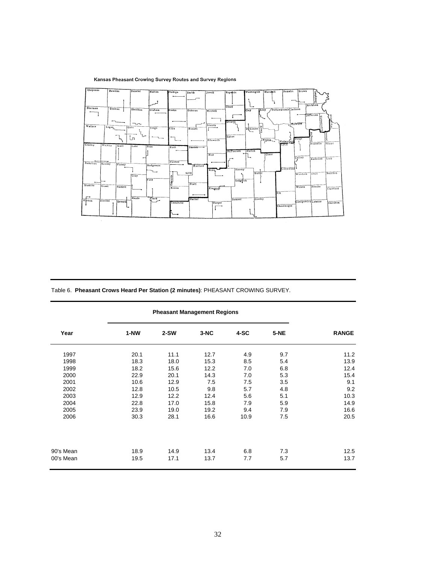### Kansas Pheasant Crowing Survey Routes and Survey Regions

| Largerad<br>Phillips<br>Washington<br>Republic<br>Smith<br>Jewell<br>Atchison<br>Cloud                                  |  |
|-------------------------------------------------------------------------------------------------------------------------|--|
|                                                                                                                         |  |
| Sherman<br>Thomas<br>Pottawatomic Jackson<br>Sheridan<br><b>Diley</b><br>Graham<br>Rooks<br>Clay<br>Osborne<br>Mitchell |  |
| Tellerson<br>اکر<br>coworth<br>Ottawa<br><b>Shiwhee</b><br>$\neg$<br>Lincoln<br>Wallace<br>Logan<br>Gove                |  |
| Geary<br>Trego<br>is.<br>Elb <sub>3</sub><br>Dickinson<br>Russell                                                       |  |
| ã<br>Saline<br>$\mathbf{r}$<br>這<br>Ozage<br>Morris<br>Ellsworth<br>Wabaunste<br>Miami<br>Franklin                      |  |
| Lyon<br>Greetey<br>Wichita<br>Scott<br>Lane<br>Ness<br>Rush<br>$Btr$ <sub>ton</sub> $\rightarrow$                       |  |
| Marion<br>McPherson                                                                                                     |  |
| Chase<br>Rice<br>Coffey<br>Line<br>Anderson<br>Pawnee<br><b>Hamilton</b>                                                |  |
| Kearny<br>Finney<br>Stafford <sup>4</sup><br>Hodgeman                                                                   |  |
| Greenwood<br>Harvey<br>Reno.<br>Butler<br>Bourbon<br>Allen<br>Woodson<br>Gray<br>÷                                      |  |
| Ford<br>Sedgyfick                                                                                                       |  |
| Pratt<br>Stanton<br>Grant<br>Haskell<br>Neosho<br>Wilson<br>Kiowa<br>Kingman<br>Crawford<br>Elk                         |  |
| Meade<br>Clark<br>Cowley<br><b>Batber</b><br>Morton<br>Sumner                                                           |  |
| Stevens<br>مبر<br>Siontgomery Laboute<br>Seward<br>Comanche<br>Cherokce<br>Harper                                       |  |
| Chautauqua                                                                                                              |  |
|                                                                                                                         |  |

Table 6. **Pheasant Crows Heard Per Station (2 minutes)**: PHEASANT CROWING SURVEY.

|                        | <b>Pheasant Management Regions</b> |              |              |            |            |              |
|------------------------|------------------------------------|--------------|--------------|------------|------------|--------------|
| Year                   | 1-NW                               | $2-SW$       | $3-NC$       | 4-SC       | $5-NE$     | <b>RANGE</b> |
| 1997                   | 20.1                               | 11.1         | 12.7         | 4.9        | 9.7        | 11.2         |
| 1998                   | 18.3                               | 18.0         | 15.3         | 8.5        | 5.4        | 13.9         |
| 1999                   | 18.2                               | 15.6         | 12.2         | 7.0        | 6.8        | 12.4         |
| 2000                   | 22.9                               | 20.1         | 14.3         | 7.0        | 5.3        | 15.4         |
| 2001                   | 10.6                               | 12.9         | 7.5          | 7.5        | 3.5        | 9.1          |
| 2002                   | 12.8                               | 10.5         | 9.8          | 5.7        | 4.8        | 9.2          |
| 2003                   | 12.9                               | 12.2         | 12.4         | 5.6        | 5.1        | 10.3         |
| 2004                   | 22.8                               | 17.0         | 15.8         | 7.9        | 5.9        | 14.9         |
| 2005                   | 23.9                               | 19.0         | 19.2         | 9.4        | 7.9        | 16.6         |
| 2006                   | 30.3                               | 28.1         | 16.6         | 10.9       | 7.5        | 20.5         |
| 90's Mean<br>00's Mean | 18.9<br>19.5                       | 14.9<br>17.1 | 13.4<br>13.7 | 6.8<br>7.7 | 7.3<br>5.7 | 12.5<br>13.7 |
|                        |                                    |              |              |            |            |              |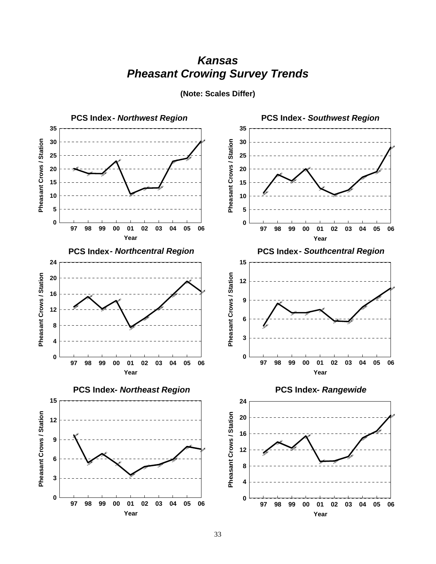## *Kansas Pheasant Crowing Survey Trends*



**(Note: Scales Differ)**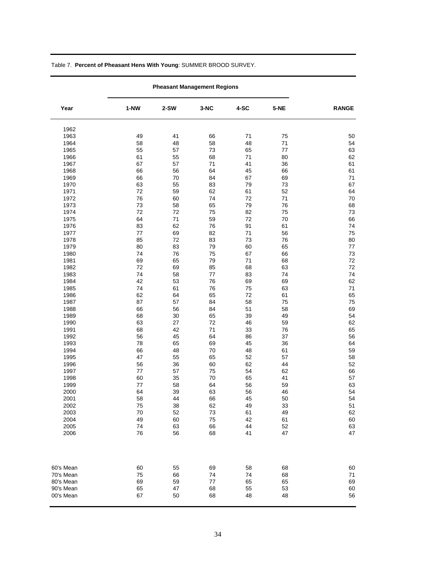| Year         | $1-NW$   | $2-SW$   | 3-NC         | 4-SC     | $5-NE$   | <b>RANGE</b> |
|--------------|----------|----------|--------------|----------|----------|--------------|
| 1962         |          |          |              |          |          |              |
| 1963         | 49       | 41       | 66           | 71       | 75       | 50           |
| 1964         | 58       | 48       | 58           | 48       | 71       | 54           |
| 1965         | 55       | 57       | 73           | 65       | 77       | 63           |
| 1966         | 61       | 55       | 68           | 71       | 80       | 62           |
| 1967         | 67       | 57       | 71           | 41       | 36       | 61           |
| 1968         | 66       | 56       | 64           | 45       | 66       | 61           |
| 1969         | 66       | 70       | 84           | 67       | 69       | 71           |
| 1970         | 63       | 55       | 83           | 79       | 73       | 67           |
| 1971         | 72       | 59       | 62           | 61       | 52       | 64           |
| 1972         | 76       | 60       | 74           | 72       | 71       | 70           |
| 1973         | 73       | 58       | 65           | 79       | 76       | 68           |
| 1974         | 72       | 72       | 75           | 82       | 75       | 73           |
| 1975         | 64       | 71       | 59           | 72       | 70       | 66           |
| 1976         | 83       | 62       | 76           | 91       | 61       | 74           |
| 1977         | 77       | 69       | 82           | 71       | 56       | 75           |
| 1978         | 85       | 72       | 83           | 73       | 76       | 80           |
| 1979         | 80       | 83       | 79           | 60       | 65       | 77           |
| 1980         | 74       | 76       | 75           | 67       | 66       | 73           |
| 1981         | 69       | 65       | 79           | 71       | 68       | $72\,$       |
| 1982         | 72       | 69       | 85           | 68       | 63       | 72           |
| 1983         | 74       | 58       | 77           | 83       | 74       | 74           |
| 1984         | 42       | 53       | 76           | 69       | 69       | 62           |
| 1985         | 74       | 61       | 76           | 75       | 63       | 71           |
| 1986         | 62       | 64       | 65           | 72       | 61       | 65           |
| 1987         | 87       | 57       | 84           | 58       | 75       | 75           |
| 1988         | 66       | 56       | 84           | 51       | 58       | 69           |
| 1989         | 68       | 30       | 65           | 39       | 49       | 54           |
| 1990         | 63       | 27       | 72           | 46       | 59       | 62           |
| 1991         | 68       | 42       | 71           | 33       | 76       | 65           |
| 1992         | 56       | 45       | 64           | 86       | 37       | 56           |
| 1993         | 78       | 65       | 69           | 45       | 36       | 64           |
| 1994         | 66       | 48       | 70           | 48       | 61       | 59           |
| 1995         | 47       | 55       | 65           | 52       | 57       | 58           |
| 1996         | 56       | 36       | 60           | 62       | 44       | 52           |
| 1997         | 77       | 57       | 75           | 54       | 62       | 66           |
| 1998         | 60<br>77 | 35       | 70<br>64     | 65       | 41       | 57           |
| 1999         |          | 58       |              | 56       | 59       | 63           |
| 2000<br>2001 | 64<br>58 | 39<br>44 | 63<br>66     | 56<br>45 | 46<br>50 | 54<br>54     |
|              |          |          |              |          |          |              |
| 2002<br>2003 | 75<br>70 | 38<br>52 | 62<br>$73\,$ | 49<br>61 | 33<br>49 | 51<br>62     |
| 2004         | 49       | 60       | 75           | 42       | 61       | 60           |
| 2005         | 74       | 63       | 66           | 44       | 52       | 63           |
| 2006         | 76       | 56       | 68           | 41       | 47       | 47           |
|              |          |          |              |          |          |              |
| 60's Mean    | 60       | 55       | 69           | 58       | 68       | 60           |
| 70's Mean    | 75       | 66       | 74           | 74       | 68       | 71           |
| 80's Mean    | 69       | 59       | 77           | 65       | 65       | 69           |
| 90's Mean    | 65       | 47       | 68           | 55       | 53       | 60           |
| 00's Mean    | 67       | 50       | 68           | 48       | 48       | 56           |

Table 7. **Percent of Pheasant Hens With Young**: SUMMER BROOD SURVEY.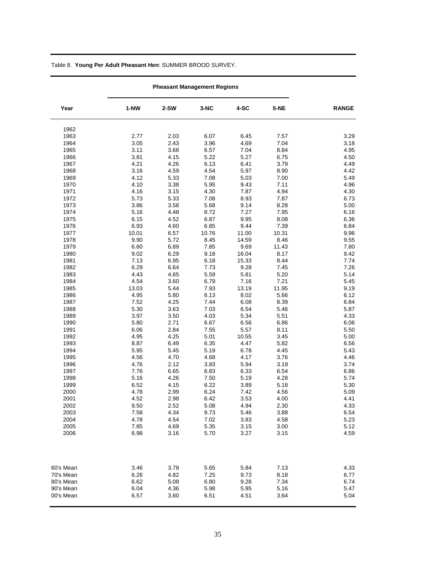| Year         | $1-NW$       | $2-SW$       | $3-NC$       | 4-SC         | 5-NE         | <b>RANGE</b> |
|--------------|--------------|--------------|--------------|--------------|--------------|--------------|
| 1962         |              |              |              |              |              |              |
| 1963         | 2.77         | 2.03         | 6.07         | 6.45         | 7.57         | 3.29         |
| 1964         | 3.05         | 2.43         | 3.96         | 4.69         | 7.04         | 3.18         |
| 1965         | 3.11         | 3.68         | 6.57         | 7.04         | 8.84         | 4.95         |
| 1966         | 3.81         | 4.15         | 5.22         | 5.27         | 6.75         | 4.50         |
| 1967         | 4.21         | 4.26         | 6.13         | 6.41         | 3.79         | 4.49         |
| 1968         | 3.16         | 4.59         | 4.54         | 5.97         | 8.90         | 4.42         |
| 1969         | 4.12         | 5.33         | 7.08         | 5.03         | 7.00         | 5.49         |
| 1970         | 4.10         | 3.38         | 5.95         | 9.43         | 7.11         | 4.96         |
| 1971         | 4.16         | 3.15         | 4.30         | 7.87         | 4.94         | 4.30         |
| 1972         | 5.73         | 5.33         | 7.08         | 8.93         | 7.87         | 6.73         |
| 1973         | 3.86         | 3.58         | 5.68         | 9.14         | 8.28         | 5.00         |
| 1974         | 5.16         | 4.48         | 8.72         | 7.27         | 7.95         | 6.16         |
| 1975         | 6.15         | 4.52         | 6.87         | 9.95         | 8.08         | 6.36         |
| 1976         | 6.93         | 4.60         | 6.85         | 9.44         | 7.39         | 6.84         |
| 1977         | 10.01        | 6.57         | 10.76        | 11.00        | 10.31        | 9.96         |
| 1978         | 9.90         | 5.72         | 8.45         | 14.59        | 8.46         | 9.55         |
| 1979         | 6.60         | 6.89         | 7.85         | 9.69         | 11.43        | 7.80         |
| 1980         | 9.02         | 6.29         | 9.18         | 16.04        | 8.17         | 9.42         |
| 1981         | 7.13         | 6.95         | 6.18         | 15.33        | 8.44         | 7.74         |
| 1982         | 6.29         | 6.64         | 7.73         | 9.28         | 7.45         | 7.26         |
| 1983         | 4.43         | 4.65         | 5.59         | 5.81         | 5.20         | 5.14         |
| 1984         | 4.54         | 3.60         | 6.79         | 7.16         | 7.21         | 5.45         |
| 1985         | 13.03        | 5.44         | 7.93         | 13.19        | 11.95        | 9.19         |
| 1986         | 4.95         | 5.80         | 6.13         | 8.02         | 5.66         | 6.12         |
| 1987         | 7.52         | 4.25         | 7.44         | 6.08         | 8.39         | 6.84         |
| 1988         | 5.30         | 3.63         | 7.03         | 6.54         | 5.46         | 5.87         |
| 1989         | 3.97         | 3.50         | 4.03         | 5.34         | 5.51         | 4.33         |
| 1990         | 5.80         | 2.71         | 6.67         | 6.56         | 6.86         | 6.06         |
| 1991         | 6.06         | 2.84         | 7.55         | 5.57         | 8.11         | 5.50         |
| 1992         | 4.95         | 4.25         | 5.01         | 10.55        | 3.45         | 5.00         |
| 1993         | 8.87         | 6.49         | 6.35         | 4.47         | 5.82         | 6.56         |
| 1994         | 5.95         | 5.45         | 5.19         | 6.78         | 4.45         | 5.43         |
| 1995         | 4.56         | 4.70         | 4.68         | 4.17         | 3.76         | 4.46         |
| 1996         | 4.76         | 2.12         | 3.83         | 5.94         | 3.19         | 3.74         |
| 1997<br>1998 | 7.76<br>5.16 | 6.65<br>4.26 | 6.83<br>7.50 | 6.33<br>5.19 | 6.54<br>4.28 | 6.86<br>5.74 |
| 1999         | 6.52         | 4.15         | 6.22         | 3.89         | 5.18         | 5.30         |
| 2000         | 4.78         | 2.99         |              | 7.42         | 4.56         | 5.09         |
| 2001         | 4.52         | 2.98         | 6.24<br>6.42 | 3.53         | 4.00         | 4.41         |
|              |              |              |              |              |              |              |
| 2002<br>2003 | 9.50<br>7.58 | 2.52<br>4.34 | 5.08<br>9.73 | 4.94<br>5.46 | 2.30<br>3.88 | 4.33<br>6.54 |
| 2004         | 4.78         | 4.54         | 7.02         | 3.83         | 4.58         | 5.23         |
| 2005         | 7.85         | 4.69         | 5.35         | 3.15         | 3.00         | 5.12         |
| 2006         | 6.98         | 3.16         | 5.70         | 3.27         | 3.15         | 4.59         |
|              |              |              |              |              |              |              |
| 60's Mean    | 3.46         | 3.78         | 5.65         | 5.84         | 7.13         | 4.33         |
| 70's Mean    | 6.26         | 4.82         | 7.25         | 9.73         | 8.18         | 6.77         |
| 80's Mean    | 6.62         | 5.08         | 6.80         | 9.28         | 7.34         | 6.74         |
| 90's Mean    | 6.04         | 4.36         | 5.98         | 5.95         | 5.16         | 5.47         |
| 00's Mean    | 6.57         | 3.60         | 6.51         | 4.51         | 3.64         | 5.04         |

Table 8. **Young Per Adult Pheasant Hen**: SUMMER BROOD SURVEY.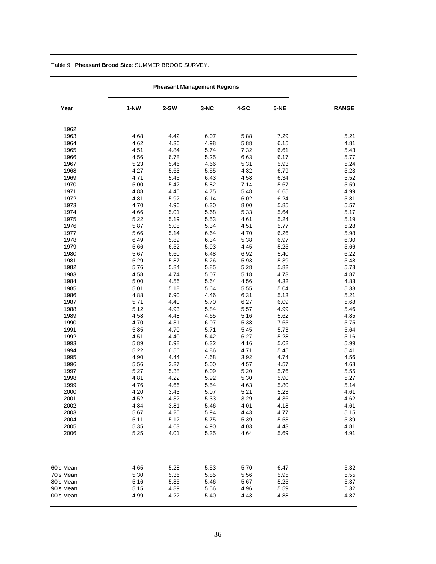### Table 9. **Pheasant Brood Size**: SUMMER BROOD SURVEY.

| Year         | $1-NW$       | 2-SW         | 3-NC         | 4-SC         | 5-NE         | <b>RANGE</b> |
|--------------|--------------|--------------|--------------|--------------|--------------|--------------|
| 1962         |              |              |              |              |              |              |
| 1963         | 4.68         | 4.42         | 6.07         | 5.88         | 7.29         | 5.21         |
| 1964         | 4.62         | 4.36         | 4.98         | 5.88         | 6.15         | 4.81         |
| 1965         | 4.51         | 4.84         | 5.74         | 7.32         | 6.61         | 5.43         |
| 1966         | 4.56         | 6.78         | 5.25         | 6.63         | 6.17         | 5.77         |
| 1967         | 5.23         | 5.46         | 4.66         | 5.31         | 5.93         | 5.24         |
| 1968         | 4.27         | 5.63         | 5.55         | 4.32         | 6.79         | 5.23         |
| 1969         | 4.71         | 5.45         | 6.43         | 4.58         | 6.34         | 5.52         |
| 1970         | 5.00         | 5.42         | 5.82         | 7.14         | 5.67         | 5.59         |
| 1971         | 4.88         | 4.45         | 4.75         | 5.48         | 6.65         | 4.99         |
| 1972         | 4.81         | 5.92         | 6.14         | 6.02         | 6.24         | 5.81         |
| 1973         | 4.70         | 4.96         | 6.30         | 8.00         | 5.85         | 5.57         |
| 1974         | 4.66         | 5.01         | 5.68         | 5.33         | 5.64         | 5.17         |
| 1975         | 5.22         | 5.19         | 5.53         | 4.61         | 5.24         | 5.19         |
| 1976         | 5.87         | 5.08         | 5.34         | 4.51         | 5.77         | 5.28         |
| 1977         | 5.66         | 5.14         | 6.64         | 4.70         | 6.26         | 5.98         |
| 1978         | 6.49         | 5.89         | 6.34         | 5.38         | 6.97         | 6.30         |
| 1979         | 5.66         | 6.52         | 5.93         | 4.45         | 5.25         | 5.66         |
| 1980         | 5.67         | 6.60         | 6.48         | 6.92         | 5.40         | 6.22         |
| 1981         | 5.29         | 5.87         | 5.26         | 5.93         | 5.39         | 5.48         |
| 1982         | 5.76         | 5.84         | 5.85         | 5.28         | 5.82         | 5.73         |
| 1983         | 4.58         | 4.74         | 5.07         | 5.18         | 4.73         | 4.87         |
| 1984         | 5.00         | 4.56         | 5.64         | 4.56         | 4.32         | 4.83         |
| 1985         | 5.01         | 5.18         | 5.64         | 5.55         | 5.04         | 5.33         |
| 1986         | 4.88         | 6.90         | 4.46         | 6.31         | 5.13         | 5.21         |
| 1987         | 5.71         | 4.40         | 5.70         | 6.27         | 6.09         | 5.68         |
| 1988         | 5.12         | 4.93         | 5.84         | 5.57         | 4.99         | 5.46         |
| 1989         | 4.58         | 4.48         | 4.65         | 5.16         | 5.62         | 4.85         |
| 1990         | 4.70         | 4.31         | 6.07         | 5.38         | 7.65         | 5.75         |
| 1991         | 5.85         | 4.70         | 5.71         | 5.45         | 5.73         | 5.64         |
| 1992         | 4.51         | 4.40         | 5.42         | 6.27         | 5.28         | 5.16         |
| 1993         | 5.89         | 6.98         | 6.32         | 4.16         | 5.02         | 5.99         |
| 1994         | 5.22         | 6.56         | 4.86         | 4.71         | 5.45         | 5.41         |
| 1995         | 4.90         | 4.44         | 4.68         | 3.92         | 4.74         | 4.56         |
| 1996         | 5.56         | 3.27         | 5.00         | 4.57         | 4.57         | 4.68<br>5.55 |
| 1997         | 5.27         | 5.38         | 6.09         | 5.20         | 5.76         |              |
| 1998<br>1999 | 4.81<br>4.76 | 4.22<br>4.66 | 5.92<br>5.54 | 5.30<br>4.63 | 5.90<br>5.80 | 5.27<br>5.14 |
| 2000         | 4.20         | 3.43         | 5.07         | 5.21         | 5.23         | 4.61         |
| 2001         | 4.52         | 4.32         | 5.33         | 3.29         | 4.36         | 4.62         |
| 2002         | 4.84         |              |              | 4.01         |              | 4.61         |
| 2003         | 5.67         | 3.81<br>4.25 | 5.46<br>5.94 | 4.43         | 4.18<br>4.77 | 5.15         |
| 2004         | 5.11         | 5.12         | 5.75         | 5.39         | 5.53         | 5.39         |
| 2005         | 5.35         | 4.63         | 4.90         | 4.03         | 4.43         | 4.81         |
| 2006         | 5.25         | 4.01         | 5.35         | 4.64         | 5.69         | 4.91         |
|              |              |              |              |              |              |              |
| 60's Mean    | 4.65         | 5.28         | 5.53         | 5.70         | 6.47         | 5.32         |
| 70's Mean    | 5.30         | 5.36         | 5.85         | 5.56         | 5.95         | 5.55         |
| 80's Mean    | 5.16         | 5.35         | 5.46         | 5.67         | 5.25         | 5.37         |
| 90's Mean    | 5.15         | 4.89         | 5.56         | 4.96         | 5.59         | 5.32         |
| 00's Mean    | 4.99         | 4.22         | 5.40         | 4.43         | 4.88         | 4.87         |
|              |              |              |              |              |              |              |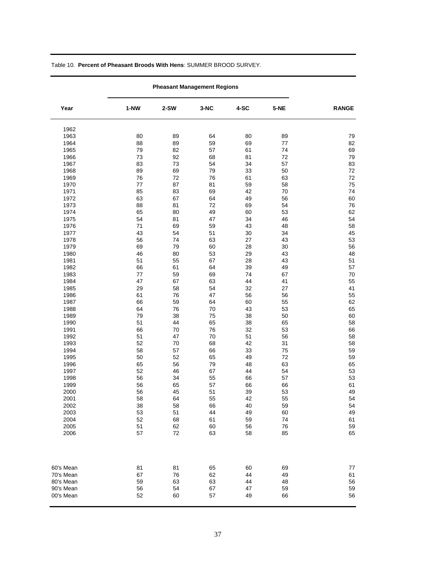|           |         | <b>Pheasant Management Regions</b> |      |      |      |              |  |  |
|-----------|---------|------------------------------------|------|------|------|--------------|--|--|
| Year      | $1-NW$  | $2-SW$                             | 3-NC | 4-SC | 5-NE | <b>RANGE</b> |  |  |
| 1962      |         |                                    |      |      |      |              |  |  |
| 1963      | 80      | 89                                 | 64   | 80   | 89   | 79           |  |  |
| 1964      | 88      | 89                                 | 59   | 69   | 77   | 82           |  |  |
| 1965      | 79      | 82                                 | 57   | 61   | 74   | 69           |  |  |
| 1966      | 73      | 92                                 | 68   | 81   | 72   | 79           |  |  |
| 1967      | 83      | 73                                 | 54   | 34   | 57   | 83           |  |  |
| 1968      | 89      | 69                                 | 79   | 33   | 50   | 72           |  |  |
| 1969      | 76      | 72                                 | 76   | 61   | 63   | 72           |  |  |
| 1970      | $77 \,$ | 87                                 | 81   | 59   | 58   | 75           |  |  |
| 1971      | 85      | 83                                 | 69   | 42   | 70   | 74           |  |  |
| 1972      | 63      | 67                                 | 64   | 49   | 56   | 60           |  |  |
| 1973      | 88      | 81                                 | 72   | 69   | 54   | 76           |  |  |
| 1974      | 65      | 80                                 | 49   | 60   | 53   | 62           |  |  |
| 1975      | 54      | 81                                 | 47   | 34   | 46   | 54           |  |  |
| 1976      | 71      | 69                                 | 59   | 43   | 48   | 58           |  |  |
| 1977      | 43      | 54                                 | 51   | 30   | 34   | 45           |  |  |
| 1978      | 56      | 74                                 | 63   | 27   | 43   | 53           |  |  |
| 1979      | 69      | 79                                 | 60   | 28   | 30   | 56           |  |  |
| 1980      | 46      | 80                                 | 53   | 29   | 43   | 48           |  |  |
| 1981      | 51      | 55                                 | 67   | 28   | 43   | 51           |  |  |
| 1982      | 66      | 61                                 | 64   | 39   | 49   | 57           |  |  |
| 1983      | $77 \,$ | 59                                 | 69   | 74   | 67   | 70           |  |  |
| 1984      | 47      | 67                                 | 63   | 44   | 41   | 55           |  |  |
| 1985      | 29      | 58                                 | 54   | 32   | 27   | 41           |  |  |
| 1986      | 61      | 76                                 | 47   | 56   | 56   | 55           |  |  |
| 1987      | 66      | 59                                 | 64   | 60   | 55   | 62           |  |  |
| 1988      | 64      | 76                                 | 70   | 43   | 53   | 65           |  |  |
| 1989      | 79      | 38                                 | 75   | 38   | 50   | 60           |  |  |
| 1990      | 51      | 44                                 | 65   | 38   | 65   | 58           |  |  |
| 1991      | 66      | 70                                 | 76   | 32   | 53   | 66           |  |  |
| 1992      | 51      | 47                                 | 70   | 51   | 56   | 58           |  |  |
| 1993      | 52      | 70                                 | 68   | 42   | 31   | 58           |  |  |
| 1994      | 58      | 57                                 | 66   | 33   | 75   | 59           |  |  |
| 1995      | 50      | 52                                 | 65   | 49   | 72   | 59           |  |  |
| 1996      | 65      | 56                                 | 79   | 48   | 63   | 65           |  |  |
| 1997      | 52      | 46                                 | 67   | 44   | 54   | 53           |  |  |
| 1998      | 56      | 34                                 | 55   | 66   | 57   | 53           |  |  |
| 1999      | 56      | 65                                 | 57   | 66   | 66   | 61           |  |  |
| 2000      | 56      | 45                                 | 51   | 39   | 53   | 49           |  |  |
| 2001      | 58      | 64                                 | 55   | 42   | 55   | 54           |  |  |
| 2002      | 38      | 58                                 | 66   | 40   | 59   | 54           |  |  |
| 2003      | 53      | 51                                 | 44   | 49   | 60   | 49           |  |  |
| 2004      | 52      | 68                                 | 61   | 59   | 74   | 61           |  |  |
| 2005      | 51      | 62                                 | 60   | 56   | 76   | 59           |  |  |
| 2006      | 57      | 72                                 | 63   | 58   | 85   | 65           |  |  |
| 60's Mean | 81      | 81                                 | 65   | 60   | 69   | 77           |  |  |
| 70's Mean | 67      | 76                                 | 62   | 44   | 49   | 61           |  |  |
| 80's Mean | 59      | 63                                 | 63   | 44   | 48   | 56           |  |  |
| 90's Mean | 56      | 54                                 | 67   | 47   | 59   | 59           |  |  |
| 00's Mean | 52      | 60                                 | 57   | 49   | 66   | 56           |  |  |

Table 10. **Percent of Pheasant Broods With Hens**: SUMMER BROOD SURVEY.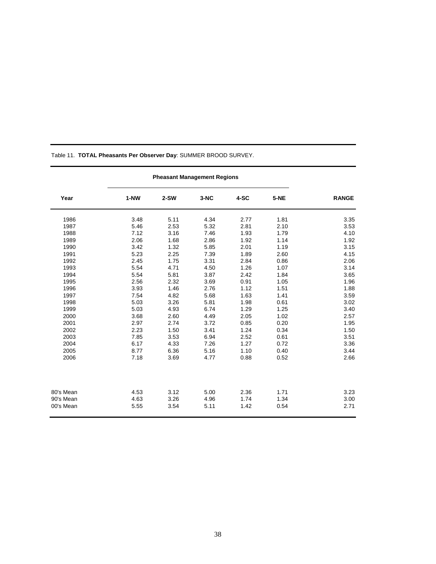|           | <b>Pheasant Management Regions</b> |        |        |      |             |              |
|-----------|------------------------------------|--------|--------|------|-------------|--------------|
| Year      | 1-NW                               | $2-SW$ | $3-NC$ | 4-SC | <b>5-NE</b> | <b>RANGE</b> |
| 1986      | 3.48                               | 5.11   | 4.34   | 2.77 | 1.81        | 3.35         |
| 1987      | 5.46                               | 2.53   | 5.32   | 2.81 | 2.10        | 3.53         |
| 1988      | 7.12                               | 3.16   | 7.46   | 1.93 | 1.79        | 4.10         |
| 1989      | 2.06                               | 1.68   | 2.86   | 1.92 | 1.14        | 1.92         |
| 1990      | 3.42                               | 1.32   | 5.85   | 2.01 | 1.19        | 3.15         |
| 1991      | 5.23                               | 2.25   | 7.39   | 1.89 | 2.60        | 4.15         |
| 1992      | 2.45                               | 1.75   | 3.31   | 2.84 | 0.86        | 2.06         |
| 1993      | 5.54                               | 4.71   | 4.50   | 1.26 | 1.07        | 3.14         |
| 1994      | 5.54                               | 5.81   | 3.87   | 2.42 | 1.84        | 3.65         |
| 1995      | 2.56                               | 2.32   | 3.69   | 0.91 | 1.05        | 1.96         |
| 1996      | 3.93                               | 1.46   | 2.76   | 1.12 | 1.51        | 1.88         |
| 1997      | 7.54                               | 4.82   | 5.68   | 1.63 | 1.41        | 3.59         |
| 1998      | 5.03                               | 3.26   | 5.81   | 1.98 | 0.61        | 3.02         |
| 1999      | 5.03                               | 4.93   | 6.74   | 1.29 | 1.25        | 3.40         |
| 2000      | 3.68                               | 2.60   | 4.49   | 2.05 | 1.02        | 2.57         |
| 2001      | 2.97                               | 2.74   | 3.72   | 0.85 | 0.20        | 1.95         |
| 2002      | 2.23                               | 1.50   | 3.41   | 1.24 | 0.34        | 1.50         |
| 2003      | 7.85                               | 3.53   | 6.94   | 2.52 | 0.61        | 3.51         |
| 2004      | 6.17                               | 4.33   | 7.26   | 1.27 | 0.72        | 3.36         |
| 2005      | 8.77                               | 6.36   | 5.16   | 1.10 | 0.40        | 3.44         |
| 2006      | 7.18                               | 3.69   | 4.77   | 0.88 | 0.52        | 2.66         |
|           |                                    |        |        |      |             |              |
| 80's Mean | 4.53                               | 3.12   | 5.00   | 2.36 | 1.71        | 3.23         |
| 90's Mean | 4.63                               | 3.26   | 4.96   | 1.74 | 1.34        | 3.00         |
| 00's Mean | 5.55                               | 3.54   | 5.11   | 1.42 | 0.54        | 2.71         |

Table 11. **TOTAL Pheasants Per Observer Day**: SUMMER BROOD SURVEY.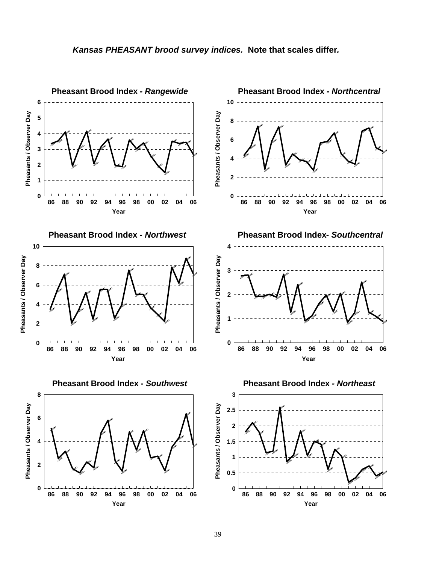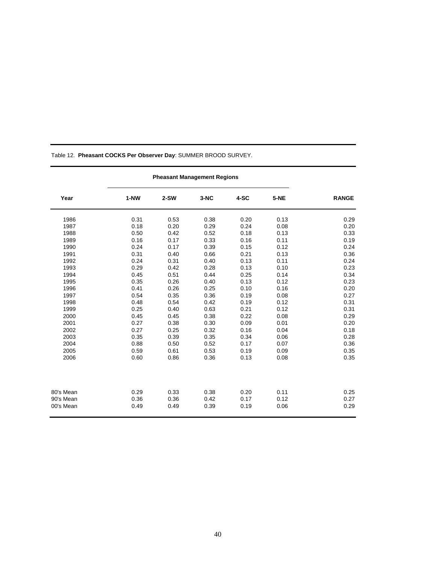| Year      | $1-NW$ | $2-SW$ | $3-NC$ | $4-SC$ | 5-NE | <b>RANGE</b> |
|-----------|--------|--------|--------|--------|------|--------------|
| 1986      | 0.31   | 0.53   | 0.38   | 0.20   | 0.13 | 0.29         |
| 1987      | 0.18   | 0.20   | 0.29   | 0.24   | 0.08 | 0.20         |
| 1988      | 0.50   | 0.42   | 0.52   | 0.18   | 0.13 | 0.33         |
| 1989      | 0.16   | 0.17   | 0.33   | 0.16   | 0.11 | 0.19         |
| 1990      | 0.24   | 0.17   | 0.39   | 0.15   | 0.12 | 0.24         |
| 1991      | 0.31   | 0.40   | 0.66   | 0.21   | 0.13 | 0.36         |
| 1992      | 0.24   | 0.31   | 0.40   | 0.13   | 0.11 | 0.24         |
| 1993      | 0.29   | 0.42   | 0.28   | 0.13   | 0.10 | 0.23         |
| 1994      | 0.45   | 0.51   | 0.44   | 0.25   | 0.14 | 0.34         |
| 1995      | 0.35   | 0.26   | 0.40   | 0.13   | 0.12 | 0.23         |
| 1996      | 0.41   | 0.26   | 0.25   | 0.10   | 0.16 | 0.20         |
| 1997      | 0.54   | 0.35   | 0.36   | 0.19   | 0.08 | 0.27         |
| 1998      | 0.48   | 0.54   | 0.42   | 0.19   | 0.12 | 0.31         |
| 1999      | 0.25   | 0.40   | 0.63   | 0.21   | 0.12 | 0.31         |
| 2000      | 0.45   | 0.45   | 0.38   | 0.22   | 0.08 | 0.29         |
| 2001      | 0.27   | 0.38   | 0.30   | 0.09   | 0.01 | 0.20         |
| 2002      | 0.27   | 0.25   | 0.32   | 0.16   | 0.04 | 0.18         |
| 2003      | 0.35   | 0.39   | 0.35   | 0.34   | 0.06 | 0.28         |
| 2004      | 0.88   | 0.50   | 0.52   | 0.17   | 0.07 | 0.36         |
| 2005      | 0.59   | 0.61   | 0.53   | 0.19   | 0.09 | 0.35         |
| 2006      | 0.60   | 0.86   | 0.36   | 0.13   | 0.08 | 0.35         |
|           |        |        |        |        |      |              |
| 80's Mean | 0.29   | 0.33   | 0.38   | 0.20   | 0.11 | 0.25         |
| 90's Mean | 0.36   | 0.36   | 0.42   | 0.17   | 0.12 | 0.27         |
| 00's Mean | 0.49   | 0.49   | 0.39   | 0.19   | 0.06 | 0.29         |

Table 12. **Pheasant COCKS Per Observer Day**: SUMMER BROOD SURVEY.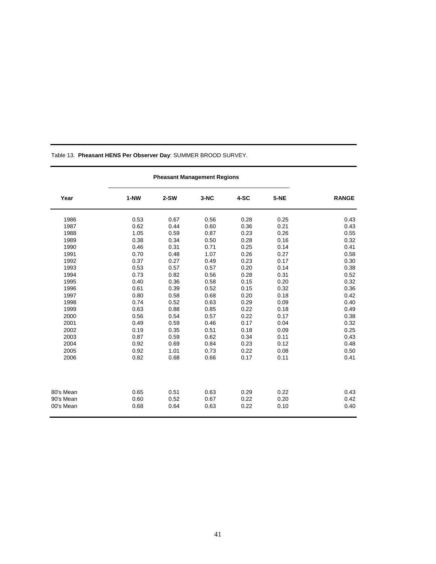| Year      | 1-NW | $2-SW$ | $3-NC$ | 4-SC | <b>5-NE</b> | <b>RANGE</b> |
|-----------|------|--------|--------|------|-------------|--------------|
| 1986      | 0.53 | 0.67   | 0.56   | 0.28 | 0.25        | 0.43         |
| 1987      | 0.62 | 0.44   | 0.60   | 0.36 | 0.21        | 0.43         |
| 1988      | 1.05 | 0.59   | 0.87   | 0.23 | 0.26        | 0.55         |
| 1989      | 0.38 | 0.34   | 0.50   | 0.28 | 0.16        | 0.32         |
| 1990      | 0.46 | 0.31   | 0.71   | 0.25 | 0.14        | 0.41         |
| 1991      | 0.70 | 0.48   | 1.07   | 0.26 | 0.27        | 0.58         |
| 1992      | 0.37 | 0.27   | 0.49   | 0.23 | 0.17        | 0.30         |
| 1993      | 0.53 | 0.57   | 0.57   | 0.20 | 0.14        | 0.38         |
| 1994      | 0.73 | 0.82   | 0.56   | 0.28 | 0.31        | 0.52         |
| 1995      | 0.40 | 0.36   | 0.58   | 0.15 | 0.20        | 0.32         |
| 1996      | 0.61 | 0.39   | 0.52   | 0.15 | 0.32        | 0.36         |
| 1997      | 0.80 | 0.58   | 0.68   | 0.20 | 0.18        | 0.42         |
| 1998      | 0.74 | 0.52   | 0.63   | 0.29 | 0.09        | 0.40         |
| 1999      | 0.63 | 0.88   | 0.85   | 0.22 | 0.18        | 0.49         |
| 2000      | 0.56 | 0.54   | 0.57   | 0.22 | 0.17        | 0.38         |
| 2001      | 0.49 | 0.59   | 0.46   | 0.17 | 0.04        | 0.32         |
| 2002      | 0.19 | 0.35   | 0.51   | 0.18 | 0.09        | 0.25         |
| 2003      | 0.87 | 0.59   | 0.62   | 0.34 | 0.11        | 0.43         |
| 2004      | 0.92 | 0.69   | 0.84   | 0.23 | 0.12        | 0.48         |
| 2005      | 0.92 | 1.01   | 0.73   | 0.22 | 0.08        | 0.50         |
| 2006      | 0.82 | 0.68   | 0.66   | 0.17 | 0.11        | 0.41         |
|           |      |        |        |      |             |              |
| 80's Mean | 0.65 | 0.51   | 0.63   | 0.29 | 0.22        | 0.43         |
| 90's Mean | 0.60 | 0.52   | 0.67   | 0.22 | 0.20        | 0.42         |
| 00's Mean | 0.68 | 0.64   | 0.63   | 0.22 | 0.10        | 0.40         |

Table 13. **Pheasant HENS Per Observer Day**: SUMMER BROOD SURVEY.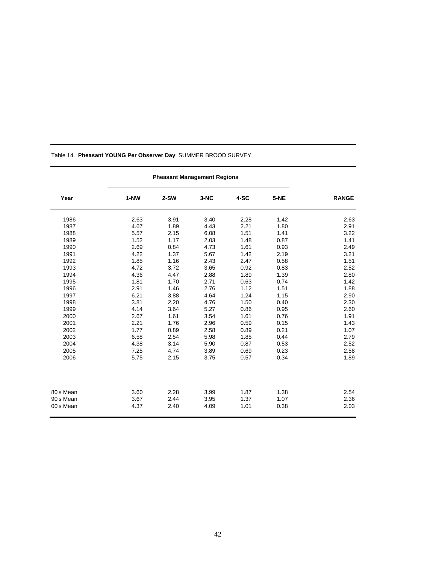| Year      | 1-NW | $2-SW$ | 3-NC | 4-SC | <b>5-NE</b> | <b>RANGE</b> |
|-----------|------|--------|------|------|-------------|--------------|
| 1986      | 2.63 | 3.91   | 3.40 | 2.28 | 1.42        | 2.63         |
| 1987      | 4.67 | 1.89   | 4.43 | 2.21 | 1.80        | 2.91         |
| 1988      | 5.57 | 2.15   | 6.08 | 1.51 | 1.41        | 3.22         |
| 1989      | 1.52 | 1.17   | 2.03 | 1.48 | 0.87        | 1.41         |
| 1990      | 2.69 | 0.84   | 4.73 | 1.61 | 0.93        | 2.49         |
| 1991      | 4.22 | 1.37   | 5.67 | 1.42 | 2.19        | 3.21         |
| 1992      | 1.85 | 1.16   | 2.43 | 2.47 | 0.58        | 1.51         |
| 1993      | 4.72 | 3.72   | 3.65 | 0.92 | 0.83        | 2.52         |
| 1994      | 4.36 | 4.47   | 2.88 | 1.89 | 1.39        | 2.80         |
| 1995      | 1.81 | 1.70   | 2.71 | 0.63 | 0.74        | 1.42         |
| 1996      | 2.91 | 1.46   | 2.76 | 1.12 | 1.51        | 1.88         |
| 1997      | 6.21 | 3.88   | 4.64 | 1.24 | 1.15        | 2.90         |
| 1998      | 3.81 | 2.20   | 4.76 | 1.50 | 0.40        | 2.30         |
| 1999      | 4.14 | 3.64   | 5.27 | 0.86 | 0.95        | 2.60         |
| 2000      | 2.67 | 1.61   | 3.54 | 1.61 | 0.76        | 1.91         |
| 2001      | 2.21 | 1.76   | 2.96 | 0.59 | 0.15        | 1.43         |
| 2002      | 1.77 | 0.89   | 2.58 | 0.89 | 0.21        | 1.07         |
| 2003      | 6.58 | 2.54   | 5.98 | 1.85 | 0.44        | 2.79         |
| 2004      | 4.38 | 3.14   | 5.90 | 0.87 | 0.53        | 2.52         |
| 2005      | 7.25 | 4.74   | 3.89 | 0.69 | 0.23        | 2.58         |
| 2006      | 5.75 | 2.15   | 3.75 | 0.57 | 0.34        | 1.89         |
|           |      |        |      |      |             |              |
| 80's Mean | 3.60 | 2.28   | 3.99 | 1.87 | 1.38        | 2.54         |
| 90's Mean | 3.67 | 2.44   | 3.95 | 1.37 | 1.07        | 2.36         |
| 00's Mean | 4.37 | 2.40   | 4.09 | 1.01 | 0.38        | 2.03         |

Table 14. **Pheasant YOUNG Per Observer Day**: SUMMER BROOD SURVEY.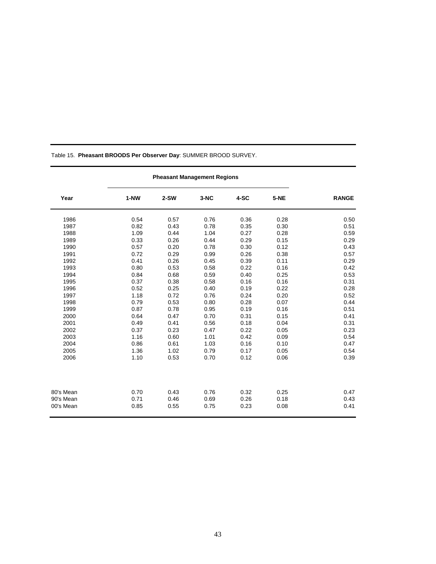| Table 15. Pheasant BROODS Per Observer Day: SUMMER BROOD SURVEY. |  |
|------------------------------------------------------------------|--|
|                                                                  |  |

| Year      | $1-NW$ | $2-SW$ | $3-NC$ | 4-SC | 5-NE | <b>RANGE</b> |
|-----------|--------|--------|--------|------|------|--------------|
| 1986      | 0.54   | 0.57   | 0.76   | 0.36 | 0.28 | 0.50         |
| 1987      | 0.82   | 0.43   | 0.78   | 0.35 | 0.30 | 0.51         |
| 1988      | 1.09   | 0.44   | 1.04   | 0.27 | 0.28 | 0.59         |
| 1989      | 0.33   | 0.26   | 0.44   | 0.29 | 0.15 | 0.29         |
| 1990      | 0.57   | 0.20   | 0.78   | 0.30 | 0.12 | 0.43         |
| 1991      | 0.72   | 0.29   | 0.99   | 0.26 | 0.38 | 0.57         |
| 1992      | 0.41   | 0.26   | 0.45   | 0.39 | 0.11 | 0.29         |
| 1993      | 0.80   | 0.53   | 0.58   | 0.22 | 0.16 | 0.42         |
| 1994      | 0.84   | 0.68   | 0.59   | 0.40 | 0.25 | 0.53         |
| 1995      | 0.37   | 0.38   | 0.58   | 0.16 | 0.16 | 0.31         |
| 1996      | 0.52   | 0.25   | 0.40   | 0.19 | 0.22 | 0.28         |
| 1997      | 1.18   | 0.72   | 0.76   | 0.24 | 0.20 | 0.52         |
| 1998      | 0.79   | 0.53   | 0.80   | 0.28 | 0.07 | 0.44         |
| 1999      | 0.87   | 0.78   | 0.95   | 0.19 | 0.16 | 0.51         |
| 2000      | 0.64   | 0.47   | 0.70   | 0.31 | 0.15 | 0.41         |
| 2001      | 0.49   | 0.41   | 0.56   | 0.18 | 0.04 | 0.31         |
| 2002      | 0.37   | 0.23   | 0.47   | 0.22 | 0.05 | 0.23         |
| 2003      | 1.16   | 0.60   | 1.01   | 0.42 | 0.09 | 0.54         |
| 2004      | 0.86   | 0.61   | 1.03   | 0.16 | 0.10 | 0.47         |
| 2005      | 1.36   | 1.02   | 0.79   | 0.17 | 0.05 | 0.54         |
| 2006      | 1.10   | 0.53   | 0.70   | 0.12 | 0.06 | 0.39         |
|           |        |        |        |      |      |              |
| 80's Mean | 0.70   | 0.43   | 0.76   | 0.32 | 0.25 | 0.47         |
| 90's Mean | 0.71   | 0.46   | 0.69   | 0.26 | 0.18 | 0.43         |
| 00's Mean | 0.85   | 0.55   | 0.75   | 0.23 | 0.08 | 0.41         |

**Pheasant Management Regions**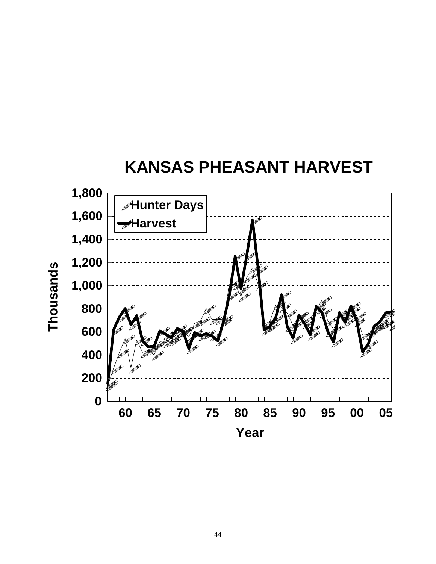

**h o u s a n d s**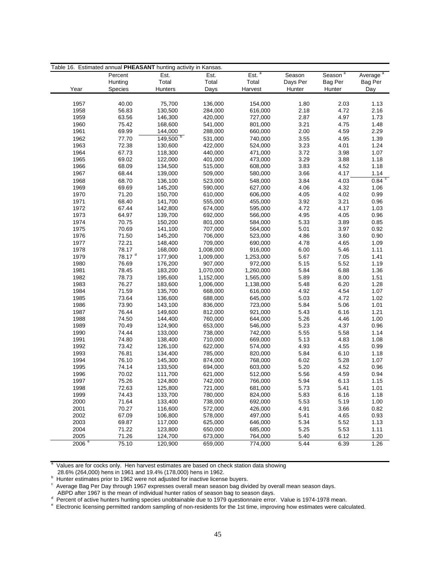| Season <sup>a</sup><br>Est. <sup>a</sup><br>Average <sup>a</sup><br>Percent<br>Est.<br>Est.<br>Season<br>Total<br>Total<br>Total<br>Hunting<br>Days Per<br>Bag Per<br>Bag Per<br>Year<br>Hunters<br>Days<br>Harvest<br>Hunter<br>Hunter<br>Species<br>Day<br>75,700<br>136,000<br>1957<br>40.00<br>154,000<br>1.80<br>2.03<br>1.13<br>2.18<br>4.72<br>1958<br>56.83<br>130,500<br>284,000<br>616,000<br>2.16<br>1959<br>146,300<br>1.73<br>63.56<br>420,000<br>727,000<br>2.87<br>4.97<br>1960<br>75.42<br>168,600<br>541,000<br>801,000<br>3.21<br>4.75<br>1.48<br>1961<br>69.99<br>144,000<br>288,000<br>660,000<br>2.00<br>4.59<br>2.29<br>$149,500^{b}$<br>1962<br>77.70<br>531,000<br>740,000<br>3.55<br>4.95<br>1.39<br>72.38<br>1.24<br>1963<br>130,600<br>422,000<br>524,000<br>3.23<br>4.01<br>1964<br>67.73<br>118,300<br>440,000<br>471,000<br>3.72<br>3.98<br>1.07<br>3.29<br>3.88<br>1965<br>69.02<br>122,000<br>401,000<br>473,000<br>1.18<br>1966<br>68.09<br>134,500<br>515,000<br>608,000<br>3.83<br>4.52<br>1.18<br>1967<br>68.44<br>139,000<br>509,000<br>580,000<br>3.66<br>4.17<br>1.14<br>0.84<br>4.03<br>1968<br>68.70<br>136,100<br>523,000<br>548,000<br>3.84<br>1969<br>69.69<br>145,200<br>590,000<br>627,000<br>4.06<br>4.32<br>1.06<br>1970<br>71.20<br>4.02<br>0.99<br>150,700<br>610,000<br>606,000<br>4.05<br>1971<br>68.40<br>141,700<br>555,000<br>455,000<br>3.92<br>3.21<br>0.96<br>1972<br>67.44<br>142,800<br>674,000<br>595,000<br>4.72<br>4.17<br>1.03<br>1973<br>64.97<br>139,700<br>692,000<br>566,000<br>4.95<br>4.05<br>0.96<br>1974<br>70.75<br>150,200<br>801,000<br>584,000<br>5.33<br>3.89<br>0.85<br>1975<br>0.92<br>70.69<br>141,100<br>707,000<br>564,000<br>5.01<br>3.97<br>1976<br>71.50<br>145,200<br>706,000<br>523,000<br>4.86<br>3.60<br>0.90<br>72.21<br>1977<br>148,400<br>709,000<br>690,000<br>4.78<br>4.65<br>1.09<br>1978<br>78.17<br>168,000<br>1,008,000<br>916,000<br>6.00<br>5.46<br>1.11<br>$78.17$ $^{\rm d}$<br>1979<br>177,900<br>1,009,000<br>1,253,000<br>5.67<br>7.05<br>1.41<br>1980<br>76.69<br>176,200<br>907,000<br>972,000<br>5.15<br>5.52<br>1.19<br>183,200<br>1981<br>78.45<br>1,070,000<br>1,260,000<br>5.84<br>6.88<br>1.36<br>1982<br>78.73<br>195,600<br>5.89<br>8.00<br>1.51<br>1,152,000<br>1,565,000<br>1983<br>76.27<br>183,600<br>1,006,000<br>5.48<br>6.20<br>1.28<br>1,138,000<br>1.07<br>1984<br>71.59<br>135,700<br>668,000<br>616,000<br>4.92<br>4.54<br>1985<br>73.64<br>136,600<br>688,000<br>645,000<br>5.03<br>4.72<br>1.02<br>1986<br>73.90<br>143,100<br>836,000<br>723,000<br>5.84<br>5.06<br>1.01<br>1.21<br>1987<br>76.44<br>149,600<br>812,000<br>921,000<br>5.43<br>6.16<br>1988<br>74.50<br>144,400<br>760,000<br>644,000<br>5.26<br>4.46<br>1.00<br>1989<br>70.49<br>124,900<br>653,000<br>546,000<br>5.23<br>4.37<br>0.96<br>1990<br>74.44<br>133,000<br>738,000<br>742,000<br>5.55<br>5.58<br>1.14<br>1.08<br>1991<br>74.80<br>138,400<br>710,000<br>669,000<br>5.13<br>4.83<br>1992<br>73.42<br>126,100<br>622,000<br>574,000<br>4.93<br>4.55<br>0.99<br>1993<br>76.81<br>134,400<br>785,000<br>820,000<br>5.84<br>6.10<br>1.18<br>1994<br>76.10<br>145,300<br>874,000<br>768,000<br>6.02<br>5.28<br>1.07<br>1995<br>74.14<br>133,500<br>694,000<br>603,000<br>5.20<br>4.52<br>0.96<br>4.59<br>1996<br>70.02<br>111,700<br>621,000<br>512,000<br>5.56<br>0.94<br>1997<br>75.26<br>5.94<br>124,800<br>742,000<br>766,000<br>6.13<br>1.15<br>1998<br>72.63<br>125,800<br>721,000<br>681,000<br>5.73<br>5.41<br>1.01<br>1999<br>74.43<br>133,700<br>780,000<br>824,000<br>5.83<br>6.16<br>1.18<br>2000<br>71.64<br>133,400<br>738,000<br>692,000<br>5.53<br>5.19<br>1.00<br>2001<br>70.27<br>116,600<br>572,000<br>426,000<br>4.91<br>3.66<br>0.82<br>2002<br>67.09<br>106,800<br>578,000<br>497,000<br>5.41<br>4.65<br>0.93<br>2003<br>69.87<br>625,000<br>5.34<br>5.52<br>1.13<br>117,000<br>646,000<br>2004<br>71.22<br>123,800<br>650,000<br>685,000<br>5.25<br>5.53<br>1.11<br>71.26<br>2005<br>124,700<br>673,000<br>764,000<br>6.12<br>1.20<br>5.40 | Table 16. Estimated annual PHEASANT hunting activity in Kansas. |       |         |         |         |      |      |      |  |  |
|-------------------------------------------------------------------------------------------------------------------------------------------------------------------------------------------------------------------------------------------------------------------------------------------------------------------------------------------------------------------------------------------------------------------------------------------------------------------------------------------------------------------------------------------------------------------------------------------------------------------------------------------------------------------------------------------------------------------------------------------------------------------------------------------------------------------------------------------------------------------------------------------------------------------------------------------------------------------------------------------------------------------------------------------------------------------------------------------------------------------------------------------------------------------------------------------------------------------------------------------------------------------------------------------------------------------------------------------------------------------------------------------------------------------------------------------------------------------------------------------------------------------------------------------------------------------------------------------------------------------------------------------------------------------------------------------------------------------------------------------------------------------------------------------------------------------------------------------------------------------------------------------------------------------------------------------------------------------------------------------------------------------------------------------------------------------------------------------------------------------------------------------------------------------------------------------------------------------------------------------------------------------------------------------------------------------------------------------------------------------------------------------------------------------------------------------------------------------------------------------------------------------------------------------------------------------------------------------------------------------------------------------------------------------------------------------------------------------------------------------------------------------------------------------------------------------------------------------------------------------------------------------------------------------------------------------------------------------------------------------------------------------------------------------------------------------------------------------------------------------------------------------------------------------------------------------------------------------------------------------------------------------------------------------------------------------------------------------------------------------------------------------------------------------------------------------------------------------------------------------------------------------------------------------------------------------------------------------------------------------------------------------------------------------------------------------------------------------------------------------------------------------------------------------------------------------------------------------------------------------------------------------------------------------------------------------------------------------------------------------------------------------------------------------------------------------------|-----------------------------------------------------------------|-------|---------|---------|---------|------|------|------|--|--|
|                                                                                                                                                                                                                                                                                                                                                                                                                                                                                                                                                                                                                                                                                                                                                                                                                                                                                                                                                                                                                                                                                                                                                                                                                                                                                                                                                                                                                                                                                                                                                                                                                                                                                                                                                                                                                                                                                                                                                                                                                                                                                                                                                                                                                                                                                                                                                                                                                                                                                                                                                                                                                                                                                                                                                                                                                                                                                                                                                                                                                                                                                                                                                                                                                                                                                                                                                                                                                                                                                                                                                                                                                                                                                                                                                                                                                                                                                                                                                                                                                                                                         |                                                                 |       |         |         |         |      |      |      |  |  |
|                                                                                                                                                                                                                                                                                                                                                                                                                                                                                                                                                                                                                                                                                                                                                                                                                                                                                                                                                                                                                                                                                                                                                                                                                                                                                                                                                                                                                                                                                                                                                                                                                                                                                                                                                                                                                                                                                                                                                                                                                                                                                                                                                                                                                                                                                                                                                                                                                                                                                                                                                                                                                                                                                                                                                                                                                                                                                                                                                                                                                                                                                                                                                                                                                                                                                                                                                                                                                                                                                                                                                                                                                                                                                                                                                                                                                                                                                                                                                                                                                                                                         |                                                                 |       |         |         |         |      |      |      |  |  |
|                                                                                                                                                                                                                                                                                                                                                                                                                                                                                                                                                                                                                                                                                                                                                                                                                                                                                                                                                                                                                                                                                                                                                                                                                                                                                                                                                                                                                                                                                                                                                                                                                                                                                                                                                                                                                                                                                                                                                                                                                                                                                                                                                                                                                                                                                                                                                                                                                                                                                                                                                                                                                                                                                                                                                                                                                                                                                                                                                                                                                                                                                                                                                                                                                                                                                                                                                                                                                                                                                                                                                                                                                                                                                                                                                                                                                                                                                                                                                                                                                                                                         |                                                                 |       |         |         |         |      |      |      |  |  |
|                                                                                                                                                                                                                                                                                                                                                                                                                                                                                                                                                                                                                                                                                                                                                                                                                                                                                                                                                                                                                                                                                                                                                                                                                                                                                                                                                                                                                                                                                                                                                                                                                                                                                                                                                                                                                                                                                                                                                                                                                                                                                                                                                                                                                                                                                                                                                                                                                                                                                                                                                                                                                                                                                                                                                                                                                                                                                                                                                                                                                                                                                                                                                                                                                                                                                                                                                                                                                                                                                                                                                                                                                                                                                                                                                                                                                                                                                                                                                                                                                                                                         |                                                                 |       |         |         |         |      |      |      |  |  |
|                                                                                                                                                                                                                                                                                                                                                                                                                                                                                                                                                                                                                                                                                                                                                                                                                                                                                                                                                                                                                                                                                                                                                                                                                                                                                                                                                                                                                                                                                                                                                                                                                                                                                                                                                                                                                                                                                                                                                                                                                                                                                                                                                                                                                                                                                                                                                                                                                                                                                                                                                                                                                                                                                                                                                                                                                                                                                                                                                                                                                                                                                                                                                                                                                                                                                                                                                                                                                                                                                                                                                                                                                                                                                                                                                                                                                                                                                                                                                                                                                                                                         |                                                                 |       |         |         |         |      |      |      |  |  |
|                                                                                                                                                                                                                                                                                                                                                                                                                                                                                                                                                                                                                                                                                                                                                                                                                                                                                                                                                                                                                                                                                                                                                                                                                                                                                                                                                                                                                                                                                                                                                                                                                                                                                                                                                                                                                                                                                                                                                                                                                                                                                                                                                                                                                                                                                                                                                                                                                                                                                                                                                                                                                                                                                                                                                                                                                                                                                                                                                                                                                                                                                                                                                                                                                                                                                                                                                                                                                                                                                                                                                                                                                                                                                                                                                                                                                                                                                                                                                                                                                                                                         |                                                                 |       |         |         |         |      |      |      |  |  |
|                                                                                                                                                                                                                                                                                                                                                                                                                                                                                                                                                                                                                                                                                                                                                                                                                                                                                                                                                                                                                                                                                                                                                                                                                                                                                                                                                                                                                                                                                                                                                                                                                                                                                                                                                                                                                                                                                                                                                                                                                                                                                                                                                                                                                                                                                                                                                                                                                                                                                                                                                                                                                                                                                                                                                                                                                                                                                                                                                                                                                                                                                                                                                                                                                                                                                                                                                                                                                                                                                                                                                                                                                                                                                                                                                                                                                                                                                                                                                                                                                                                                         |                                                                 |       |         |         |         |      |      |      |  |  |
|                                                                                                                                                                                                                                                                                                                                                                                                                                                                                                                                                                                                                                                                                                                                                                                                                                                                                                                                                                                                                                                                                                                                                                                                                                                                                                                                                                                                                                                                                                                                                                                                                                                                                                                                                                                                                                                                                                                                                                                                                                                                                                                                                                                                                                                                                                                                                                                                                                                                                                                                                                                                                                                                                                                                                                                                                                                                                                                                                                                                                                                                                                                                                                                                                                                                                                                                                                                                                                                                                                                                                                                                                                                                                                                                                                                                                                                                                                                                                                                                                                                                         |                                                                 |       |         |         |         |      |      |      |  |  |
|                                                                                                                                                                                                                                                                                                                                                                                                                                                                                                                                                                                                                                                                                                                                                                                                                                                                                                                                                                                                                                                                                                                                                                                                                                                                                                                                                                                                                                                                                                                                                                                                                                                                                                                                                                                                                                                                                                                                                                                                                                                                                                                                                                                                                                                                                                                                                                                                                                                                                                                                                                                                                                                                                                                                                                                                                                                                                                                                                                                                                                                                                                                                                                                                                                                                                                                                                                                                                                                                                                                                                                                                                                                                                                                                                                                                                                                                                                                                                                                                                                                                         |                                                                 |       |         |         |         |      |      |      |  |  |
|                                                                                                                                                                                                                                                                                                                                                                                                                                                                                                                                                                                                                                                                                                                                                                                                                                                                                                                                                                                                                                                                                                                                                                                                                                                                                                                                                                                                                                                                                                                                                                                                                                                                                                                                                                                                                                                                                                                                                                                                                                                                                                                                                                                                                                                                                                                                                                                                                                                                                                                                                                                                                                                                                                                                                                                                                                                                                                                                                                                                                                                                                                                                                                                                                                                                                                                                                                                                                                                                                                                                                                                                                                                                                                                                                                                                                                                                                                                                                                                                                                                                         |                                                                 |       |         |         |         |      |      |      |  |  |
|                                                                                                                                                                                                                                                                                                                                                                                                                                                                                                                                                                                                                                                                                                                                                                                                                                                                                                                                                                                                                                                                                                                                                                                                                                                                                                                                                                                                                                                                                                                                                                                                                                                                                                                                                                                                                                                                                                                                                                                                                                                                                                                                                                                                                                                                                                                                                                                                                                                                                                                                                                                                                                                                                                                                                                                                                                                                                                                                                                                                                                                                                                                                                                                                                                                                                                                                                                                                                                                                                                                                                                                                                                                                                                                                                                                                                                                                                                                                                                                                                                                                         |                                                                 |       |         |         |         |      |      |      |  |  |
|                                                                                                                                                                                                                                                                                                                                                                                                                                                                                                                                                                                                                                                                                                                                                                                                                                                                                                                                                                                                                                                                                                                                                                                                                                                                                                                                                                                                                                                                                                                                                                                                                                                                                                                                                                                                                                                                                                                                                                                                                                                                                                                                                                                                                                                                                                                                                                                                                                                                                                                                                                                                                                                                                                                                                                                                                                                                                                                                                                                                                                                                                                                                                                                                                                                                                                                                                                                                                                                                                                                                                                                                                                                                                                                                                                                                                                                                                                                                                                                                                                                                         |                                                                 |       |         |         |         |      |      |      |  |  |
|                                                                                                                                                                                                                                                                                                                                                                                                                                                                                                                                                                                                                                                                                                                                                                                                                                                                                                                                                                                                                                                                                                                                                                                                                                                                                                                                                                                                                                                                                                                                                                                                                                                                                                                                                                                                                                                                                                                                                                                                                                                                                                                                                                                                                                                                                                                                                                                                                                                                                                                                                                                                                                                                                                                                                                                                                                                                                                                                                                                                                                                                                                                                                                                                                                                                                                                                                                                                                                                                                                                                                                                                                                                                                                                                                                                                                                                                                                                                                                                                                                                                         |                                                                 |       |         |         |         |      |      |      |  |  |
|                                                                                                                                                                                                                                                                                                                                                                                                                                                                                                                                                                                                                                                                                                                                                                                                                                                                                                                                                                                                                                                                                                                                                                                                                                                                                                                                                                                                                                                                                                                                                                                                                                                                                                                                                                                                                                                                                                                                                                                                                                                                                                                                                                                                                                                                                                                                                                                                                                                                                                                                                                                                                                                                                                                                                                                                                                                                                                                                                                                                                                                                                                                                                                                                                                                                                                                                                                                                                                                                                                                                                                                                                                                                                                                                                                                                                                                                                                                                                                                                                                                                         |                                                                 |       |         |         |         |      |      |      |  |  |
|                                                                                                                                                                                                                                                                                                                                                                                                                                                                                                                                                                                                                                                                                                                                                                                                                                                                                                                                                                                                                                                                                                                                                                                                                                                                                                                                                                                                                                                                                                                                                                                                                                                                                                                                                                                                                                                                                                                                                                                                                                                                                                                                                                                                                                                                                                                                                                                                                                                                                                                                                                                                                                                                                                                                                                                                                                                                                                                                                                                                                                                                                                                                                                                                                                                                                                                                                                                                                                                                                                                                                                                                                                                                                                                                                                                                                                                                                                                                                                                                                                                                         |                                                                 |       |         |         |         |      |      |      |  |  |
|                                                                                                                                                                                                                                                                                                                                                                                                                                                                                                                                                                                                                                                                                                                                                                                                                                                                                                                                                                                                                                                                                                                                                                                                                                                                                                                                                                                                                                                                                                                                                                                                                                                                                                                                                                                                                                                                                                                                                                                                                                                                                                                                                                                                                                                                                                                                                                                                                                                                                                                                                                                                                                                                                                                                                                                                                                                                                                                                                                                                                                                                                                                                                                                                                                                                                                                                                                                                                                                                                                                                                                                                                                                                                                                                                                                                                                                                                                                                                                                                                                                                         |                                                                 |       |         |         |         |      |      |      |  |  |
|                                                                                                                                                                                                                                                                                                                                                                                                                                                                                                                                                                                                                                                                                                                                                                                                                                                                                                                                                                                                                                                                                                                                                                                                                                                                                                                                                                                                                                                                                                                                                                                                                                                                                                                                                                                                                                                                                                                                                                                                                                                                                                                                                                                                                                                                                                                                                                                                                                                                                                                                                                                                                                                                                                                                                                                                                                                                                                                                                                                                                                                                                                                                                                                                                                                                                                                                                                                                                                                                                                                                                                                                                                                                                                                                                                                                                                                                                                                                                                                                                                                                         |                                                                 |       |         |         |         |      |      |      |  |  |
|                                                                                                                                                                                                                                                                                                                                                                                                                                                                                                                                                                                                                                                                                                                                                                                                                                                                                                                                                                                                                                                                                                                                                                                                                                                                                                                                                                                                                                                                                                                                                                                                                                                                                                                                                                                                                                                                                                                                                                                                                                                                                                                                                                                                                                                                                                                                                                                                                                                                                                                                                                                                                                                                                                                                                                                                                                                                                                                                                                                                                                                                                                                                                                                                                                                                                                                                                                                                                                                                                                                                                                                                                                                                                                                                                                                                                                                                                                                                                                                                                                                                         |                                                                 |       |         |         |         |      |      |      |  |  |
|                                                                                                                                                                                                                                                                                                                                                                                                                                                                                                                                                                                                                                                                                                                                                                                                                                                                                                                                                                                                                                                                                                                                                                                                                                                                                                                                                                                                                                                                                                                                                                                                                                                                                                                                                                                                                                                                                                                                                                                                                                                                                                                                                                                                                                                                                                                                                                                                                                                                                                                                                                                                                                                                                                                                                                                                                                                                                                                                                                                                                                                                                                                                                                                                                                                                                                                                                                                                                                                                                                                                                                                                                                                                                                                                                                                                                                                                                                                                                                                                                                                                         |                                                                 |       |         |         |         |      |      |      |  |  |
|                                                                                                                                                                                                                                                                                                                                                                                                                                                                                                                                                                                                                                                                                                                                                                                                                                                                                                                                                                                                                                                                                                                                                                                                                                                                                                                                                                                                                                                                                                                                                                                                                                                                                                                                                                                                                                                                                                                                                                                                                                                                                                                                                                                                                                                                                                                                                                                                                                                                                                                                                                                                                                                                                                                                                                                                                                                                                                                                                                                                                                                                                                                                                                                                                                                                                                                                                                                                                                                                                                                                                                                                                                                                                                                                                                                                                                                                                                                                                                                                                                                                         |                                                                 |       |         |         |         |      |      |      |  |  |
|                                                                                                                                                                                                                                                                                                                                                                                                                                                                                                                                                                                                                                                                                                                                                                                                                                                                                                                                                                                                                                                                                                                                                                                                                                                                                                                                                                                                                                                                                                                                                                                                                                                                                                                                                                                                                                                                                                                                                                                                                                                                                                                                                                                                                                                                                                                                                                                                                                                                                                                                                                                                                                                                                                                                                                                                                                                                                                                                                                                                                                                                                                                                                                                                                                                                                                                                                                                                                                                                                                                                                                                                                                                                                                                                                                                                                                                                                                                                                                                                                                                                         |                                                                 |       |         |         |         |      |      |      |  |  |
|                                                                                                                                                                                                                                                                                                                                                                                                                                                                                                                                                                                                                                                                                                                                                                                                                                                                                                                                                                                                                                                                                                                                                                                                                                                                                                                                                                                                                                                                                                                                                                                                                                                                                                                                                                                                                                                                                                                                                                                                                                                                                                                                                                                                                                                                                                                                                                                                                                                                                                                                                                                                                                                                                                                                                                                                                                                                                                                                                                                                                                                                                                                                                                                                                                                                                                                                                                                                                                                                                                                                                                                                                                                                                                                                                                                                                                                                                                                                                                                                                                                                         |                                                                 |       |         |         |         |      |      |      |  |  |
|                                                                                                                                                                                                                                                                                                                                                                                                                                                                                                                                                                                                                                                                                                                                                                                                                                                                                                                                                                                                                                                                                                                                                                                                                                                                                                                                                                                                                                                                                                                                                                                                                                                                                                                                                                                                                                                                                                                                                                                                                                                                                                                                                                                                                                                                                                                                                                                                                                                                                                                                                                                                                                                                                                                                                                                                                                                                                                                                                                                                                                                                                                                                                                                                                                                                                                                                                                                                                                                                                                                                                                                                                                                                                                                                                                                                                                                                                                                                                                                                                                                                         |                                                                 |       |         |         |         |      |      |      |  |  |
|                                                                                                                                                                                                                                                                                                                                                                                                                                                                                                                                                                                                                                                                                                                                                                                                                                                                                                                                                                                                                                                                                                                                                                                                                                                                                                                                                                                                                                                                                                                                                                                                                                                                                                                                                                                                                                                                                                                                                                                                                                                                                                                                                                                                                                                                                                                                                                                                                                                                                                                                                                                                                                                                                                                                                                                                                                                                                                                                                                                                                                                                                                                                                                                                                                                                                                                                                                                                                                                                                                                                                                                                                                                                                                                                                                                                                                                                                                                                                                                                                                                                         |                                                                 |       |         |         |         |      |      |      |  |  |
|                                                                                                                                                                                                                                                                                                                                                                                                                                                                                                                                                                                                                                                                                                                                                                                                                                                                                                                                                                                                                                                                                                                                                                                                                                                                                                                                                                                                                                                                                                                                                                                                                                                                                                                                                                                                                                                                                                                                                                                                                                                                                                                                                                                                                                                                                                                                                                                                                                                                                                                                                                                                                                                                                                                                                                                                                                                                                                                                                                                                                                                                                                                                                                                                                                                                                                                                                                                                                                                                                                                                                                                                                                                                                                                                                                                                                                                                                                                                                                                                                                                                         |                                                                 |       |         |         |         |      |      |      |  |  |
|                                                                                                                                                                                                                                                                                                                                                                                                                                                                                                                                                                                                                                                                                                                                                                                                                                                                                                                                                                                                                                                                                                                                                                                                                                                                                                                                                                                                                                                                                                                                                                                                                                                                                                                                                                                                                                                                                                                                                                                                                                                                                                                                                                                                                                                                                                                                                                                                                                                                                                                                                                                                                                                                                                                                                                                                                                                                                                                                                                                                                                                                                                                                                                                                                                                                                                                                                                                                                                                                                                                                                                                                                                                                                                                                                                                                                                                                                                                                                                                                                                                                         |                                                                 |       |         |         |         |      |      |      |  |  |
|                                                                                                                                                                                                                                                                                                                                                                                                                                                                                                                                                                                                                                                                                                                                                                                                                                                                                                                                                                                                                                                                                                                                                                                                                                                                                                                                                                                                                                                                                                                                                                                                                                                                                                                                                                                                                                                                                                                                                                                                                                                                                                                                                                                                                                                                                                                                                                                                                                                                                                                                                                                                                                                                                                                                                                                                                                                                                                                                                                                                                                                                                                                                                                                                                                                                                                                                                                                                                                                                                                                                                                                                                                                                                                                                                                                                                                                                                                                                                                                                                                                                         |                                                                 |       |         |         |         |      |      |      |  |  |
|                                                                                                                                                                                                                                                                                                                                                                                                                                                                                                                                                                                                                                                                                                                                                                                                                                                                                                                                                                                                                                                                                                                                                                                                                                                                                                                                                                                                                                                                                                                                                                                                                                                                                                                                                                                                                                                                                                                                                                                                                                                                                                                                                                                                                                                                                                                                                                                                                                                                                                                                                                                                                                                                                                                                                                                                                                                                                                                                                                                                                                                                                                                                                                                                                                                                                                                                                                                                                                                                                                                                                                                                                                                                                                                                                                                                                                                                                                                                                                                                                                                                         |                                                                 |       |         |         |         |      |      |      |  |  |
|                                                                                                                                                                                                                                                                                                                                                                                                                                                                                                                                                                                                                                                                                                                                                                                                                                                                                                                                                                                                                                                                                                                                                                                                                                                                                                                                                                                                                                                                                                                                                                                                                                                                                                                                                                                                                                                                                                                                                                                                                                                                                                                                                                                                                                                                                                                                                                                                                                                                                                                                                                                                                                                                                                                                                                                                                                                                                                                                                                                                                                                                                                                                                                                                                                                                                                                                                                                                                                                                                                                                                                                                                                                                                                                                                                                                                                                                                                                                                                                                                                                                         |                                                                 |       |         |         |         |      |      |      |  |  |
|                                                                                                                                                                                                                                                                                                                                                                                                                                                                                                                                                                                                                                                                                                                                                                                                                                                                                                                                                                                                                                                                                                                                                                                                                                                                                                                                                                                                                                                                                                                                                                                                                                                                                                                                                                                                                                                                                                                                                                                                                                                                                                                                                                                                                                                                                                                                                                                                                                                                                                                                                                                                                                                                                                                                                                                                                                                                                                                                                                                                                                                                                                                                                                                                                                                                                                                                                                                                                                                                                                                                                                                                                                                                                                                                                                                                                                                                                                                                                                                                                                                                         |                                                                 |       |         |         |         |      |      |      |  |  |
|                                                                                                                                                                                                                                                                                                                                                                                                                                                                                                                                                                                                                                                                                                                                                                                                                                                                                                                                                                                                                                                                                                                                                                                                                                                                                                                                                                                                                                                                                                                                                                                                                                                                                                                                                                                                                                                                                                                                                                                                                                                                                                                                                                                                                                                                                                                                                                                                                                                                                                                                                                                                                                                                                                                                                                                                                                                                                                                                                                                                                                                                                                                                                                                                                                                                                                                                                                                                                                                                                                                                                                                                                                                                                                                                                                                                                                                                                                                                                                                                                                                                         |                                                                 |       |         |         |         |      |      |      |  |  |
|                                                                                                                                                                                                                                                                                                                                                                                                                                                                                                                                                                                                                                                                                                                                                                                                                                                                                                                                                                                                                                                                                                                                                                                                                                                                                                                                                                                                                                                                                                                                                                                                                                                                                                                                                                                                                                                                                                                                                                                                                                                                                                                                                                                                                                                                                                                                                                                                                                                                                                                                                                                                                                                                                                                                                                                                                                                                                                                                                                                                                                                                                                                                                                                                                                                                                                                                                                                                                                                                                                                                                                                                                                                                                                                                                                                                                                                                                                                                                                                                                                                                         |                                                                 |       |         |         |         |      |      |      |  |  |
|                                                                                                                                                                                                                                                                                                                                                                                                                                                                                                                                                                                                                                                                                                                                                                                                                                                                                                                                                                                                                                                                                                                                                                                                                                                                                                                                                                                                                                                                                                                                                                                                                                                                                                                                                                                                                                                                                                                                                                                                                                                                                                                                                                                                                                                                                                                                                                                                                                                                                                                                                                                                                                                                                                                                                                                                                                                                                                                                                                                                                                                                                                                                                                                                                                                                                                                                                                                                                                                                                                                                                                                                                                                                                                                                                                                                                                                                                                                                                                                                                                                                         |                                                                 |       |         |         |         |      |      |      |  |  |
|                                                                                                                                                                                                                                                                                                                                                                                                                                                                                                                                                                                                                                                                                                                                                                                                                                                                                                                                                                                                                                                                                                                                                                                                                                                                                                                                                                                                                                                                                                                                                                                                                                                                                                                                                                                                                                                                                                                                                                                                                                                                                                                                                                                                                                                                                                                                                                                                                                                                                                                                                                                                                                                                                                                                                                                                                                                                                                                                                                                                                                                                                                                                                                                                                                                                                                                                                                                                                                                                                                                                                                                                                                                                                                                                                                                                                                                                                                                                                                                                                                                                         |                                                                 |       |         |         |         |      |      |      |  |  |
|                                                                                                                                                                                                                                                                                                                                                                                                                                                                                                                                                                                                                                                                                                                                                                                                                                                                                                                                                                                                                                                                                                                                                                                                                                                                                                                                                                                                                                                                                                                                                                                                                                                                                                                                                                                                                                                                                                                                                                                                                                                                                                                                                                                                                                                                                                                                                                                                                                                                                                                                                                                                                                                                                                                                                                                                                                                                                                                                                                                                                                                                                                                                                                                                                                                                                                                                                                                                                                                                                                                                                                                                                                                                                                                                                                                                                                                                                                                                                                                                                                                                         |                                                                 |       |         |         |         |      |      |      |  |  |
|                                                                                                                                                                                                                                                                                                                                                                                                                                                                                                                                                                                                                                                                                                                                                                                                                                                                                                                                                                                                                                                                                                                                                                                                                                                                                                                                                                                                                                                                                                                                                                                                                                                                                                                                                                                                                                                                                                                                                                                                                                                                                                                                                                                                                                                                                                                                                                                                                                                                                                                                                                                                                                                                                                                                                                                                                                                                                                                                                                                                                                                                                                                                                                                                                                                                                                                                                                                                                                                                                                                                                                                                                                                                                                                                                                                                                                                                                                                                                                                                                                                                         |                                                                 |       |         |         |         |      |      |      |  |  |
|                                                                                                                                                                                                                                                                                                                                                                                                                                                                                                                                                                                                                                                                                                                                                                                                                                                                                                                                                                                                                                                                                                                                                                                                                                                                                                                                                                                                                                                                                                                                                                                                                                                                                                                                                                                                                                                                                                                                                                                                                                                                                                                                                                                                                                                                                                                                                                                                                                                                                                                                                                                                                                                                                                                                                                                                                                                                                                                                                                                                                                                                                                                                                                                                                                                                                                                                                                                                                                                                                                                                                                                                                                                                                                                                                                                                                                                                                                                                                                                                                                                                         |                                                                 |       |         |         |         |      |      |      |  |  |
|                                                                                                                                                                                                                                                                                                                                                                                                                                                                                                                                                                                                                                                                                                                                                                                                                                                                                                                                                                                                                                                                                                                                                                                                                                                                                                                                                                                                                                                                                                                                                                                                                                                                                                                                                                                                                                                                                                                                                                                                                                                                                                                                                                                                                                                                                                                                                                                                                                                                                                                                                                                                                                                                                                                                                                                                                                                                                                                                                                                                                                                                                                                                                                                                                                                                                                                                                                                                                                                                                                                                                                                                                                                                                                                                                                                                                                                                                                                                                                                                                                                                         |                                                                 |       |         |         |         |      |      |      |  |  |
|                                                                                                                                                                                                                                                                                                                                                                                                                                                                                                                                                                                                                                                                                                                                                                                                                                                                                                                                                                                                                                                                                                                                                                                                                                                                                                                                                                                                                                                                                                                                                                                                                                                                                                                                                                                                                                                                                                                                                                                                                                                                                                                                                                                                                                                                                                                                                                                                                                                                                                                                                                                                                                                                                                                                                                                                                                                                                                                                                                                                                                                                                                                                                                                                                                                                                                                                                                                                                                                                                                                                                                                                                                                                                                                                                                                                                                                                                                                                                                                                                                                                         |                                                                 |       |         |         |         |      |      |      |  |  |
|                                                                                                                                                                                                                                                                                                                                                                                                                                                                                                                                                                                                                                                                                                                                                                                                                                                                                                                                                                                                                                                                                                                                                                                                                                                                                                                                                                                                                                                                                                                                                                                                                                                                                                                                                                                                                                                                                                                                                                                                                                                                                                                                                                                                                                                                                                                                                                                                                                                                                                                                                                                                                                                                                                                                                                                                                                                                                                                                                                                                                                                                                                                                                                                                                                                                                                                                                                                                                                                                                                                                                                                                                                                                                                                                                                                                                                                                                                                                                                                                                                                                         |                                                                 |       |         |         |         |      |      |      |  |  |
|                                                                                                                                                                                                                                                                                                                                                                                                                                                                                                                                                                                                                                                                                                                                                                                                                                                                                                                                                                                                                                                                                                                                                                                                                                                                                                                                                                                                                                                                                                                                                                                                                                                                                                                                                                                                                                                                                                                                                                                                                                                                                                                                                                                                                                                                                                                                                                                                                                                                                                                                                                                                                                                                                                                                                                                                                                                                                                                                                                                                                                                                                                                                                                                                                                                                                                                                                                                                                                                                                                                                                                                                                                                                                                                                                                                                                                                                                                                                                                                                                                                                         |                                                                 |       |         |         |         |      |      |      |  |  |
|                                                                                                                                                                                                                                                                                                                                                                                                                                                                                                                                                                                                                                                                                                                                                                                                                                                                                                                                                                                                                                                                                                                                                                                                                                                                                                                                                                                                                                                                                                                                                                                                                                                                                                                                                                                                                                                                                                                                                                                                                                                                                                                                                                                                                                                                                                                                                                                                                                                                                                                                                                                                                                                                                                                                                                                                                                                                                                                                                                                                                                                                                                                                                                                                                                                                                                                                                                                                                                                                                                                                                                                                                                                                                                                                                                                                                                                                                                                                                                                                                                                                         |                                                                 |       |         |         |         |      |      |      |  |  |
|                                                                                                                                                                                                                                                                                                                                                                                                                                                                                                                                                                                                                                                                                                                                                                                                                                                                                                                                                                                                                                                                                                                                                                                                                                                                                                                                                                                                                                                                                                                                                                                                                                                                                                                                                                                                                                                                                                                                                                                                                                                                                                                                                                                                                                                                                                                                                                                                                                                                                                                                                                                                                                                                                                                                                                                                                                                                                                                                                                                                                                                                                                                                                                                                                                                                                                                                                                                                                                                                                                                                                                                                                                                                                                                                                                                                                                                                                                                                                                                                                                                                         |                                                                 |       |         |         |         |      |      |      |  |  |
|                                                                                                                                                                                                                                                                                                                                                                                                                                                                                                                                                                                                                                                                                                                                                                                                                                                                                                                                                                                                                                                                                                                                                                                                                                                                                                                                                                                                                                                                                                                                                                                                                                                                                                                                                                                                                                                                                                                                                                                                                                                                                                                                                                                                                                                                                                                                                                                                                                                                                                                                                                                                                                                                                                                                                                                                                                                                                                                                                                                                                                                                                                                                                                                                                                                                                                                                                                                                                                                                                                                                                                                                                                                                                                                                                                                                                                                                                                                                                                                                                                                                         |                                                                 |       |         |         |         |      |      |      |  |  |
|                                                                                                                                                                                                                                                                                                                                                                                                                                                                                                                                                                                                                                                                                                                                                                                                                                                                                                                                                                                                                                                                                                                                                                                                                                                                                                                                                                                                                                                                                                                                                                                                                                                                                                                                                                                                                                                                                                                                                                                                                                                                                                                                                                                                                                                                                                                                                                                                                                                                                                                                                                                                                                                                                                                                                                                                                                                                                                                                                                                                                                                                                                                                                                                                                                                                                                                                                                                                                                                                                                                                                                                                                                                                                                                                                                                                                                                                                                                                                                                                                                                                         |                                                                 |       |         |         |         |      |      |      |  |  |
|                                                                                                                                                                                                                                                                                                                                                                                                                                                                                                                                                                                                                                                                                                                                                                                                                                                                                                                                                                                                                                                                                                                                                                                                                                                                                                                                                                                                                                                                                                                                                                                                                                                                                                                                                                                                                                                                                                                                                                                                                                                                                                                                                                                                                                                                                                                                                                                                                                                                                                                                                                                                                                                                                                                                                                                                                                                                                                                                                                                                                                                                                                                                                                                                                                                                                                                                                                                                                                                                                                                                                                                                                                                                                                                                                                                                                                                                                                                                                                                                                                                                         |                                                                 |       |         |         |         |      |      |      |  |  |
|                                                                                                                                                                                                                                                                                                                                                                                                                                                                                                                                                                                                                                                                                                                                                                                                                                                                                                                                                                                                                                                                                                                                                                                                                                                                                                                                                                                                                                                                                                                                                                                                                                                                                                                                                                                                                                                                                                                                                                                                                                                                                                                                                                                                                                                                                                                                                                                                                                                                                                                                                                                                                                                                                                                                                                                                                                                                                                                                                                                                                                                                                                                                                                                                                                                                                                                                                                                                                                                                                                                                                                                                                                                                                                                                                                                                                                                                                                                                                                                                                                                                         |                                                                 |       |         |         |         |      |      |      |  |  |
|                                                                                                                                                                                                                                                                                                                                                                                                                                                                                                                                                                                                                                                                                                                                                                                                                                                                                                                                                                                                                                                                                                                                                                                                                                                                                                                                                                                                                                                                                                                                                                                                                                                                                                                                                                                                                                                                                                                                                                                                                                                                                                                                                                                                                                                                                                                                                                                                                                                                                                                                                                                                                                                                                                                                                                                                                                                                                                                                                                                                                                                                                                                                                                                                                                                                                                                                                                                                                                                                                                                                                                                                                                                                                                                                                                                                                                                                                                                                                                                                                                                                         |                                                                 |       |         |         |         |      |      |      |  |  |
|                                                                                                                                                                                                                                                                                                                                                                                                                                                                                                                                                                                                                                                                                                                                                                                                                                                                                                                                                                                                                                                                                                                                                                                                                                                                                                                                                                                                                                                                                                                                                                                                                                                                                                                                                                                                                                                                                                                                                                                                                                                                                                                                                                                                                                                                                                                                                                                                                                                                                                                                                                                                                                                                                                                                                                                                                                                                                                                                                                                                                                                                                                                                                                                                                                                                                                                                                                                                                                                                                                                                                                                                                                                                                                                                                                                                                                                                                                                                                                                                                                                                         |                                                                 |       |         |         |         |      |      |      |  |  |
|                                                                                                                                                                                                                                                                                                                                                                                                                                                                                                                                                                                                                                                                                                                                                                                                                                                                                                                                                                                                                                                                                                                                                                                                                                                                                                                                                                                                                                                                                                                                                                                                                                                                                                                                                                                                                                                                                                                                                                                                                                                                                                                                                                                                                                                                                                                                                                                                                                                                                                                                                                                                                                                                                                                                                                                                                                                                                                                                                                                                                                                                                                                                                                                                                                                                                                                                                                                                                                                                                                                                                                                                                                                                                                                                                                                                                                                                                                                                                                                                                                                                         |                                                                 |       |         |         |         |      |      |      |  |  |
|                                                                                                                                                                                                                                                                                                                                                                                                                                                                                                                                                                                                                                                                                                                                                                                                                                                                                                                                                                                                                                                                                                                                                                                                                                                                                                                                                                                                                                                                                                                                                                                                                                                                                                                                                                                                                                                                                                                                                                                                                                                                                                                                                                                                                                                                                                                                                                                                                                                                                                                                                                                                                                                                                                                                                                                                                                                                                                                                                                                                                                                                                                                                                                                                                                                                                                                                                                                                                                                                                                                                                                                                                                                                                                                                                                                                                                                                                                                                                                                                                                                                         |                                                                 |       |         |         |         |      |      |      |  |  |
|                                                                                                                                                                                                                                                                                                                                                                                                                                                                                                                                                                                                                                                                                                                                                                                                                                                                                                                                                                                                                                                                                                                                                                                                                                                                                                                                                                                                                                                                                                                                                                                                                                                                                                                                                                                                                                                                                                                                                                                                                                                                                                                                                                                                                                                                                                                                                                                                                                                                                                                                                                                                                                                                                                                                                                                                                                                                                                                                                                                                                                                                                                                                                                                                                                                                                                                                                                                                                                                                                                                                                                                                                                                                                                                                                                                                                                                                                                                                                                                                                                                                         |                                                                 |       |         |         |         |      |      |      |  |  |
|                                                                                                                                                                                                                                                                                                                                                                                                                                                                                                                                                                                                                                                                                                                                                                                                                                                                                                                                                                                                                                                                                                                                                                                                                                                                                                                                                                                                                                                                                                                                                                                                                                                                                                                                                                                                                                                                                                                                                                                                                                                                                                                                                                                                                                                                                                                                                                                                                                                                                                                                                                                                                                                                                                                                                                                                                                                                                                                                                                                                                                                                                                                                                                                                                                                                                                                                                                                                                                                                                                                                                                                                                                                                                                                                                                                                                                                                                                                                                                                                                                                                         | 2006 <sup>e</sup>                                               | 75.10 | 120,900 | 659,000 | 774.000 | 5.44 | 6.39 | 1.26 |  |  |

<sup>a</sup> Values are for cocks only. Hen harvest estimates are based on check station data showing

28.6% (264,000) hens in 1961 and 19.4% (178,000) hens in 1962.<br>
<sup>b</sup> Hunter estimates prior to 1962 were not adjusted for inactive license buyers.<br>
<sup>c</sup> Averses Bes Der Deuthrough 1967 currences averall mean access has divi-

Average Bag Per Day through 1967 expresses overall mean season bag divided by overall mean season days.

ABPD after 1967 is the mean of individual hunter ratios of season bag to season days.<br>
<sup>d</sup> Percent of active hunters hunting species unobtainable due to 1979 questionnaire error. Value is 1974-1978 mean.

<sup>e</sup> Electronic licensing permitted random sampling of non-residents for the 1st time, improving how estimates were calculated.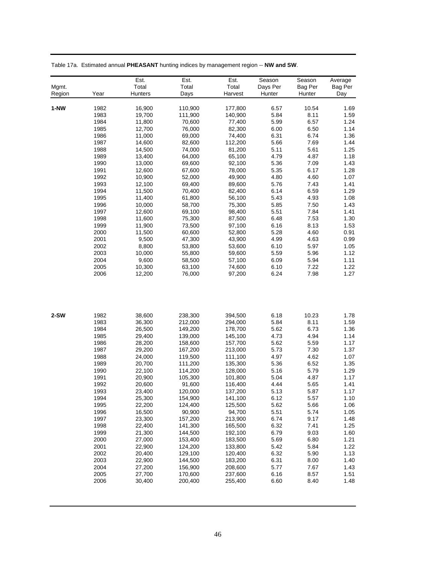|        |              | Est.             | Est.             | Est.             | Season       | Season       | Average      |
|--------|--------------|------------------|------------------|------------------|--------------|--------------|--------------|
| Mgmt.  |              | Total            | Total            | Total            | Days Per     | Bag Per      | Bag Per      |
| Region | Year         | Hunters          | Days             | Harvest          | Hunter       | Hunter       | Day          |
|        |              |                  |                  |                  |              |              |              |
| $1-NW$ | 1982         | 16,900           | 110,900          | 177,800          | 6.57         | 10.54        | 1.69         |
|        | 1983         | 19,700           | 111,900          | 140,900          | 5.84         | 8.11         | 1.59         |
|        | 1984         | 11,800           | 70,600           | 77,400           | 5.99         | 6.57         | 1.24         |
|        | 1985         | 12,700           | 76,000           | 82,300           | 6.00         | 6.50         | 1.14         |
|        | 1986         | 11,000           | 69,000           | 74,400           | 6.31         | 6.74         | 1.36         |
|        | 1987         | 14,600           | 82,600           | 112,200          | 5.66         | 7.69         | 1.44         |
|        | 1988         | 14,500           | 74,000           | 81,200<br>65,100 | 5.11         | 5.61         | 1.25         |
|        | 1989<br>1990 | 13,400           | 64,000<br>69,600 |                  | 4.79<br>5.36 | 4.87<br>7.09 | 1.18         |
|        | 1991         | 13,000           |                  | 92,100<br>78,000 | 5.35         | 6.17         | 1.43<br>1.28 |
|        | 1992         | 12,600<br>10,900 | 67,600<br>52,000 | 49,900           | 4.80         | 4.60         | 1.07         |
|        | 1993         | 12,100           | 69,400           | 89,600           | 5.76         | 7.43         | 1.41         |
|        | 1994         | 11,500           | 70,400           | 82,400           | 6.14         | 6.59         | 1.29         |
|        | 1995         | 11,400           | 61,800           | 56,100           | 5.43         | 4.93         | 1.08         |
|        | 1996         |                  | 58,700           |                  | 5.85         | 7.50         | 1.43         |
|        | 1997         | 10,000           | 69,100           | 75,300<br>98,400 | 5.51         | 7.84         | 1.41         |
|        | 1998         | 12,600<br>11,600 | 75,300           | 87,500           | 6.48         | 7.53         | 1.30         |
|        | 1999         | 11,900           | 73,500           | 97,100           | 6.16         | 8.13         | 1.53         |
|        | 2000         | 11,500           | 60,600           | 52,800           | 5.28         | 4.60         | 0.91         |
|        | 2001         | 9,500            | 47,300           |                  | 4.99         | 4.63         | 0.99         |
|        | 2002         |                  |                  | 43,900           | 6.10         | 5.97         | 1.05         |
|        | 2003         | 8,800<br>10,000  | 53,800<br>55,800 | 53,600<br>59,600 | 5.59         | 5.96         | 1.12         |
|        | 2004         | 9,600            | 58,500           | 57,100           | 6.09         | 5.94         | 1.11         |
|        | 2005         | 10,300           | 63,100           | 74,600           | 6.10         | 7.22         | 1.22         |
|        | 2006         | 12,200           | 76,000           | 97,200           | 6.24         | 7.98         | 1.27         |
|        |              |                  |                  |                  |              |              |              |
|        |              |                  |                  |                  |              |              |              |
| $2-SW$ | 1982         | 38,600           | 238,300          | 394,500          | 6.18         | 10.23        | 1.78         |
|        | 1983         | 36,300           | 212,000          | 294,000          | 5.84         | 8.11         | 1.59         |
|        | 1984         | 26,500           | 149,200          | 178,700          | 5.62         | 6.73         | 1.36         |
|        | 1985         | 29,400           | 139,000          | 145,100          | 4.73         | 4.94         | 1.14         |
|        | 1986         | 28,200           | 158,600          | 157,700          | 5.62         | 5.59         | 1.17         |
|        | 1987         | 29,200           | 167,200          | 213,000          | 5.73         | 7.30         | 1.37         |
|        | 1988         | 24,000           | 119,500          | 111,100          | 4.97         | 4.62         | 1.07         |
|        | 1989         | 20,700           | 111,200          | 135,300          | 5.36         | 6.52         | 1.35         |
|        | 1990         | 22,100           | 114,200          | 128,000          | 5.16         | 5.79         | 1.29         |
|        | 1991         | 20,900           | 105,300          | 101,800          | 5.04         | 4.87         | 1.17         |
|        | 1992         | 20,600           | 91,600           | 116,400          | 4.44         | 5.65         | 1.41         |
|        | 1993         | 23,400           | 120,000          | 137,200          | 5.13         | 5.87         | 1.17         |
|        | 1994         | 25,300           | 154,900          | 141,100          | 6.12         | 5.57         | 1.10         |
|        | 1995         | 22,200           | 124,400          | 125,500          | 5.62         | 5.66         | 1.06         |
|        | 1996         | 16,500           | 90,900           | 94,700           | 5.51         | 5.74         | 1.05         |
|        | 1997         | 23,300           | 157,200          | 213,900          | 6.74         | 9.17         | 1.48         |
|        | 1998         | 22,400           | 141,300          | 165,500          | 6.32         | 7.41         | 1.25         |
|        | 1999         | 21,300           | 144,500          | 192,100          | 6.79         | 9.03         | 1.60         |
|        | 2000         | 27,000           | 153,400          | 183,500          | 5.69         | 6.80         | 1.21         |
|        | 2001         | 22,900           | 124,200          | 133,800          | 5.42         | 5.84         | 1.22         |
|        | 2002         | 20,400           | 129,100          | 120,400          | 6.32         | 5.90         | 1.13         |
|        | 2003         | 22,900           | 144,500          | 183,200          | 6.31         | 8.00         | 1.40         |
|        | 2004         | 27,200           | 156,900          | 208,600          | 5.77         | 7.67         | 1.43         |
|        | 2005         | 27,700           | 170,600          | 237,600          | 6.16         | 8.57         | 1.51         |
|        | 2006         | 30,400           | 200,400          | 255,400          | 6.60         | 8.40         | 1.48         |
|        |              |                  |                  |                  |              |              |              |

Table 17a. Estimated annual **PHEASANT** hunting indices by management region -- **NW and SW**.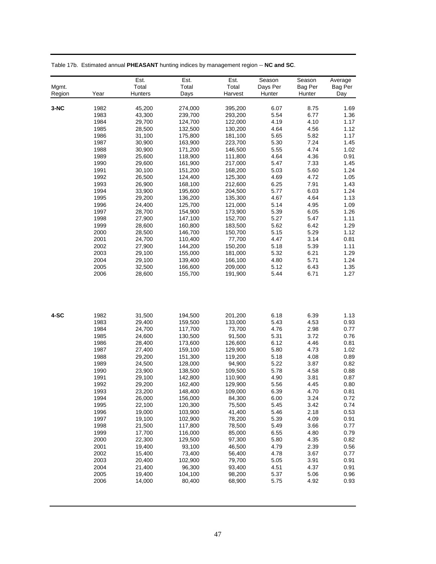|        |      | Est.           | Est.    | Est.    | Season   | Season  | Average |
|--------|------|----------------|---------|---------|----------|---------|---------|
| Mgmt.  |      | Total          | Total   | Total   | Days Per | Bag Per | Bag Per |
| Region | Year | <b>Hunters</b> | Days    | Harvest | Hunter   | Hunter  | Day     |
|        |      |                |         |         |          |         |         |
| $3-NC$ | 1982 | 45,200         | 274,000 | 395,200 | 6.07     | 8.75    | 1.69    |
|        | 1983 | 43,300         | 239,700 | 293,200 | 5.54     | 6.77    | 1.36    |
|        | 1984 | 29,700         | 124,700 | 122,000 | 4.19     | 4.10    | 1.17    |
|        | 1985 | 28,500         | 132,500 | 130,200 | 4.64     | 4.56    | 1.12    |
|        | 1986 | 31,100         | 175,800 | 181,100 | 5.65     | 5.82    | 1.17    |
|        | 1987 | 30,900         | 163,900 | 223,700 | 5.30     | 7.24    | 1.45    |
|        | 1988 | 30,900         | 171,200 | 146,500 | 5.55     | 4.74    | 1.02    |
|        | 1989 | 25,600         | 118,900 | 111,800 | 4.64     | 4.36    | 0.91    |
|        | 1990 | 29,600         | 161,900 | 217,000 | 5.47     | 7.33    | 1.45    |
|        | 1991 | 30,100         | 151,200 | 168,200 | 5.03     | 5.60    | 1.24    |
|        | 1992 | 26,500         | 124,400 | 125,300 | 4.69     | 4.72    | 1.05    |
|        | 1993 | 26,900         | 168,100 | 212,600 | 6.25     | 7.91    | 1.43    |
|        | 1994 | 33,900         | 195,600 | 204,500 | 5.77     | 6.03    | 1.24    |
|        | 1995 | 29,200         | 136,200 | 135,300 | 4.67     | 4.64    | 1.13    |
|        | 1996 | 24,400         | 125,700 | 121,000 | 5.14     | 4.95    | 1.09    |
|        | 1997 | 28,700         | 154,900 | 173,900 | 5.39     | 6.05    | 1.26    |
|        | 1998 | 27,900         | 147,100 | 152,700 | 5.27     | 5.47    | 1.11    |
|        | 1999 | 28,600         | 160,800 | 183,500 | 5.62     | 6.42    | 1.29    |
|        | 2000 | 28,500         | 146,700 | 150,700 | 5.15     | 5.29    | 1.12    |
|        | 2001 | 24,700         | 110,400 | 77,700  | 4.47     | 3.14    | 0.81    |
|        | 2002 | 27,900         | 144,200 | 150,200 | 5.18     | 5.39    | 1.11    |
|        | 2003 | 29,100         | 155,000 | 181,000 | 5.32     | 6.21    | 1.29    |
|        | 2004 | 29,100         | 139,400 | 166,100 | 4.80     | 5.71    | 1.24    |
|        | 2005 | 32,500         | 166,600 | 209,000 | 5.12     | 6.43    | 1.35    |
|        | 2006 | 28,600         | 155,700 | 191,900 | 5.44     | 6.71    | 1.27    |
|        |      |                |         |         |          |         |         |
| 4-SC   | 1982 | 31,500         | 194,500 | 201,200 | 6.18     | 6.39    | 1.13    |
|        | 1983 | 29,400         | 159,500 | 133,000 | 5.43     | 4.53    | 0.93    |
|        | 1984 | 24,700         | 117,700 | 73,700  | 4.76     | 2.98    | 0.77    |
|        | 1985 | 24,600         | 130,500 | 91,500  | 5.31     | 3.72    | 0.76    |
|        | 1986 | 28,400         | 173,600 | 126,600 | 6.12     | 4.46    | 0.81    |
|        | 1987 | 27,400         | 159,100 | 129,900 | 5.80     | 4.73    | 1.02    |
|        | 1988 | 29,200         | 151,300 | 119,200 | 5.18     | 4.08    | 0.89    |
|        | 1989 | 24,500         | 128,000 | 94,900  | 5.22     | 3.87    | 0.82    |
|        | 1990 | 23,900         | 138,500 | 109,500 | 5.78     | 4.58    | 0.88    |
|        | 1991 | 29,100         | 142,800 | 110,900 | 4.90     | 3.81    | 0.87    |
|        | 1992 | 29,200         | 162,400 | 129,900 | 5.56     | 4.45    | 0.80    |
|        | 1993 | 23,200         | 148.400 | 109.000 | 6.39     | 4.70    | 0.81    |
|        | 1994 | 26,000         | 156,000 | 84,300  | 6.00     | 3.24    | 0.72    |
|        | 1995 | 22,100         | 120,300 | 75,500  | 5.45     | 3.42    | 0.74    |
|        | 1996 | 19,000         | 103,900 | 41,400  | 5.46     | 2.18    | 0.53    |
|        | 1997 | 19,100         | 102,900 | 78,200  | 5.39     | 4.09    | 0.91    |
|        | 1998 | 21,500         | 117,800 | 78,500  | 5.49     | 3.66    | 0.77    |
|        | 1999 | 17,700         | 116,000 | 85,000  | 6.55     | 4.80    | 0.79    |
|        | 2000 | 22,300         | 129,500 | 97,300  | 5.80     | 4.35    | 0.82    |
|        | 2001 | 19,400         | 93,100  | 46,500  | 4.79     | 2.39    | 0.56    |
|        | 2002 | 15,400         | 73,400  | 56,400  | 4.78     | 3.67    | 0.77    |
|        | 2003 | 20,400         | 102,900 | 79,700  | 5.05     | 3.91    | 0.91    |
|        | 2004 | 21,400         | 96,300  | 93,400  | 4.51     | 4.37    | 0.91    |
|        | 2005 | 19,400         | 104,100 | 98,200  | 5.37     | 5.06    | 0.96    |
|        | 2006 | 14,000         | 80,400  | 68,900  | 5.75     | 4.92    | 0.93    |
|        |      |                |         |         |          |         |         |

Table 17b. Estimated annual **PHEASANT** hunting indices by management region -- **NC and SC**.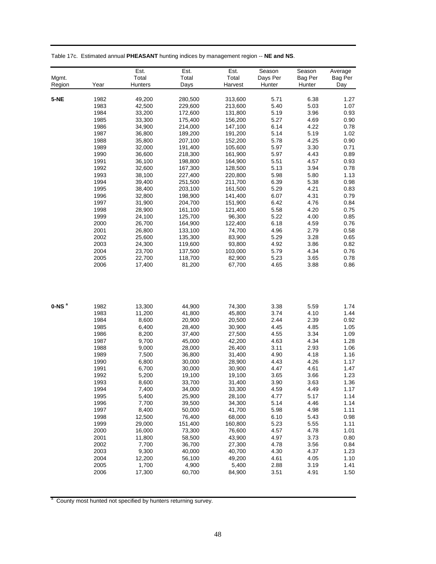|         |      | Est.    | Est.    | Est.    | Season   | Season  | Average |
|---------|------|---------|---------|---------|----------|---------|---------|
| Mgmt.   |      | Total   | Total   | Total   | Days Per | Bag Per | Bag Per |
| Region  | Year | Hunters | Days    | Harvest | Hunter   | Hunter  | Day     |
|         |      |         |         |         |          |         |         |
| $5-NE$  | 1982 | 49,200  | 280,500 | 313,600 | 5.71     | 6.38    | 1.27    |
|         | 1983 | 42,500  | 229,600 | 213,600 | 5.40     | 5.03    | 1.07    |
|         | 1984 | 33,200  | 172,600 | 131,800 | 5.19     | 3.96    | 0.93    |
|         | 1985 | 33,300  | 175,400 | 156,200 | 5.27     | 4.69    | 0.90    |
|         | 1986 | 34,900  | 214,000 | 147,100 | 6.14     | 4.22    | 0.78    |
|         | 1987 | 36,800  | 189,200 | 191,200 | 5.14     | 5.19    | 1.02    |
|         | 1988 | 35,800  | 207,100 | 152,200 | 5.78     | 4.25    | 0.90    |
|         | 1989 | 32,000  | 191,400 | 105,600 | 5.97     | 3.30    | 0.71    |
|         | 1990 | 36,600  | 218,300 | 161,900 | 5.97     | 4.43    | 0.89    |
|         | 1991 | 36,100  | 198,800 | 164,900 | 5.51     | 4.57    | 0.93    |
|         | 1992 | 32,600  | 167,300 | 128,500 | 5.13     | 3.94    | 0.78    |
|         | 1993 | 38,100  | 227,400 | 220,800 | 5.98     | 5.80    | 1.13    |
|         | 1994 | 39,400  | 251,500 | 211,700 | 6.39     | 5.38    | 0.98    |
|         | 1995 | 38,400  | 203,100 | 161,500 | 5.29     | 4.21    | 0.83    |
|         | 1996 | 32,800  | 198,900 | 141,400 | 6.07     | 4.31    | 0.79    |
|         | 1997 | 31,900  | 204,700 | 151,900 | 6.42     | 4.76    | 0.84    |
|         | 1998 | 28,900  | 161,100 | 121,400 | 5.58     | 4.20    | 0.75    |
|         | 1999 | 24,100  | 125,700 | 96,300  | 5.22     | 4.00    | 0.85    |
|         | 2000 | 26,700  | 164,900 | 122,400 | 6.18     | 4.59    | 0.76    |
|         | 2001 | 26,800  | 133,100 | 74,700  | 4.96     | 2.79    | 0.58    |
|         | 2002 | 25,600  | 135,300 | 83,900  | 5.29     | 3.28    | 0.65    |
|         | 2003 | 24,300  | 119,600 | 93,800  | 4.92     | 3.86    | 0.82    |
|         | 2004 | 23,700  | 137,500 | 103,000 | 5.79     | 4.34    | 0.76    |
|         | 2005 | 22,700  | 118,700 | 82,900  | 5.23     | 3.65    | 0.78    |
|         | 2006 | 17,400  | 81,200  | 67,700  | 4.65     | 3.88    | 0.86    |
|         |      |         |         |         |          |         |         |
| $0-NSa$ | 1982 | 13,300  | 44,900  | 74,300  | 3.38     | 5.59    | 1.74    |
|         | 1983 | 11,200  | 41,800  | 45,800  | 3.74     | 4.10    | 1.44    |
|         | 1984 | 8,600   | 20,900  | 20,500  | 2.44     | 2.39    | 0.92    |
|         | 1985 | 6,400   | 28,400  | 30,900  | 4.45     | 4.85    | 1.05    |
|         | 1986 | 8,200   | 37,400  | 27,500  | 4.55     | 3.34    | 1.09    |
|         | 1987 | 9,700   | 45,000  | 42,200  | 4.63     | 4.34    | 1.28    |
|         | 1988 | 9,000   | 28,000  | 26,400  | 3.11     | 2.93    | 1.06    |
|         | 1989 | 7,500   | 36,800  | 31,400  | 4.90     | 4.18    | 1.16    |
|         | 1990 | 6,800   | 30,000  | 28,900  | 4.43     | 4.26    | 1.17    |
|         | 1991 | 6,700   | 30,000  | 30,900  | 4.47     | 4.61    | 1.47    |
|         | 1992 | 5,200   | 19,100  | 19,100  | 3.65     | 3.66    | 1.23    |
|         | 1993 | 8,600   | 33,700  | 31,400  | 3.90     | 3.63    | 1.36    |
|         | 1994 | 7,400   | 34,000  | 33,300  | 4.59     | 4.49    | 1.17    |
|         | 1995 | 5,400   | 25,900  | 28,100  | 4.77     | 5.17    | 1.14    |
|         | 1996 | 7,700   | 39,500  | 34,300  | 5.14     | 4.46    | 1.14    |
|         | 1997 | 8,400   | 50,000  | 41,700  | 5.98     | 4.98    | 1.11    |
|         | 1998 | 12,500  | 76,400  | 68,000  | 6.10     | 5.43    | 0.98    |
|         | 1999 | 29,000  | 151,400 | 160,800 | 5.23     | 5.55    | 1.11    |
|         | 2000 | 16,000  | 73,300  | 76,600  | 4.57     | 4.78    | 1.01    |
|         | 2001 | 11,800  | 58,500  | 43,900  | 4.97     | 3.73    | 0.80    |
|         | 2002 | 7,700   | 36,700  | 27,300  | 4.78     | 3.56    | 0.84    |
|         | 2003 | 9,300   | 40,000  | 40,700  | 4.30     | 4.37    | 1.23    |
|         | 2004 | 12,200  | 56,100  | 49,200  | 4.61     | 4.05    | 1.10    |
|         | 2005 | 1,700   | 4,900   | 5,400   | 2.88     | 3.19    | 1.41    |
|         | 2006 | 17,300  | 60,700  | 84,900  | 3.51     | 4.91    | 1.50    |

Table 17c. Estimated annual **PHEASANT** hunting indices by management region -- **NE and NS**.

<sup>a</sup> County most hunted not specified by hunters returning survey.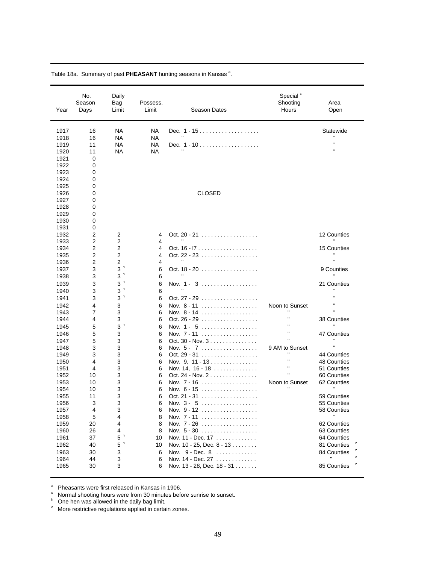| Year         | No.<br>Season<br>Days | Daily<br>Bag<br>Limit  | Possess.<br>Limit | Season Dates                                 | Special <sup>s</sup><br>Shooting<br>Hours | Area<br>Open               |
|--------------|-----------------------|------------------------|-------------------|----------------------------------------------|-------------------------------------------|----------------------------|
| 1917         | 16<br>16              | <b>NA</b><br><b>NA</b> | NA<br><b>NA</b>   | Dec. 1 - 15                                  |                                           | Statewide                  |
| 1918<br>1919 | 11                    | <b>NA</b>              | <b>NA</b>         | Dec. $1 - 10$                                |                                           | $\mathbf{u}$               |
| 1920         | 11                    | <b>NA</b>              | <b>NA</b>         |                                              |                                           | $\mathbf{u}$               |
| 1921         | 0                     |                        |                   |                                              |                                           |                            |
| 1922         | 0                     |                        |                   |                                              |                                           |                            |
| 1923         | 0                     |                        |                   |                                              |                                           |                            |
| 1924         | 0                     |                        |                   |                                              |                                           |                            |
| 1925         | 0                     |                        |                   |                                              |                                           |                            |
| 1926         | 0                     |                        |                   | <b>CLOSED</b>                                |                                           |                            |
| 1927         | 0                     |                        |                   |                                              |                                           |                            |
| 1928         | 0                     |                        |                   |                                              |                                           |                            |
| 1929         | 0                     |                        |                   |                                              |                                           |                            |
| 1930<br>1931 | 0<br>0                |                        |                   |                                              |                                           |                            |
| 1932         | 2                     | $\overline{c}$         | 4                 | Oct. 20 - 21                                 |                                           | 12 Counties                |
| 1933         | 2                     | 2                      | 4                 |                                              |                                           |                            |
| 1934         | 2                     | $\overline{2}$         | 4                 |                                              |                                           | 15 Counties                |
| 1935         | 2                     | 2                      | 4                 | Oct. 22 - 23                                 |                                           |                            |
| 1936         | 2                     | 2                      | 4                 |                                              |                                           |                            |
| 1937         | 3                     | 3 <sup>h</sup>         | 6                 | Oct. 18 - 20                                 |                                           | 9 Counties                 |
| 1938         | 3                     | 3 <sup>h</sup>         | 6                 |                                              |                                           |                            |
| 1939         | 3                     | 3 <sup>h</sup>         | 6                 | Nov. 1 - 3                                   |                                           | 21 Counties                |
| 1940         | 3                     | 3 <sup>h</sup>         | 6                 |                                              |                                           |                            |
| 1941         | 3                     | 3 <sup>h</sup>         | 6                 | Oct. 27 - 29 $\dots \dots \dots \dots \dots$ |                                           |                            |
| 1942         | 4                     | 3                      | 6                 | Nov. 8 - 11                                  | Noon to Sunset                            |                            |
| 1943         | 7                     | 3                      | 6                 | Nov. 8 - 14                                  |                                           |                            |
| 1944         | 4                     | 3                      | 6                 | Oct. 26 - 29 $\dots$                         | $\blacksquare$                            | 38 Counties                |
| 1945         | 5                     | 3 <sup>h</sup>         | 6                 | Nov. 1 - 5                                   |                                           |                            |
| 1946         | 5                     | 3                      | 6                 | Nov. 7 - 11                                  |                                           | 47 Counties                |
| 1947         | 5<br>3                | 3                      | 6                 | Oct. 30 - Nov. $3$                           |                                           | $\blacksquare$             |
| 1948<br>1949 | 3                     | 3<br>3                 | 6<br>6            | Nov. $5 - 7$<br>Oct. 29 - 31                 | 9 AM to Sunset                            | 44 Counties                |
| 1950         | 4                     | 3                      | 6                 | Nov. 9, 11 - 13                              | $\blacksquare$                            | 48 Counties                |
| 1951         | 4                     | 3                      | 6                 | Nov. 14, 16 - 18                             | $\blacksquare$                            | 51 Counties                |
| 1952         | 10                    | 3                      | 6                 | Oct. 24 - Nov. $2$                           |                                           | 60 Counties                |
| 1953         | 10                    | 3                      | 6                 | Nov. 7 - 16                                  | Noon to Sunset                            | 62 Counties                |
| 1954         | 10                    | 3                      | 6                 |                                              |                                           |                            |
| 1955         | 11                    | 3                      | 6                 | Oct. 21 - 31                                 |                                           | 59 Counties                |
| 1956         | З                     | 3                      | 6                 | Nov. $3 - 5$                                 |                                           | 55 Counties                |
| 1957         | 4                     | 3                      | 6                 | Nov. 9 - 12                                  |                                           | 58 Counties                |
| 1958         | 5                     | 4                      | 8                 | Nov. 7 - 11                                  |                                           |                            |
| 1959         | 20                    | 4                      | 8                 | Nov. 7 - 26                                  |                                           | 62 Counties                |
| 1960<br>1961 | 26<br>37              | 4<br>$5~^{\rm h}$      | 8<br>10           | Nov. $5 - 30$<br>Nov. 11 - Dec. 17           |                                           | 63 Counties<br>64 Counties |
| 1962         | 40                    | $5h$                   | 10                | Nov. 10 - 25, Dec. 8 - 13                    |                                           | 81 Counties                |
| 1963         | 30                    | 3                      | 6                 | Nov. $9 - Dec. 8$                            |                                           | 84 Counties                |
| 1964         | 44                    | 3                      | 6                 | Nov. 14 - Dec. 27                            |                                           | z                          |
| 1965         | 30                    | 3                      | 6                 | Nov. 13 - 28, Dec. 18 - 31                   |                                           | z<br>85 Counties           |
|              |                       |                        |                   |                                              |                                           |                            |

Table 18a. Summary of past PHEASANT hunting seasons in Kansas<sup>a</sup>.

<sup>a</sup> Pheasants were first released in Kansas in 1906.<br>Sa Narmal shooting hours were from 20 minutes heft

 $^{\circ}$  Normal shooting hours were from 30 minutes before sunrise to sunset.<br> $^{\circ}$  One hen was allowed in the daily bag limit.

<sup>z</sup> More restrictive regulations applied in certain zones.